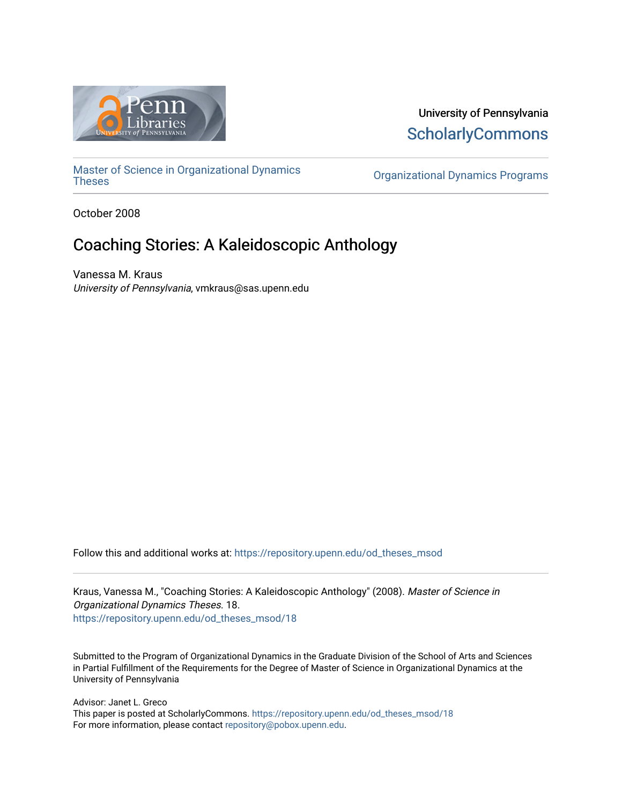

University of Pennsylvania **ScholarlyCommons** 

[Master of Science in Organizational Dynamics](https://repository.upenn.edu/od_theses_msod)

**Organizational Dynamics Programs** 

October 2008

# Coaching Stories: A Kaleidoscopic Anthology

Vanessa M. Kraus University of Pennsylvania, vmkraus@sas.upenn.edu

Follow this and additional works at: [https://repository.upenn.edu/od\\_theses\\_msod](https://repository.upenn.edu/od_theses_msod?utm_source=repository.upenn.edu%2Fod_theses_msod%2F18&utm_medium=PDF&utm_campaign=PDFCoverPages) 

Kraus, Vanessa M., "Coaching Stories: A Kaleidoscopic Anthology" (2008). Master of Science in Organizational Dynamics Theses. 18. [https://repository.upenn.edu/od\\_theses\\_msod/18](https://repository.upenn.edu/od_theses_msod/18?utm_source=repository.upenn.edu%2Fod_theses_msod%2F18&utm_medium=PDF&utm_campaign=PDFCoverPages)

Submitted to the Program of Organizational Dynamics in the Graduate Division of the School of Arts and Sciences in Partial Fulfillment of the Requirements for the Degree of Master of Science in Organizational Dynamics at the University of Pennsylvania

Advisor: Janet L. Greco This paper is posted at ScholarlyCommons. [https://repository.upenn.edu/od\\_theses\\_msod/18](https://repository.upenn.edu/od_theses_msod/18)  For more information, please contact [repository@pobox.upenn.edu.](mailto:repository@pobox.upenn.edu)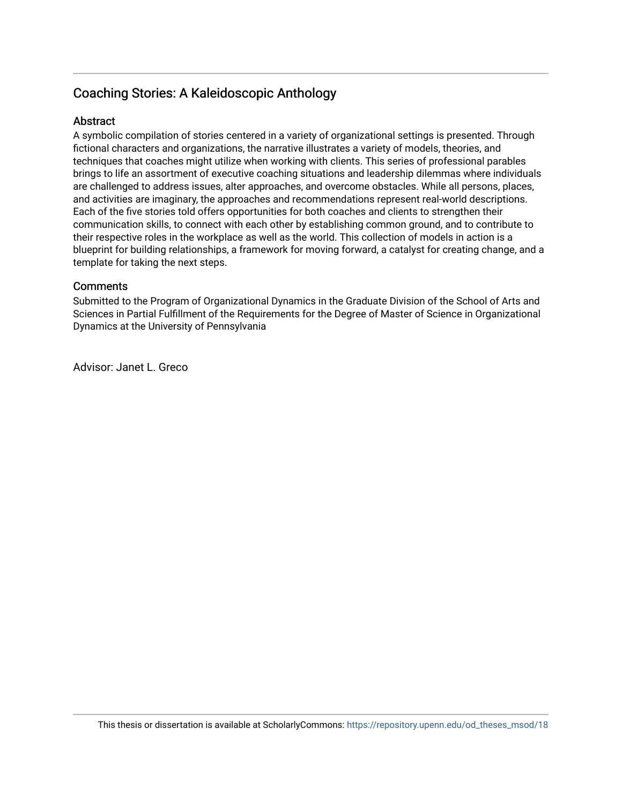## Coaching Stories: A Kaleidoscopic Anthology

## **Abstract**

A symbolic compilation of stories centered in a variety of organizational settings is presented. Through fictional characters and organizations, the narrative illustrates a variety of models, theories, and techniques that coaches might utilize when working with clients. This series of professional parables brings to life an assortment of executive coaching situations and leadership dilemmas where individuals are challenged to address issues, alter approaches, and overcome obstacles. While all persons, places, and activities are imaginary, the approaches and recommendations represent real-world descriptions. Each of the five stories told offers opportunities for both coaches and clients to strengthen their communication skills, to connect with each other by establishing common ground, and to contribute to their respective roles in the workplace as well as the world. This collection of models in action is a blueprint for building relationships, a framework for moving forward, a catalyst for creating change, and a template for taking the next steps.

## **Comments**

Submitted to the Program of Organizational Dynamics in the Graduate Division of the School of Arts and Sciences in Partial Fulfillment of the Requirements for the Degree of Master of Science in Organizational Dynamics at the University of Pennsylvania

Advisor: Janet L. Greco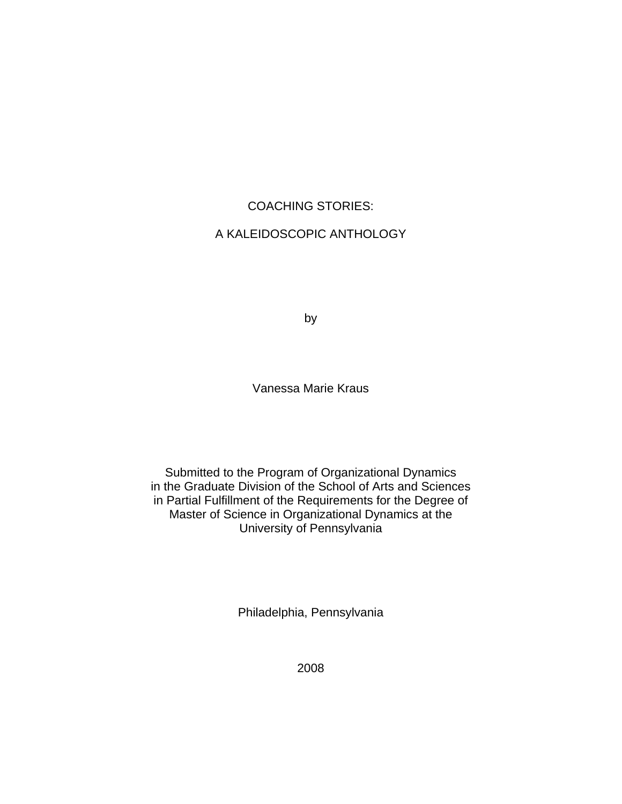## COACHING STORIES:

## A KALEIDOSCOPIC ANTHOLOGY

by

Vanessa Marie Kraus

Submitted to the Program of Organizational Dynamics in the Graduate Division of the School of Arts and Sciences in Partial Fulfillment of the Requirements for the Degree of Master of Science in Organizational Dynamics at the University of Pennsylvania

Philadelphia, Pennsylvania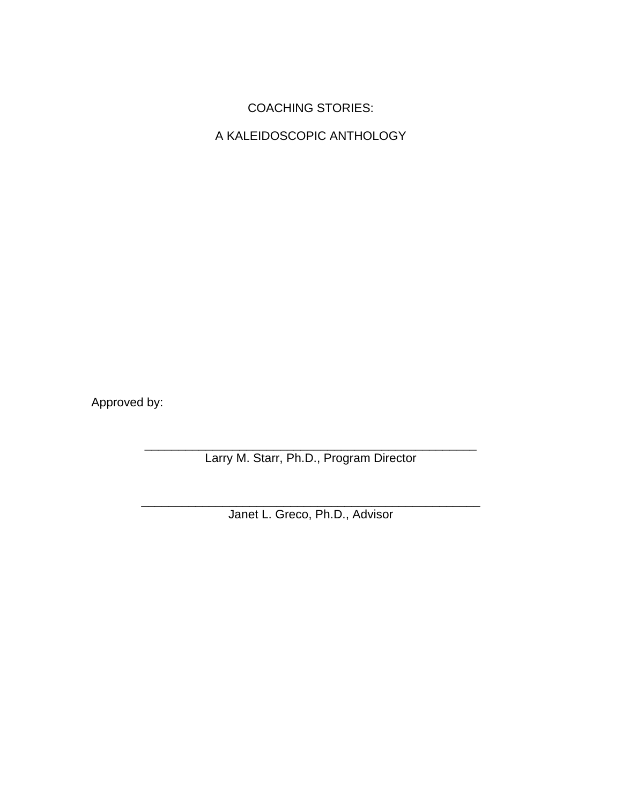# COACHING STORIES:

A KALEIDOSCOPIC ANTHOLOGY

Approved by:

\_\_\_\_\_\_\_\_\_\_\_\_\_\_\_\_\_\_\_\_\_\_\_\_\_\_\_\_\_\_\_\_\_\_\_\_\_\_\_\_\_\_\_\_\_\_\_\_\_ Larry M. Starr, Ph.D., Program Director

\_\_\_\_\_\_\_\_\_\_\_\_\_\_\_\_\_\_\_\_\_\_\_\_\_\_\_\_\_\_\_\_\_\_\_\_\_\_\_\_\_\_\_\_\_\_\_\_\_\_ Janet L. Greco, Ph.D., Advisor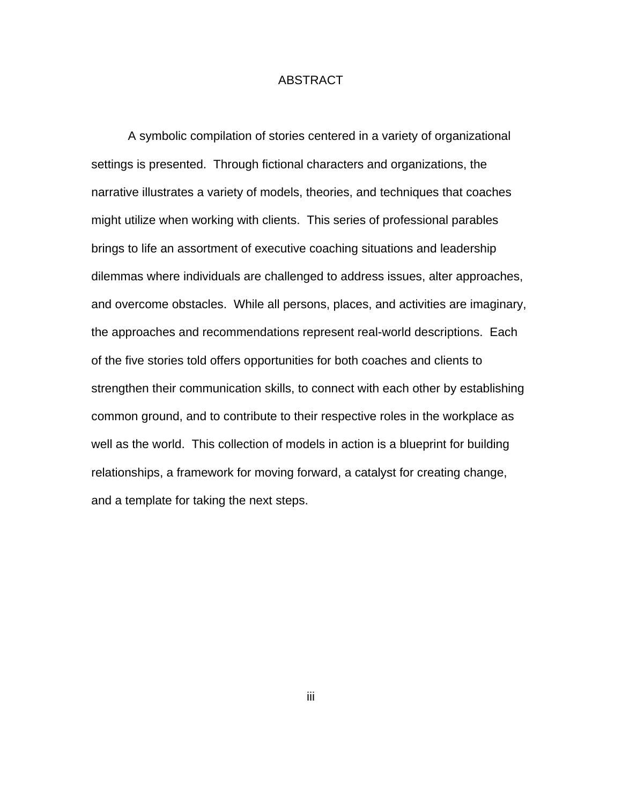## ABSTRACT

A symbolic compilation of stories centered in a variety of organizational settings is presented. Through fictional characters and organizations, the narrative illustrates a variety of models, theories, and techniques that coaches might utilize when working with clients. This series of professional parables brings to life an assortment of executive coaching situations and leadership dilemmas where individuals are challenged to address issues, alter approaches, and overcome obstacles. While all persons, places, and activities are imaginary, the approaches and recommendations represent real-world descriptions. Each of the five stories told offers opportunities for both coaches and clients to strengthen their communication skills, to connect with each other by establishing common ground, and to contribute to their respective roles in the workplace as well as the world. This collection of models in action is a blueprint for building relationships, a framework for moving forward, a catalyst for creating change, and a template for taking the next steps.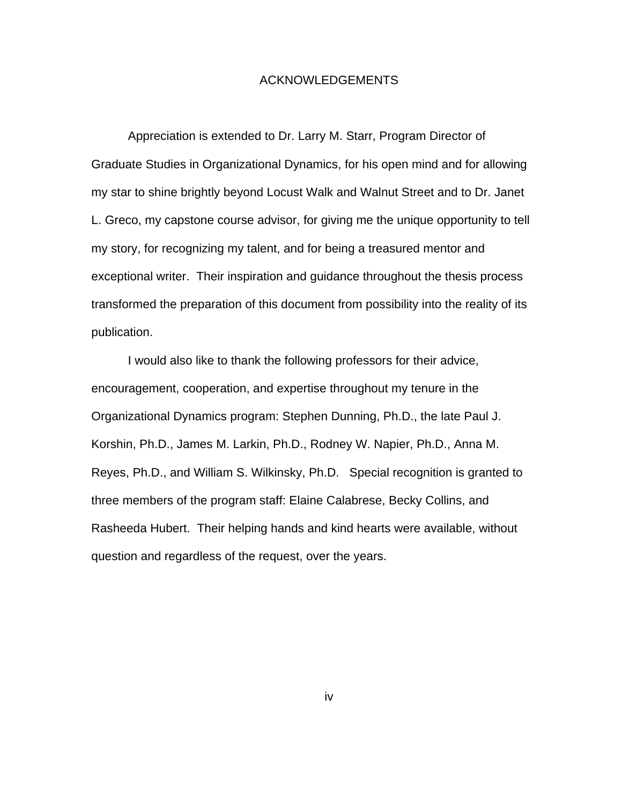#### ACKNOWLEDGEMENTS

Appreciation is extended to Dr. Larry M. Starr, Program Director of Graduate Studies in Organizational Dynamics, for his open mind and for allowing my star to shine brightly beyond Locust Walk and Walnut Street and to Dr. Janet L. Greco, my capstone course advisor, for giving me the unique opportunity to tell my story, for recognizing my talent, and for being a treasured mentor and exceptional writer. Their inspiration and guidance throughout the thesis process transformed the preparation of this document from possibility into the reality of its publication.

I would also like to thank the following professors for their advice, encouragement, cooperation, and expertise throughout my tenure in the Organizational Dynamics program: Stephen Dunning, Ph.D., the late Paul J. Korshin, Ph.D., James M. Larkin, Ph.D., Rodney W. Napier, Ph.D., Anna M. Reyes, Ph.D., and William S. Wilkinsky, Ph.D. Special recognition is granted to three members of the program staff: Elaine Calabrese, Becky Collins, and Rasheeda Hubert. Their helping hands and kind hearts were available, without question and regardless of the request, over the years.

iv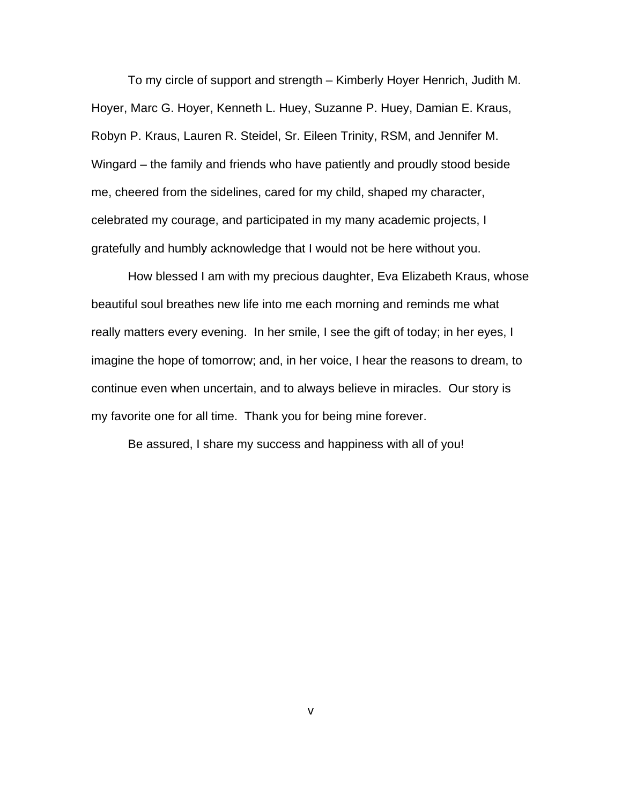To my circle of support and strength – Kimberly Hoyer Henrich, Judith M. Hoyer, Marc G. Hoyer, Kenneth L. Huey, Suzanne P. Huey, Damian E. Kraus, Robyn P. Kraus, Lauren R. Steidel, Sr. Eileen Trinity, RSM, and Jennifer M. Wingard – the family and friends who have patiently and proudly stood beside me, cheered from the sidelines, cared for my child, shaped my character, celebrated my courage, and participated in my many academic projects, I gratefully and humbly acknowledge that I would not be here without you.

How blessed I am with my precious daughter, Eva Elizabeth Kraus, whose beautiful soul breathes new life into me each morning and reminds me what really matters every evening. In her smile, I see the gift of today; in her eyes, I imagine the hope of tomorrow; and, in her voice, I hear the reasons to dream, to continue even when uncertain, and to always believe in miracles. Our story is my favorite one for all time. Thank you for being mine forever.

Be assured, I share my success and happiness with all of you!

v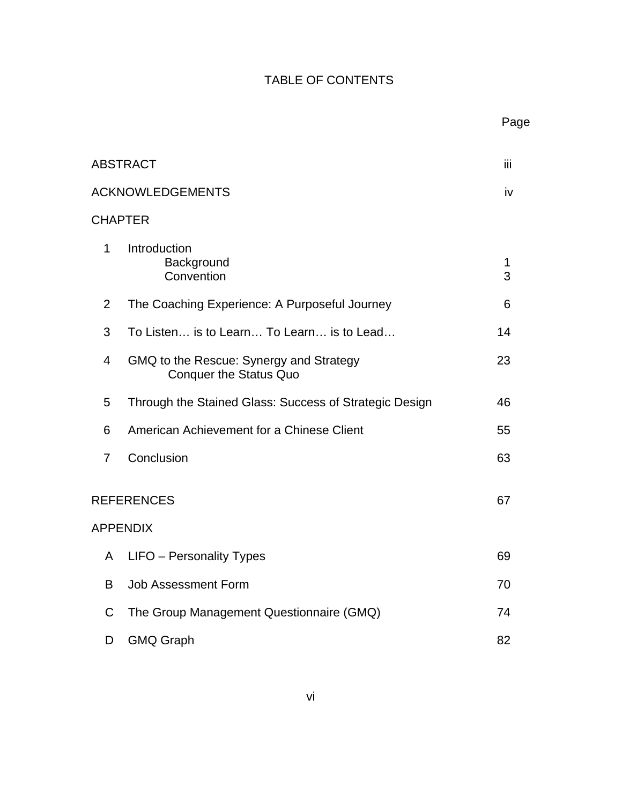# TABLE OF CONTENTS

|                         |                                                                          | Page   |
|-------------------------|--------------------------------------------------------------------------|--------|
| <b>ABSTRACT</b>         |                                                                          | Ϊij    |
| <b>ACKNOWLEDGEMENTS</b> |                                                                          | iv     |
|                         | <b>CHAPTER</b>                                                           |        |
| 1                       | Introduction<br>Background<br>Convention                                 | 1<br>3 |
| 2                       | The Coaching Experience: A Purposeful Journey                            | 6      |
| 3                       | To Listen is to Learn To Learn is to Lead                                | 14     |
| 4                       | GMQ to the Rescue: Synergy and Strategy<br><b>Conquer the Status Quo</b> | 23     |
| 5                       | Through the Stained Glass: Success of Strategic Design                   | 46     |
| 6                       | American Achievement for a Chinese Client                                | 55     |
| 7                       | Conclusion                                                               | 63     |
| <b>REFERENCES</b>       |                                                                          | 67     |
|                         | <b>APPENDIX</b>                                                          |        |
| A                       | LIFO - Personality Types                                                 | 69     |
| B                       | <b>Job Assessment Form</b>                                               | 70     |
| C                       | The Group Management Questionnaire (GMQ)                                 | 74     |
| D                       | <b>GMQ Graph</b>                                                         | 82     |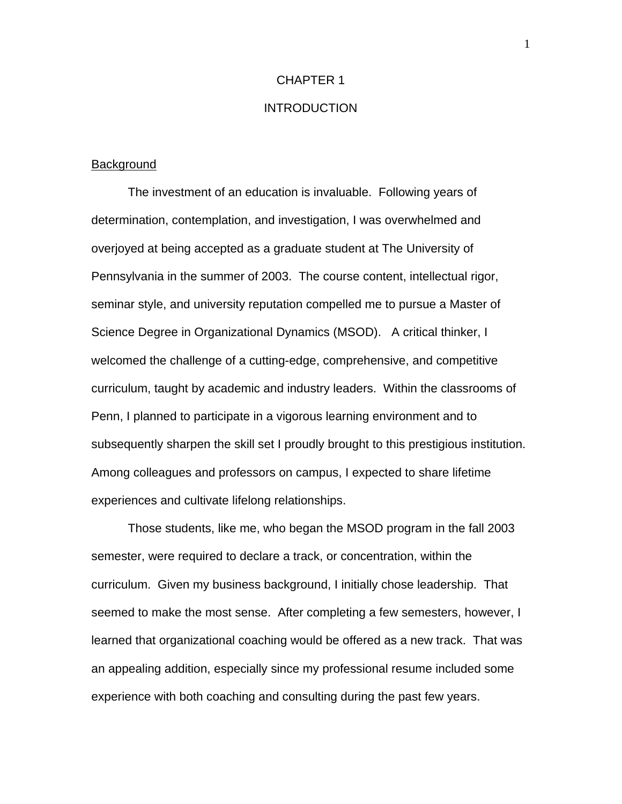## CHAPTER 1

## **INTRODUCTION**

#### **Background**

The investment of an education is invaluable. Following years of determination, contemplation, and investigation, I was overwhelmed and overjoyed at being accepted as a graduate student at The University of Pennsylvania in the summer of 2003. The course content, intellectual rigor, seminar style, and university reputation compelled me to pursue a Master of Science Degree in Organizational Dynamics (MSOD). A critical thinker, I welcomed the challenge of a cutting-edge, comprehensive, and competitive curriculum, taught by academic and industry leaders. Within the classrooms of Penn, I planned to participate in a vigorous learning environment and to subsequently sharpen the skill set I proudly brought to this prestigious institution. Among colleagues and professors on campus, I expected to share lifetime experiences and cultivate lifelong relationships.

Those students, like me, who began the MSOD program in the fall 2003 semester, were required to declare a track, or concentration, within the curriculum. Given my business background, I initially chose leadership. That seemed to make the most sense. After completing a few semesters, however, I learned that organizational coaching would be offered as a new track. That was an appealing addition, especially since my professional resume included some experience with both coaching and consulting during the past few years.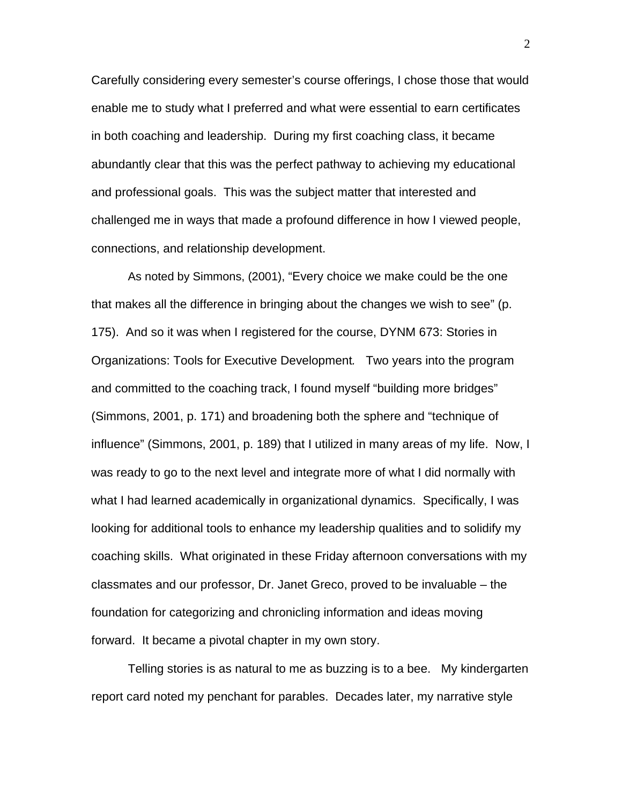Carefully considering every semester's course offerings, I chose those that would enable me to study what I preferred and what were essential to earn certificates in both coaching and leadership. During my first coaching class, it became abundantly clear that this was the perfect pathway to achieving my educational and professional goals. This was the subject matter that interested and challenged me in ways that made a profound difference in how I viewed people, connections, and relationship development.

As noted by Simmons, (2001), "Every choice we make could be the one that makes all the difference in bringing about the changes we wish to see" (p. 175). And so it was when I registered for the course, DYNM 673: Stories in Organizations: Tools for Executive Development*.* Two years into the program and committed to the coaching track, I found myself "building more bridges" (Simmons, 2001, p. 171) and broadening both the sphere and "technique of influence" (Simmons, 2001, p. 189) that I utilized in many areas of my life. Now, I was ready to go to the next level and integrate more of what I did normally with what I had learned academically in organizational dynamics. Specifically, I was looking for additional tools to enhance my leadership qualities and to solidify my coaching skills. What originated in these Friday afternoon conversations with my classmates and our professor, Dr. Janet Greco, proved to be invaluable – the foundation for categorizing and chronicling information and ideas moving forward. It became a pivotal chapter in my own story.

Telling stories is as natural to me as buzzing is to a bee. My kindergarten report card noted my penchant for parables. Decades later, my narrative style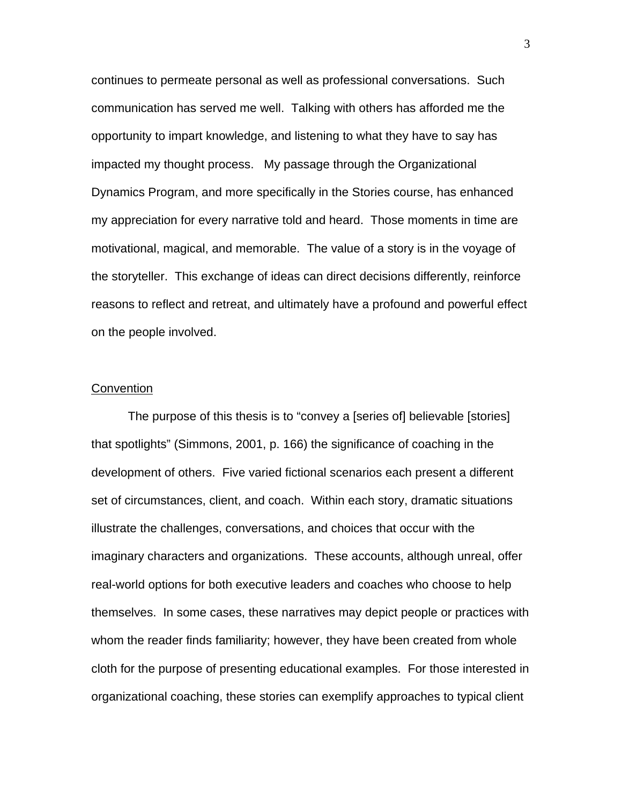continues to permeate personal as well as professional conversations. Such communication has served me well. Talking with others has afforded me the opportunity to impart knowledge, and listening to what they have to say has impacted my thought process. My passage through the Organizational Dynamics Program, and more specifically in the Stories course, has enhanced my appreciation for every narrative told and heard. Those moments in time are motivational, magical, and memorable. The value of a story is in the voyage of the storyteller. This exchange of ideas can direct decisions differently, reinforce reasons to reflect and retreat, and ultimately have a profound and powerful effect on the people involved.

#### **Convention**

The purpose of this thesis is to "convey a [series of] believable [stories] that spotlights" (Simmons, 2001, p. 166) the significance of coaching in the development of others. Five varied fictional scenarios each present a different set of circumstances, client, and coach. Within each story, dramatic situations illustrate the challenges, conversations, and choices that occur with the imaginary characters and organizations. These accounts, although unreal, offer real-world options for both executive leaders and coaches who choose to help themselves. In some cases, these narratives may depict people or practices with whom the reader finds familiarity; however, they have been created from whole cloth for the purpose of presenting educational examples. For those interested in organizational coaching, these stories can exemplify approaches to typical client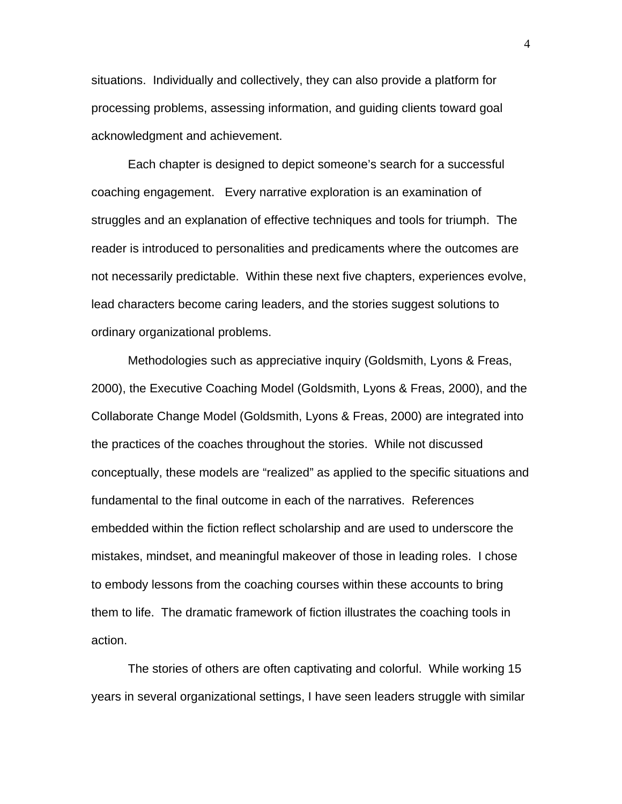situations. Individually and collectively, they can also provide a platform for processing problems, assessing information, and guiding clients toward goal acknowledgment and achievement.

Each chapter is designed to depict someone's search for a successful coaching engagement. Every narrative exploration is an examination of struggles and an explanation of effective techniques and tools for triumph. The reader is introduced to personalities and predicaments where the outcomes are not necessarily predictable. Within these next five chapters, experiences evolve, lead characters become caring leaders, and the stories suggest solutions to ordinary organizational problems.

Methodologies such as appreciative inquiry (Goldsmith, Lyons & Freas, 2000), the Executive Coaching Model (Goldsmith, Lyons & Freas, 2000), and the Collaborate Change Model (Goldsmith, Lyons & Freas, 2000) are integrated into the practices of the coaches throughout the stories. While not discussed conceptually, these models are "realized" as applied to the specific situations and fundamental to the final outcome in each of the narratives. References embedded within the fiction reflect scholarship and are used to underscore the mistakes, mindset, and meaningful makeover of those in leading roles. I chose to embody lessons from the coaching courses within these accounts to bring them to life. The dramatic framework of fiction illustrates the coaching tools in action.

The stories of others are often captivating and colorful. While working 15 years in several organizational settings, I have seen leaders struggle with similar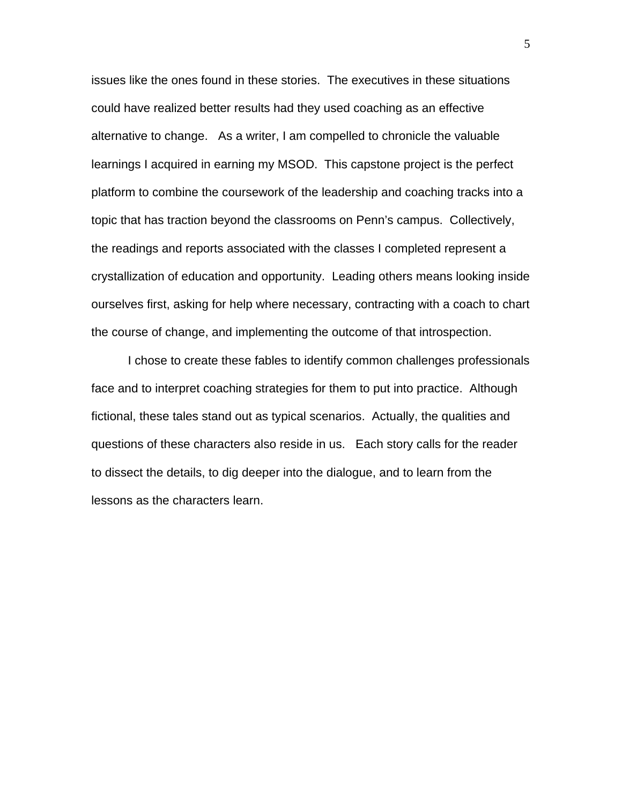issues like the ones found in these stories. The executives in these situations could have realized better results had they used coaching as an effective alternative to change. As a writer, I am compelled to chronicle the valuable learnings I acquired in earning my MSOD. This capstone project is the perfect platform to combine the coursework of the leadership and coaching tracks into a topic that has traction beyond the classrooms on Penn's campus. Collectively, the readings and reports associated with the classes I completed represent a crystallization of education and opportunity. Leading others means looking inside ourselves first, asking for help where necessary, contracting with a coach to chart the course of change, and implementing the outcome of that introspection.

I chose to create these fables to identify common challenges professionals face and to interpret coaching strategies for them to put into practice. Although fictional, these tales stand out as typical scenarios. Actually, the qualities and questions of these characters also reside in us. Each story calls for the reader to dissect the details, to dig deeper into the dialogue, and to learn from the lessons as the characters learn.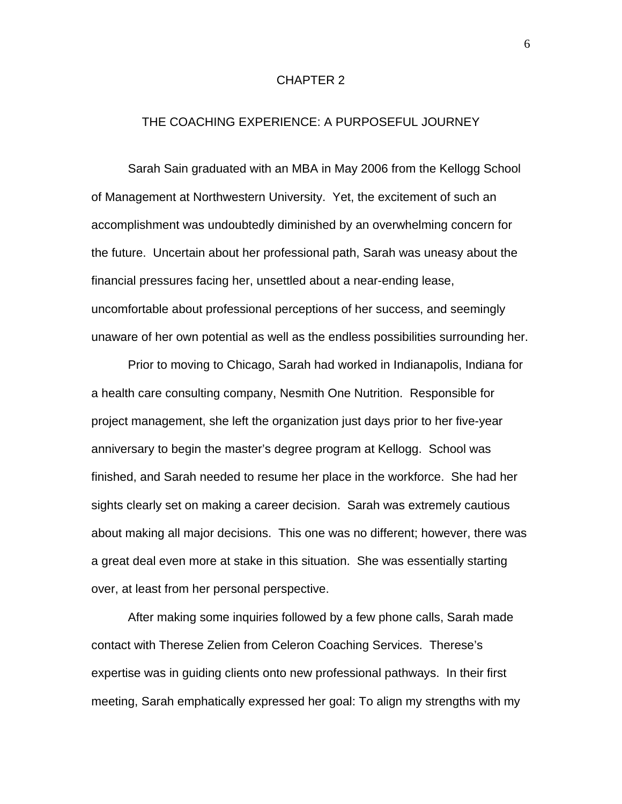## CHAPTER 2

### THE COACHING EXPERIENCE: A PURPOSEFUL JOURNEY

Sarah Sain graduated with an MBA in May 2006 from the Kellogg School of Management at Northwestern University. Yet, the excitement of such an accomplishment was undoubtedly diminished by an overwhelming concern for the future. Uncertain about her professional path, Sarah was uneasy about the financial pressures facing her, unsettled about a near-ending lease, uncomfortable about professional perceptions of her success, and seemingly unaware of her own potential as well as the endless possibilities surrounding her.

Prior to moving to Chicago, Sarah had worked in Indianapolis, Indiana for a health care consulting company, Nesmith One Nutrition. Responsible for project management, she left the organization just days prior to her five-year anniversary to begin the master's degree program at Kellogg. School was finished, and Sarah needed to resume her place in the workforce. She had her sights clearly set on making a career decision. Sarah was extremely cautious about making all major decisions. This one was no different; however, there was a great deal even more at stake in this situation. She was essentially starting over, at least from her personal perspective.

After making some inquiries followed by a few phone calls, Sarah made contact with Therese Zelien from Celeron Coaching Services. Therese's expertise was in guiding clients onto new professional pathways. In their first meeting, Sarah emphatically expressed her goal: To align my strengths with my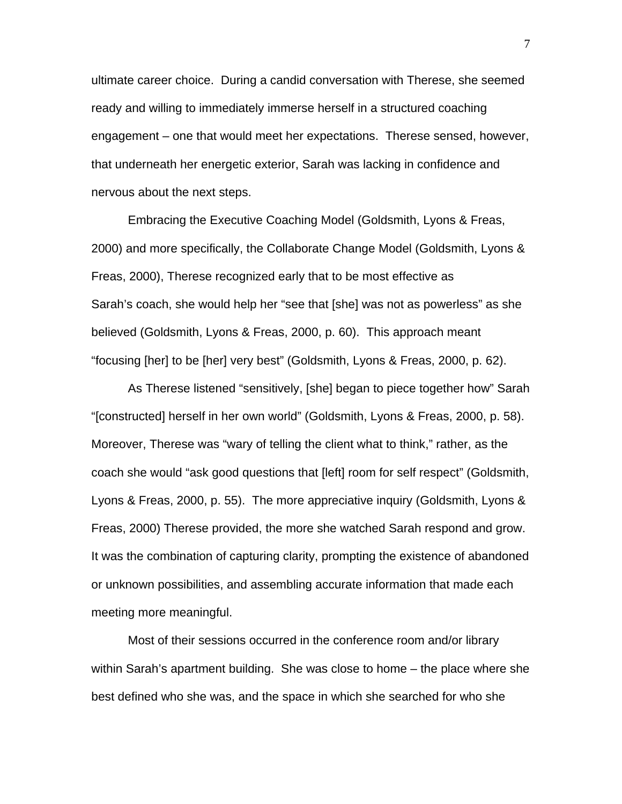ultimate career choice. During a candid conversation with Therese, she seemed ready and willing to immediately immerse herself in a structured coaching engagement – one that would meet her expectations. Therese sensed, however, that underneath her energetic exterior, Sarah was lacking in confidence and nervous about the next steps.

Embracing the Executive Coaching Model (Goldsmith, Lyons & Freas, 2000) and more specifically, the Collaborate Change Model (Goldsmith, Lyons & Freas, 2000), Therese recognized early that to be most effective as Sarah's coach, she would help her "see that [she] was not as powerless" as she believed (Goldsmith, Lyons & Freas, 2000, p. 60). This approach meant "focusing [her] to be [her] very best" (Goldsmith, Lyons & Freas, 2000, p. 62).

As Therese listened "sensitively, [she] began to piece together how" Sarah "[constructed] herself in her own world" (Goldsmith, Lyons & Freas, 2000, p. 58). Moreover, Therese was "wary of telling the client what to think," rather, as the coach she would "ask good questions that [left] room for self respect" (Goldsmith, Lyons & Freas, 2000, p. 55). The more appreciative inquiry (Goldsmith, Lyons & Freas, 2000) Therese provided, the more she watched Sarah respond and grow. It was the combination of capturing clarity, prompting the existence of abandoned or unknown possibilities, and assembling accurate information that made each meeting more meaningful.

Most of their sessions occurred in the conference room and/or library within Sarah's apartment building. She was close to home – the place where she best defined who she was, and the space in which she searched for who she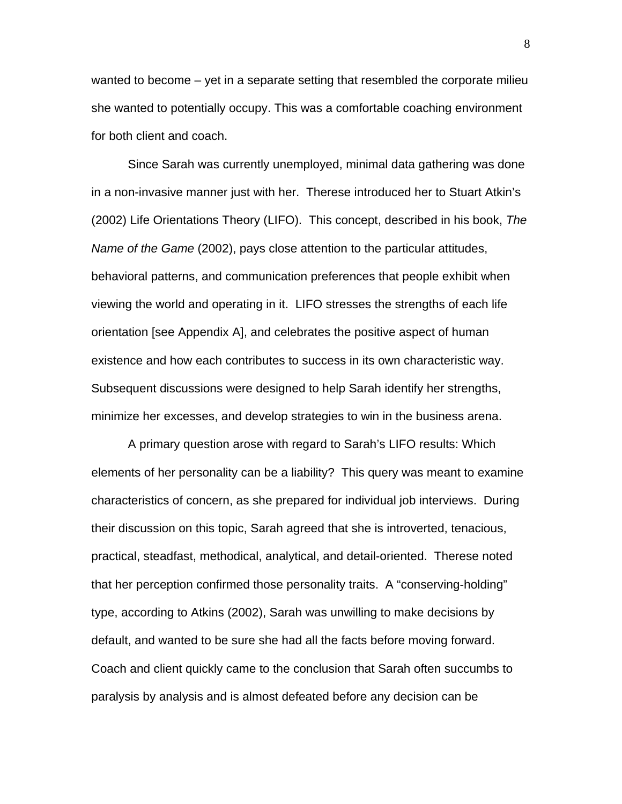wanted to become – yet in a separate setting that resembled the corporate milieu she wanted to potentially occupy. This was a comfortable coaching environment for both client and coach.

Since Sarah was currently unemployed, minimal data gathering was done in a non-invasive manner just with her. Therese introduced her to Stuart Atkin's (2002) Life Orientations Theory (LIFO). This concept, described in his book, *The Name of the Game* (2002), pays close attention to the particular attitudes, behavioral patterns, and communication preferences that people exhibit when viewing the world and operating in it. LIFO stresses the strengths of each life orientation [see Appendix A], and celebrates the positive aspect of human existence and how each contributes to success in its own characteristic way. Subsequent discussions were designed to help Sarah identify her strengths, minimize her excesses, and develop strategies to win in the business arena.

A primary question arose with regard to Sarah's LIFO results: Which elements of her personality can be a liability? This query was meant to examine characteristics of concern, as she prepared for individual job interviews. During their discussion on this topic, Sarah agreed that she is introverted, tenacious, practical, steadfast, methodical, analytical, and detail-oriented. Therese noted that her perception confirmed those personality traits. A "conserving-holding" type, according to Atkins (2002), Sarah was unwilling to make decisions by default, and wanted to be sure she had all the facts before moving forward. Coach and client quickly came to the conclusion that Sarah often succumbs to paralysis by analysis and is almost defeated before any decision can be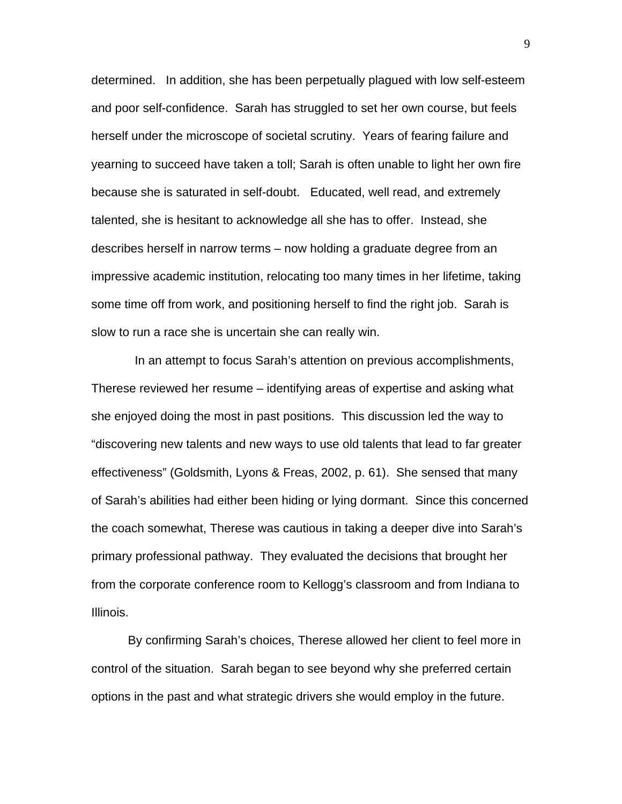determined. In addition, she has been perpetually plagued with low self-esteem and poor self-confidence. Sarah has struggled to set her own course, but feels herself under the microscope of societal scrutiny. Years of fearing failure and yearning to succeed have taken a toll; Sarah is often unable to light her own fire because she is saturated in self-doubt. Educated, well read, and extremely talented, she is hesitant to acknowledge all she has to offer. Instead, she describes herself in narrow terms – now holding a graduate degree from an impressive academic institution, relocating too many times in her lifetime, taking some time off from work, and positioning herself to find the right job. Sarah is slow to run a race she is uncertain she can really win.

 In an attempt to focus Sarah's attention on previous accomplishments, Therese reviewed her resume – identifying areas of expertise and asking what she enjoyed doing the most in past positions. This discussion led the way to "discovering new talents and new ways to use old talents that lead to far greater effectiveness" (Goldsmith, Lyons & Freas, 2002, p. 61). She sensed that many of Sarah's abilities had either been hiding or lying dormant. Since this concerned the coach somewhat, Therese was cautious in taking a deeper dive into Sarah's primary professional pathway. They evaluated the decisions that brought her from the corporate conference room to Kellogg's classroom and from Indiana to Illinois.

By confirming Sarah's choices, Therese allowed her client to feel more in control of the situation. Sarah began to see beyond why she preferred certain options in the past and what strategic drivers she would employ in the future.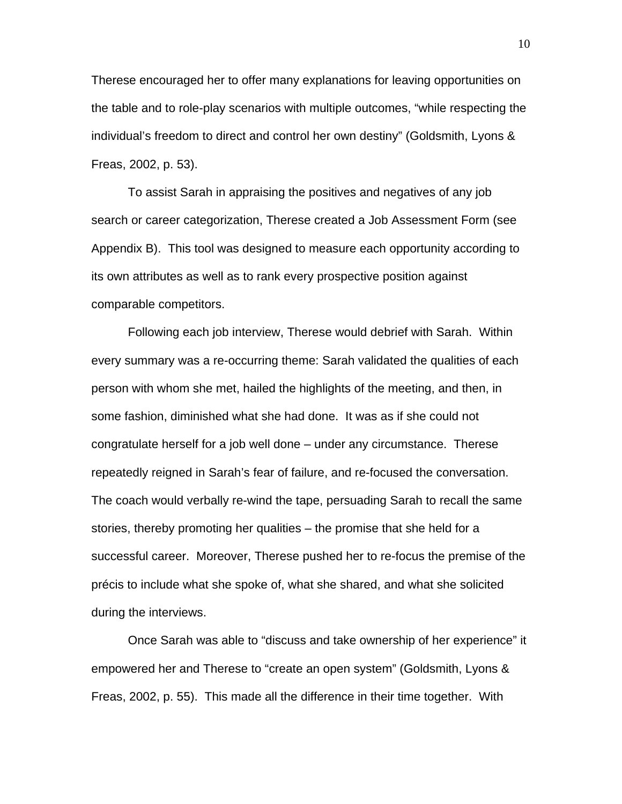Therese encouraged her to offer many explanations for leaving opportunities on the table and to role-play scenarios with multiple outcomes, "while respecting the individual's freedom to direct and control her own destiny" (Goldsmith, Lyons & Freas, 2002, p. 53).

To assist Sarah in appraising the positives and negatives of any job search or career categorization, Therese created a Job Assessment Form (see Appendix B). This tool was designed to measure each opportunity according to its own attributes as well as to rank every prospective position against comparable competitors.

Following each job interview, Therese would debrief with Sarah. Within every summary was a re-occurring theme: Sarah validated the qualities of each person with whom she met, hailed the highlights of the meeting, and then, in some fashion, diminished what she had done. It was as if she could not congratulate herself for a job well done – under any circumstance. Therese repeatedly reigned in Sarah's fear of failure, and re-focused the conversation. The coach would verbally re-wind the tape, persuading Sarah to recall the same stories, thereby promoting her qualities – the promise that she held for a successful career. Moreover, Therese pushed her to re-focus the premise of the précis to include what she spoke of, what she shared, and what she solicited during the interviews.

Once Sarah was able to "discuss and take ownership of her experience" it empowered her and Therese to "create an open system" (Goldsmith, Lyons & Freas, 2002, p. 55). This made all the difference in their time together. With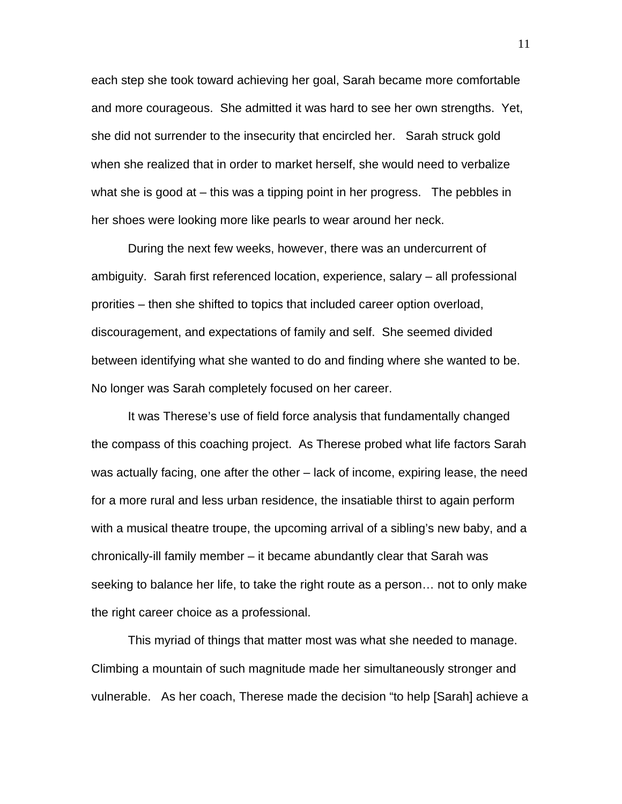each step she took toward achieving her goal, Sarah became more comfortable and more courageous. She admitted it was hard to see her own strengths. Yet, she did not surrender to the insecurity that encircled her. Sarah struck gold when she realized that in order to market herself, she would need to verbalize what she is good at – this was a tipping point in her progress. The pebbles in her shoes were looking more like pearls to wear around her neck.

During the next few weeks, however, there was an undercurrent of ambiguity. Sarah first referenced location, experience, salary – all professional prorities – then she shifted to topics that included career option overload, discouragement, and expectations of family and self. She seemed divided between identifying what she wanted to do and finding where she wanted to be. No longer was Sarah completely focused on her career.

It was Therese's use of field force analysis that fundamentally changed the compass of this coaching project. As Therese probed what life factors Sarah was actually facing, one after the other – lack of income, expiring lease, the need for a more rural and less urban residence, the insatiable thirst to again perform with a musical theatre troupe, the upcoming arrival of a sibling's new baby, and a chronically-ill family member – it became abundantly clear that Sarah was seeking to balance her life, to take the right route as a person… not to only make the right career choice as a professional.

This myriad of things that matter most was what she needed to manage. Climbing a mountain of such magnitude made her simultaneously stronger and vulnerable. As her coach, Therese made the decision "to help [Sarah] achieve a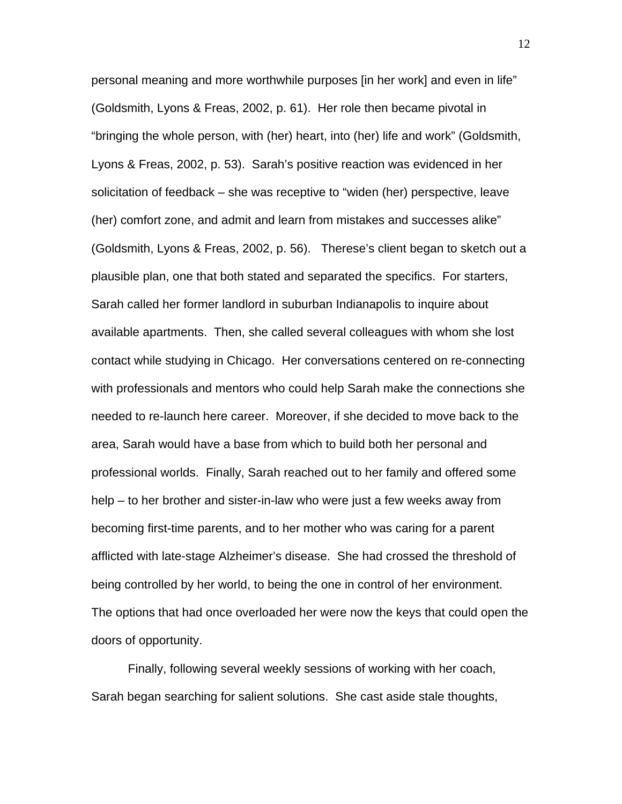personal meaning and more worthwhile purposes [in her work] and even in life" (Goldsmith, Lyons & Freas, 2002, p. 61). Her role then became pivotal in "bringing the whole person, with (her) heart, into (her) life and work" (Goldsmith, Lyons & Freas, 2002, p. 53). Sarah's positive reaction was evidenced in her solicitation of feedback – she was receptive to "widen (her) perspective, leave (her) comfort zone, and admit and learn from mistakes and successes alike" (Goldsmith, Lyons & Freas, 2002, p. 56). Therese's client began to sketch out a plausible plan, one that both stated and separated the specifics. For starters, Sarah called her former landlord in suburban Indianapolis to inquire about available apartments. Then, she called several colleagues with whom she lost contact while studying in Chicago. Her conversations centered on re-connecting with professionals and mentors who could help Sarah make the connections she needed to re-launch here career. Moreover, if she decided to move back to the area, Sarah would have a base from which to build both her personal and professional worlds. Finally, Sarah reached out to her family and offered some help – to her brother and sister-in-law who were just a few weeks away from becoming first-time parents, and to her mother who was caring for a parent afflicted with late-stage Alzheimer's disease. She had crossed the threshold of being controlled by her world, to being the one in control of her environment. The options that had once overloaded her were now the keys that could open the doors of opportunity.

Finally, following several weekly sessions of working with her coach, Sarah began searching for salient solutions. She cast aside stale thoughts,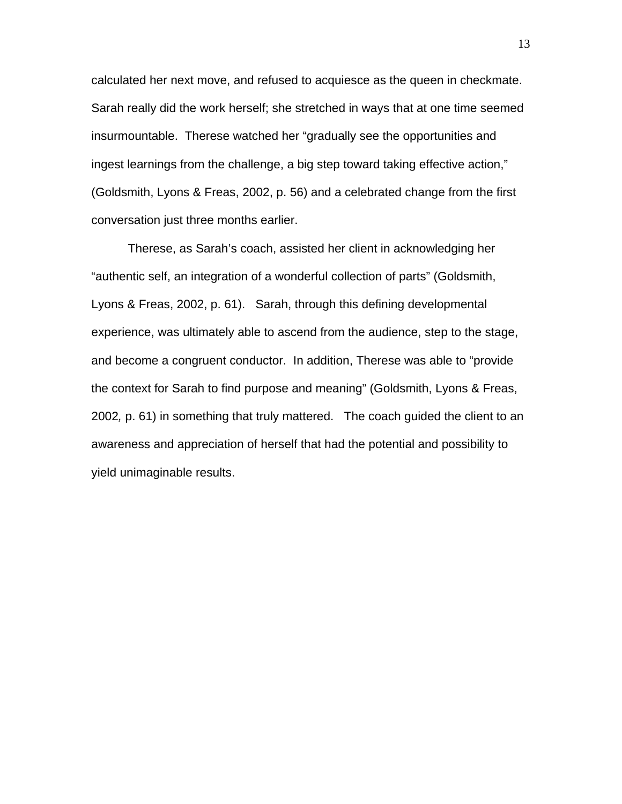calculated her next move, and refused to acquiesce as the queen in checkmate. Sarah really did the work herself; she stretched in ways that at one time seemed insurmountable. Therese watched her "gradually see the opportunities and ingest learnings from the challenge, a big step toward taking effective action," (Goldsmith, Lyons & Freas, 2002, p. 56) and a celebrated change from the first conversation just three months earlier.

Therese, as Sarah's coach, assisted her client in acknowledging her "authentic self, an integration of a wonderful collection of parts" (Goldsmith, Lyons & Freas, 2002, p. 61). Sarah, through this defining developmental experience, was ultimately able to ascend from the audience, step to the stage, and become a congruent conductor. In addition, Therese was able to "provide the context for Sarah to find purpose and meaning" (Goldsmith, Lyons & Freas, 2002*,* p. 61) in something that truly mattered. The coach guided the client to an awareness and appreciation of herself that had the potential and possibility to yield unimaginable results.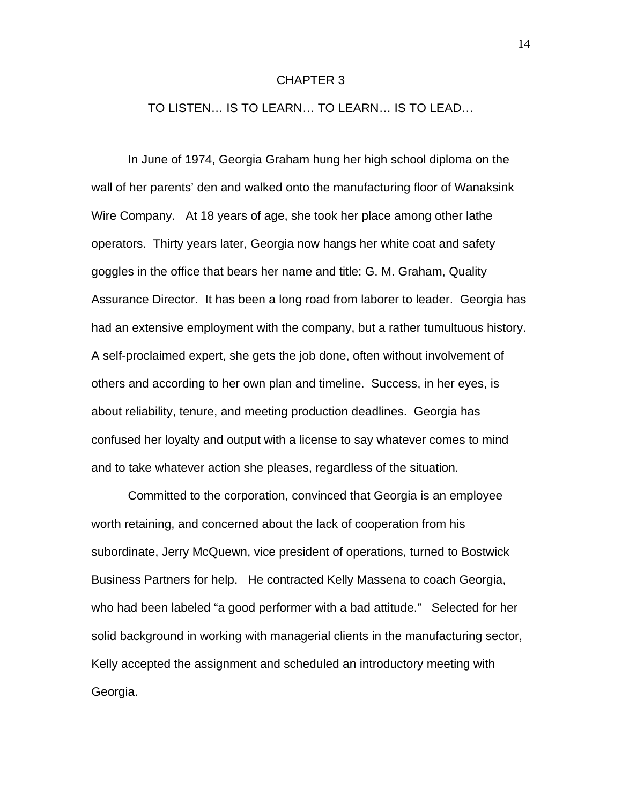## CHAPTER 3

TO LISTEN… IS TO LEARN… TO LEARN… IS TO LEAD…

In June of 1974, Georgia Graham hung her high school diploma on the wall of her parents' den and walked onto the manufacturing floor of Wanaksink Wire Company. At 18 years of age, she took her place among other lathe operators. Thirty years later, Georgia now hangs her white coat and safety goggles in the office that bears her name and title: G. M. Graham, Quality Assurance Director. It has been a long road from laborer to leader. Georgia has had an extensive employment with the company, but a rather tumultuous history. A self-proclaimed expert, she gets the job done, often without involvement of others and according to her own plan and timeline. Success, in her eyes, is about reliability, tenure, and meeting production deadlines. Georgia has confused her loyalty and output with a license to say whatever comes to mind and to take whatever action she pleases, regardless of the situation.

Committed to the corporation, convinced that Georgia is an employee worth retaining, and concerned about the lack of cooperation from his subordinate, Jerry McQuewn, vice president of operations, turned to Bostwick Business Partners for help. He contracted Kelly Massena to coach Georgia, who had been labeled "a good performer with a bad attitude." Selected for her solid background in working with managerial clients in the manufacturing sector, Kelly accepted the assignment and scheduled an introductory meeting with Georgia.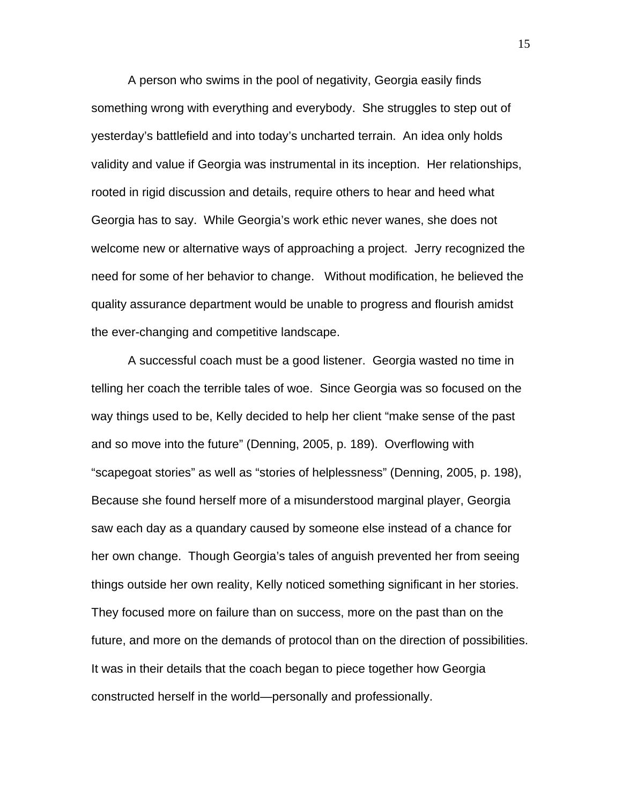A person who swims in the pool of negativity, Georgia easily finds something wrong with everything and everybody. She struggles to step out of yesterday's battlefield and into today's uncharted terrain. An idea only holds validity and value if Georgia was instrumental in its inception. Her relationships, rooted in rigid discussion and details, require others to hear and heed what Georgia has to say. While Georgia's work ethic never wanes, she does not welcome new or alternative ways of approaching a project. Jerry recognized the need for some of her behavior to change. Without modification, he believed the quality assurance department would be unable to progress and flourish amidst the ever-changing and competitive landscape.

A successful coach must be a good listener. Georgia wasted no time in telling her coach the terrible tales of woe. Since Georgia was so focused on the way things used to be, Kelly decided to help her client "make sense of the past and so move into the future" (Denning, 2005, p. 189). Overflowing with "scapegoat stories" as well as "stories of helplessness" (Denning, 2005, p. 198), Because she found herself more of a misunderstood marginal player, Georgia saw each day as a quandary caused by someone else instead of a chance for her own change. Though Georgia's tales of anguish prevented her from seeing things outside her own reality, Kelly noticed something significant in her stories. They focused more on failure than on success, more on the past than on the future, and more on the demands of protocol than on the direction of possibilities. It was in their details that the coach began to piece together how Georgia constructed herself in the world—personally and professionally.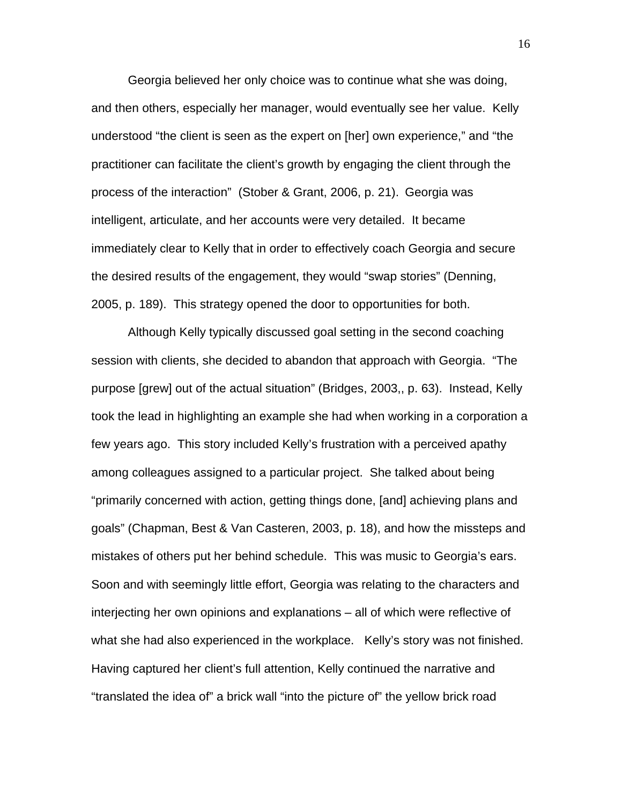Georgia believed her only choice was to continue what she was doing, and then others, especially her manager, would eventually see her value. Kelly understood "the client is seen as the expert on [her] own experience," and "the practitioner can facilitate the client's growth by engaging the client through the process of the interaction" (Stober & Grant, 2006, p. 21). Georgia was intelligent, articulate, and her accounts were very detailed. It became immediately clear to Kelly that in order to effectively coach Georgia and secure the desired results of the engagement, they would "swap stories" (Denning, 2005, p. 189). This strategy opened the door to opportunities for both.

Although Kelly typically discussed goal setting in the second coaching session with clients, she decided to abandon that approach with Georgia. "The purpose [grew] out of the actual situation" (Bridges, 2003,, p. 63). Instead, Kelly took the lead in highlighting an example she had when working in a corporation a few years ago. This story included Kelly's frustration with a perceived apathy among colleagues assigned to a particular project. She talked about being "primarily concerned with action, getting things done, [and] achieving plans and goals" (Chapman, Best & Van Casteren, 2003, p. 18), and how the missteps and mistakes of others put her behind schedule. This was music to Georgia's ears. Soon and with seemingly little effort, Georgia was relating to the characters and interjecting her own opinions and explanations – all of which were reflective of what she had also experienced in the workplace. Kelly's story was not finished. Having captured her client's full attention, Kelly continued the narrative and "translated the idea of" a brick wall "into the picture of" the yellow brick road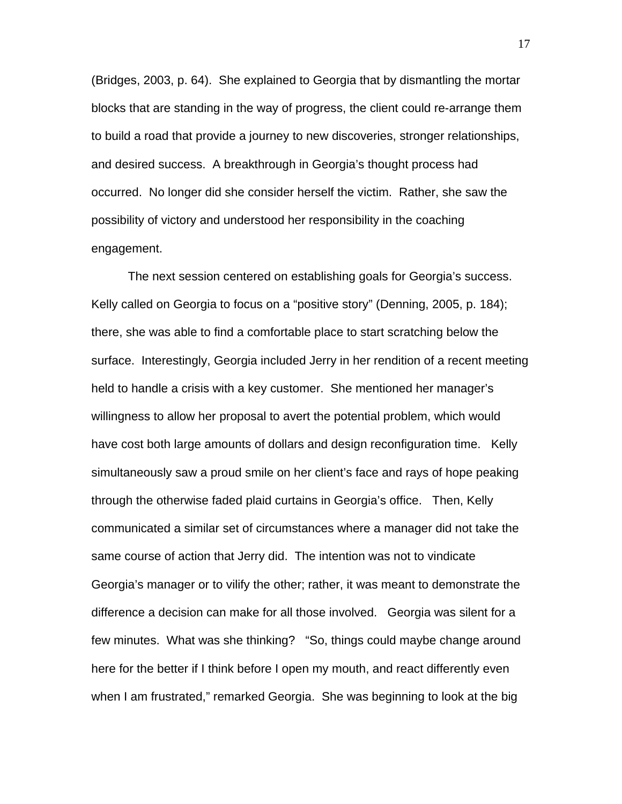(Bridges, 2003, p. 64). She explained to Georgia that by dismantling the mortar blocks that are standing in the way of progress, the client could re-arrange them to build a road that provide a journey to new discoveries, stronger relationships, and desired success. A breakthrough in Georgia's thought process had occurred. No longer did she consider herself the victim. Rather, she saw the possibility of victory and understood her responsibility in the coaching engagement.

The next session centered on establishing goals for Georgia's success. Kelly called on Georgia to focus on a "positive story" (Denning, 2005, p. 184); there, she was able to find a comfortable place to start scratching below the surface. Interestingly, Georgia included Jerry in her rendition of a recent meeting held to handle a crisis with a key customer. She mentioned her manager's willingness to allow her proposal to avert the potential problem, which would have cost both large amounts of dollars and design reconfiguration time. Kelly simultaneously saw a proud smile on her client's face and rays of hope peaking through the otherwise faded plaid curtains in Georgia's office. Then, Kelly communicated a similar set of circumstances where a manager did not take the same course of action that Jerry did. The intention was not to vindicate Georgia's manager or to vilify the other; rather, it was meant to demonstrate the difference a decision can make for all those involved. Georgia was silent for a few minutes. What was she thinking? "So, things could maybe change around here for the better if I think before I open my mouth, and react differently even when I am frustrated," remarked Georgia. She was beginning to look at the big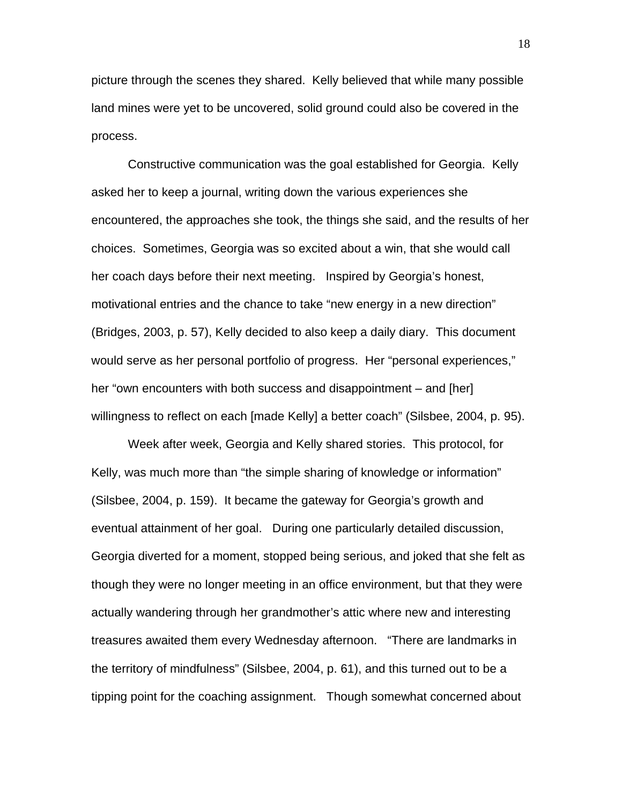picture through the scenes they shared. Kelly believed that while many possible land mines were yet to be uncovered, solid ground could also be covered in the process.

Constructive communication was the goal established for Georgia. Kelly asked her to keep a journal, writing down the various experiences she encountered, the approaches she took, the things she said, and the results of her choices. Sometimes, Georgia was so excited about a win, that she would call her coach days before their next meeting. Inspired by Georgia's honest, motivational entries and the chance to take "new energy in a new direction" (Bridges, 2003, p. 57), Kelly decided to also keep a daily diary. This document would serve as her personal portfolio of progress. Her "personal experiences," her "own encounters with both success and disappointment – and [her] willingness to reflect on each [made Kelly] a better coach" (Silsbee, 2004, p. 95).

Week after week, Georgia and Kelly shared stories. This protocol, for Kelly, was much more than "the simple sharing of knowledge or information" (Silsbee, 2004, p. 159). It became the gateway for Georgia's growth and eventual attainment of her goal. During one particularly detailed discussion, Georgia diverted for a moment, stopped being serious, and joked that she felt as though they were no longer meeting in an office environment, but that they were actually wandering through her grandmother's attic where new and interesting treasures awaited them every Wednesday afternoon. "There are landmarks in the territory of mindfulness" (Silsbee, 2004, p. 61), and this turned out to be a tipping point for the coaching assignment. Though somewhat concerned about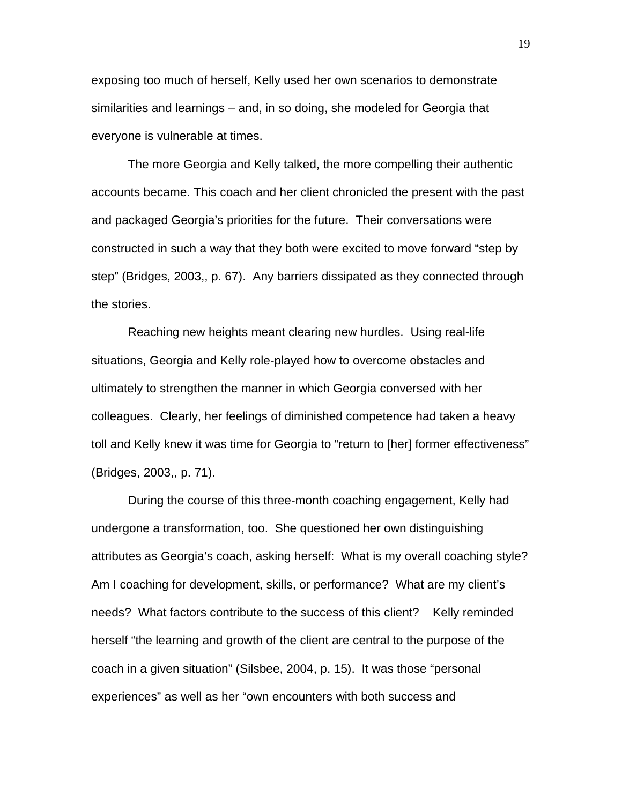exposing too much of herself, Kelly used her own scenarios to demonstrate similarities and learnings – and, in so doing, she modeled for Georgia that everyone is vulnerable at times.

The more Georgia and Kelly talked, the more compelling their authentic accounts became. This coach and her client chronicled the present with the past and packaged Georgia's priorities for the future. Their conversations were constructed in such a way that they both were excited to move forward "step by step" (Bridges, 2003,, p. 67). Any barriers dissipated as they connected through the stories.

Reaching new heights meant clearing new hurdles. Using real-life situations, Georgia and Kelly role-played how to overcome obstacles and ultimately to strengthen the manner in which Georgia conversed with her colleagues. Clearly, her feelings of diminished competence had taken a heavy toll and Kelly knew it was time for Georgia to "return to [her] former effectiveness" (Bridges, 2003,, p. 71).

During the course of this three-month coaching engagement, Kelly had undergone a transformation, too. She questioned her own distinguishing attributes as Georgia's coach, asking herself: What is my overall coaching style? Am I coaching for development, skills, or performance? What are my client's needs? What factors contribute to the success of this client? Kelly reminded herself "the learning and growth of the client are central to the purpose of the coach in a given situation" (Silsbee, 2004, p. 15). It was those "personal experiences" as well as her "own encounters with both success and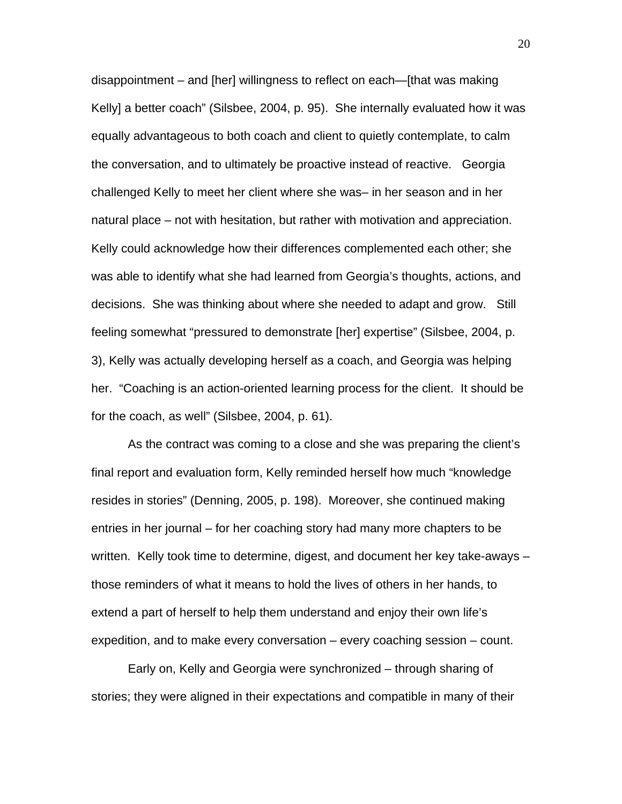disappointment – and [her] willingness to reflect on each—[that was making Kelly] a better coach" (Silsbee, 2004, p. 95). She internally evaluated how it was equally advantageous to both coach and client to quietly contemplate, to calm the conversation, and to ultimately be proactive instead of reactive. Georgia challenged Kelly to meet her client where she was– in her season and in her natural place – not with hesitation, but rather with motivation and appreciation. Kelly could acknowledge how their differences complemented each other; she was able to identify what she had learned from Georgia's thoughts, actions, and decisions. She was thinking about where she needed to adapt and grow. Still feeling somewhat "pressured to demonstrate [her] expertise" (Silsbee, 2004, p. 3), Kelly was actually developing herself as a coach, and Georgia was helping her. "Coaching is an action-oriented learning process for the client. It should be for the coach, as well" (Silsbee, 2004, p. 61).

As the contract was coming to a close and she was preparing the client's final report and evaluation form, Kelly reminded herself how much "knowledge resides in stories" (Denning, 2005, p. 198). Moreover, she continued making entries in her journal – for her coaching story had many more chapters to be written. Kelly took time to determine, digest, and document her key take-aways – those reminders of what it means to hold the lives of others in her hands, to extend a part of herself to help them understand and enjoy their own life's expedition, and to make every conversation – every coaching session – count.

Early on, Kelly and Georgia were synchronized – through sharing of stories; they were aligned in their expectations and compatible in many of their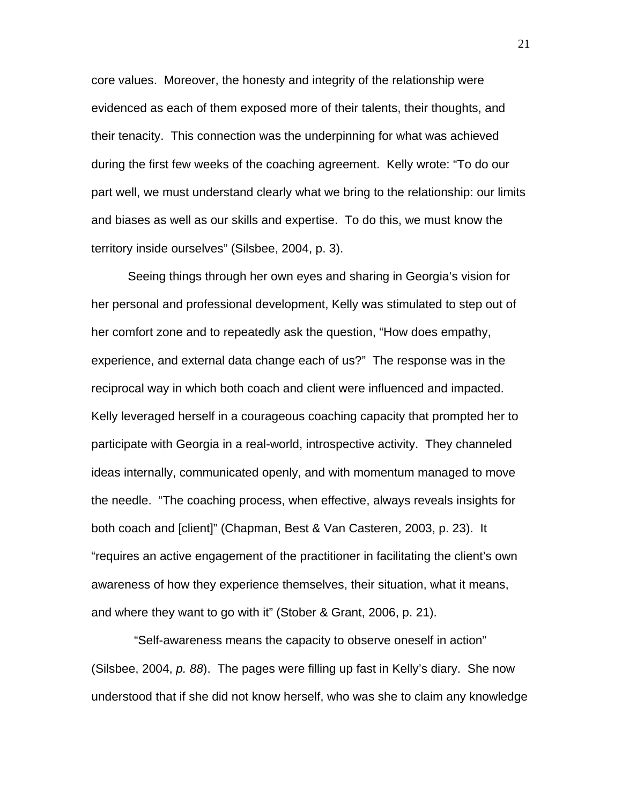core values. Moreover, the honesty and integrity of the relationship were evidenced as each of them exposed more of their talents, their thoughts, and their tenacity. This connection was the underpinning for what was achieved during the first few weeks of the coaching agreement. Kelly wrote: "To do our part well, we must understand clearly what we bring to the relationship: our limits and biases as well as our skills and expertise. To do this, we must know the territory inside ourselves" (Silsbee, 2004, p. 3).

Seeing things through her own eyes and sharing in Georgia's vision for her personal and professional development, Kelly was stimulated to step out of her comfort zone and to repeatedly ask the question, "How does empathy, experience, and external data change each of us?" The response was in the reciprocal way in which both coach and client were influenced and impacted. Kelly leveraged herself in a courageous coaching capacity that prompted her to participate with Georgia in a real-world, introspective activity. They channeled ideas internally, communicated openly, and with momentum managed to move the needle. "The coaching process, when effective, always reveals insights for both coach and [client]" (Chapman, Best & Van Casteren, 2003, p. 23). It "requires an active engagement of the practitioner in facilitating the client's own awareness of how they experience themselves, their situation, what it means, and where they want to go with it" (Stober & Grant, 2006, p. 21).

 "Self-awareness means the capacity to observe oneself in action" (Silsbee, 2004, *p. 88*). The pages were filling up fast in Kelly's diary. She now understood that if she did not know herself, who was she to claim any knowledge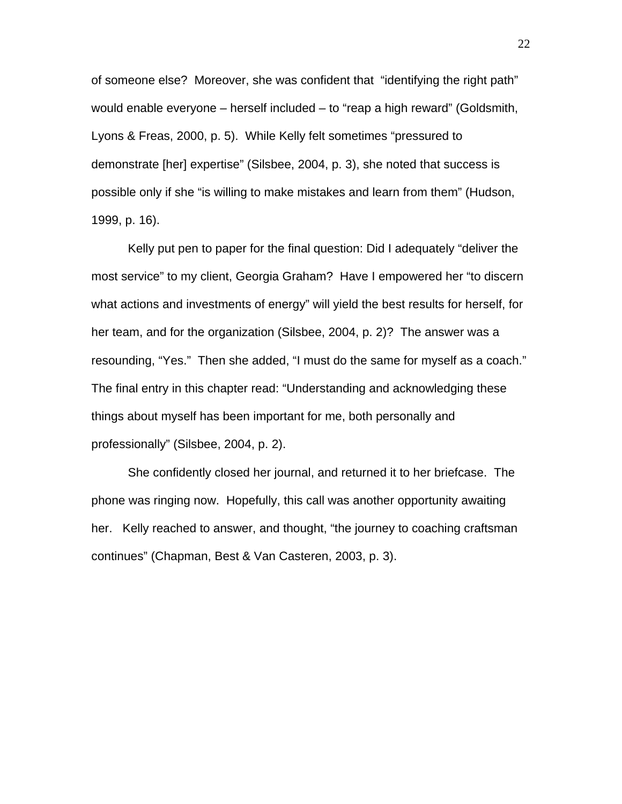of someone else? Moreover, she was confident that "identifying the right path" would enable everyone – herself included – to "reap a high reward" (Goldsmith, Lyons & Freas, 2000, p. 5). While Kelly felt sometimes "pressured to demonstrate [her] expertise" (Silsbee, 2004, p. 3), she noted that success is possible only if she "is willing to make mistakes and learn from them" (Hudson, 1999, p. 16).

Kelly put pen to paper for the final question: Did I adequately "deliver the most service" to my client, Georgia Graham? Have I empowered her "to discern what actions and investments of energy" will yield the best results for herself, for her team, and for the organization (Silsbee, 2004, p. 2)? The answer was a resounding, "Yes." Then she added, "I must do the same for myself as a coach." The final entry in this chapter read: "Understanding and acknowledging these things about myself has been important for me, both personally and professionally" (Silsbee, 2004, p. 2).

She confidently closed her journal, and returned it to her briefcase. The phone was ringing now. Hopefully, this call was another opportunity awaiting her. Kelly reached to answer, and thought, "the journey to coaching craftsman continues" (Chapman, Best & Van Casteren, 2003, p. 3).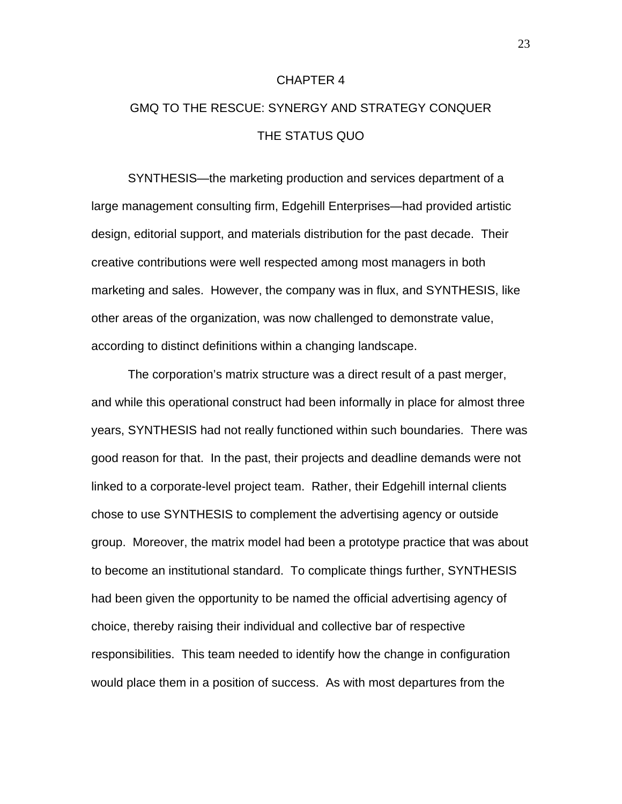### CHAPTER 4

# GMQ TO THE RESCUE: SYNERGY AND STRATEGY CONQUER THE STATUS QUO

SYNTHESIS—the marketing production and services department of a large management consulting firm, Edgehill Enterprises—had provided artistic design, editorial support, and materials distribution for the past decade. Their creative contributions were well respected among most managers in both marketing and sales. However, the company was in flux, and SYNTHESIS, like other areas of the organization, was now challenged to demonstrate value, according to distinct definitions within a changing landscape.

The corporation's matrix structure was a direct result of a past merger, and while this operational construct had been informally in place for almost three years, SYNTHESIS had not really functioned within such boundaries. There was good reason for that. In the past, their projects and deadline demands were not linked to a corporate-level project team. Rather, their Edgehill internal clients chose to use SYNTHESIS to complement the advertising agency or outside group. Moreover, the matrix model had been a prototype practice that was about to become an institutional standard. To complicate things further, SYNTHESIS had been given the opportunity to be named the official advertising agency of choice, thereby raising their individual and collective bar of respective responsibilities. This team needed to identify how the change in configuration would place them in a position of success. As with most departures from the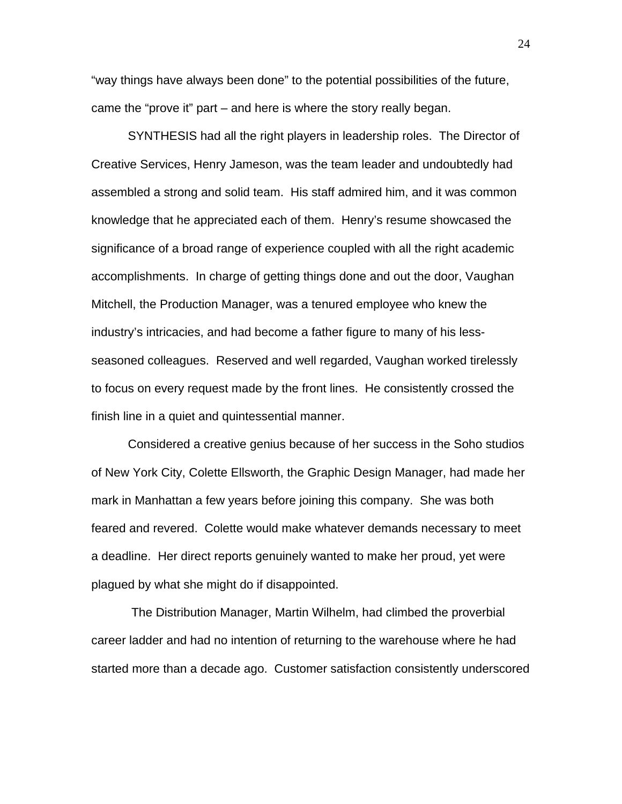"way things have always been done" to the potential possibilities of the future, came the "prove it" part – and here is where the story really began.

SYNTHESIS had all the right players in leadership roles. The Director of Creative Services, Henry Jameson, was the team leader and undoubtedly had assembled a strong and solid team. His staff admired him, and it was common knowledge that he appreciated each of them. Henry's resume showcased the significance of a broad range of experience coupled with all the right academic accomplishments. In charge of getting things done and out the door, Vaughan Mitchell, the Production Manager, was a tenured employee who knew the industry's intricacies, and had become a father figure to many of his lessseasoned colleagues. Reserved and well regarded, Vaughan worked tirelessly to focus on every request made by the front lines. He consistently crossed the finish line in a quiet and quintessential manner.

Considered a creative genius because of her success in the Soho studios of New York City, Colette Ellsworth, the Graphic Design Manager, had made her mark in Manhattan a few years before joining this company. She was both feared and revered. Colette would make whatever demands necessary to meet a deadline. Her direct reports genuinely wanted to make her proud, yet were plagued by what she might do if disappointed.

 The Distribution Manager, Martin Wilhelm, had climbed the proverbial career ladder and had no intention of returning to the warehouse where he had started more than a decade ago. Customer satisfaction consistently underscored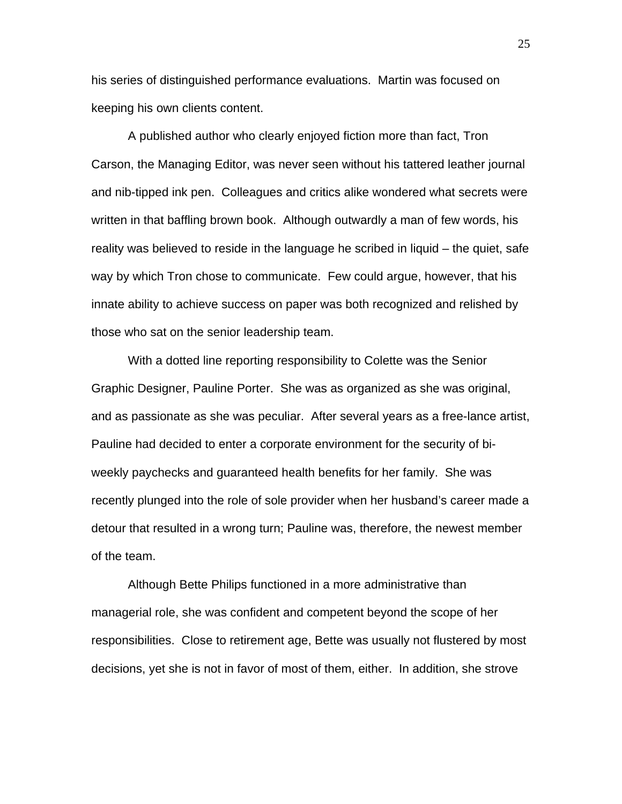his series of distinguished performance evaluations. Martin was focused on keeping his own clients content.

A published author who clearly enjoyed fiction more than fact, Tron Carson, the Managing Editor, was never seen without his tattered leather journal and nib-tipped ink pen. Colleagues and critics alike wondered what secrets were written in that baffling brown book. Although outwardly a man of few words, his reality was believed to reside in the language he scribed in liquid – the quiet, safe way by which Tron chose to communicate. Few could argue, however, that his innate ability to achieve success on paper was both recognized and relished by those who sat on the senior leadership team.

With a dotted line reporting responsibility to Colette was the Senior Graphic Designer, Pauline Porter. She was as organized as she was original, and as passionate as she was peculiar. After several years as a free-lance artist, Pauline had decided to enter a corporate environment for the security of biweekly paychecks and guaranteed health benefits for her family. She was recently plunged into the role of sole provider when her husband's career made a detour that resulted in a wrong turn; Pauline was, therefore, the newest member of the team.

Although Bette Philips functioned in a more administrative than managerial role, she was confident and competent beyond the scope of her responsibilities. Close to retirement age, Bette was usually not flustered by most decisions, yet she is not in favor of most of them, either. In addition, she strove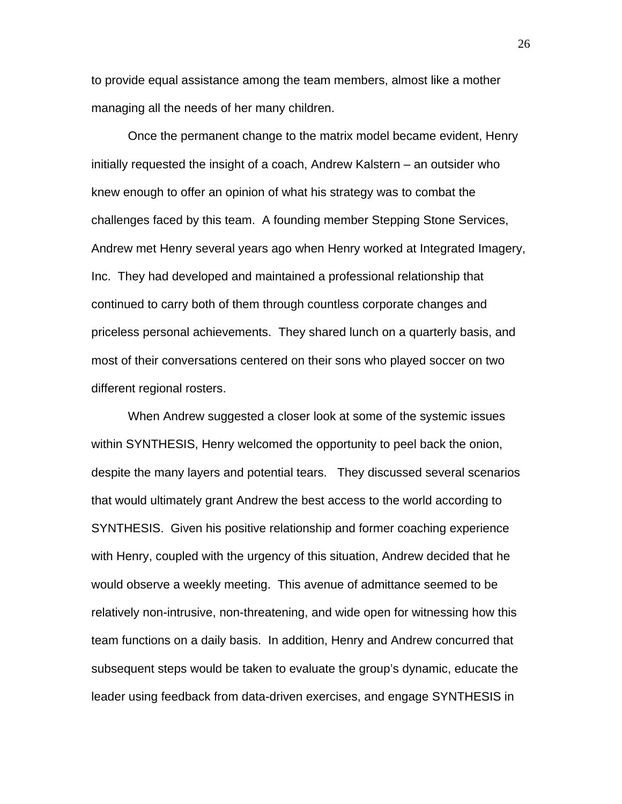to provide equal assistance among the team members, almost like a mother managing all the needs of her many children.

Once the permanent change to the matrix model became evident, Henry initially requested the insight of a coach, Andrew Kalstern – an outsider who knew enough to offer an opinion of what his strategy was to combat the challenges faced by this team. A founding member Stepping Stone Services, Andrew met Henry several years ago when Henry worked at Integrated Imagery, Inc. They had developed and maintained a professional relationship that continued to carry both of them through countless corporate changes and priceless personal achievements. They shared lunch on a quarterly basis, and most of their conversations centered on their sons who played soccer on two different regional rosters.

When Andrew suggested a closer look at some of the systemic issues within SYNTHESIS, Henry welcomed the opportunity to peel back the onion, despite the many layers and potential tears. They discussed several scenarios that would ultimately grant Andrew the best access to the world according to SYNTHESIS. Given his positive relationship and former coaching experience with Henry, coupled with the urgency of this situation, Andrew decided that he would observe a weekly meeting. This avenue of admittance seemed to be relatively non-intrusive, non-threatening, and wide open for witnessing how this team functions on a daily basis. In addition, Henry and Andrew concurred that subsequent steps would be taken to evaluate the group's dynamic, educate the leader using feedback from data-driven exercises, and engage SYNTHESIS in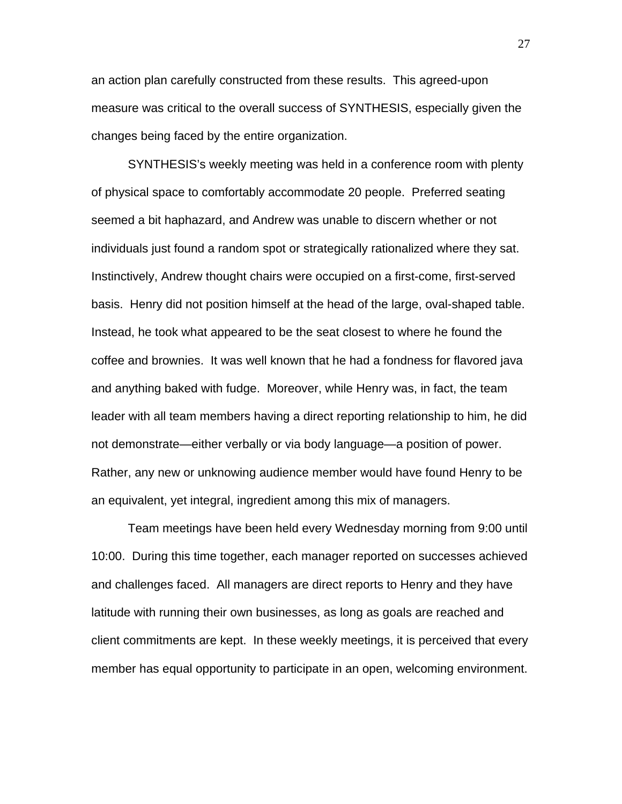an action plan carefully constructed from these results. This agreed-upon measure was critical to the overall success of SYNTHESIS, especially given the changes being faced by the entire organization.

SYNTHESIS's weekly meeting was held in a conference room with plenty of physical space to comfortably accommodate 20 people. Preferred seating seemed a bit haphazard, and Andrew was unable to discern whether or not individuals just found a random spot or strategically rationalized where they sat. Instinctively, Andrew thought chairs were occupied on a first-come, first-served basis. Henry did not position himself at the head of the large, oval-shaped table. Instead, he took what appeared to be the seat closest to where he found the coffee and brownies. It was well known that he had a fondness for flavored java and anything baked with fudge. Moreover, while Henry was, in fact, the team leader with all team members having a direct reporting relationship to him, he did not demonstrate—either verbally or via body language—a position of power. Rather, any new or unknowing audience member would have found Henry to be an equivalent, yet integral, ingredient among this mix of managers.

Team meetings have been held every Wednesday morning from 9:00 until 10:00. During this time together, each manager reported on successes achieved and challenges faced. All managers are direct reports to Henry and they have latitude with running their own businesses, as long as goals are reached and client commitments are kept. In these weekly meetings, it is perceived that every member has equal opportunity to participate in an open, welcoming environment.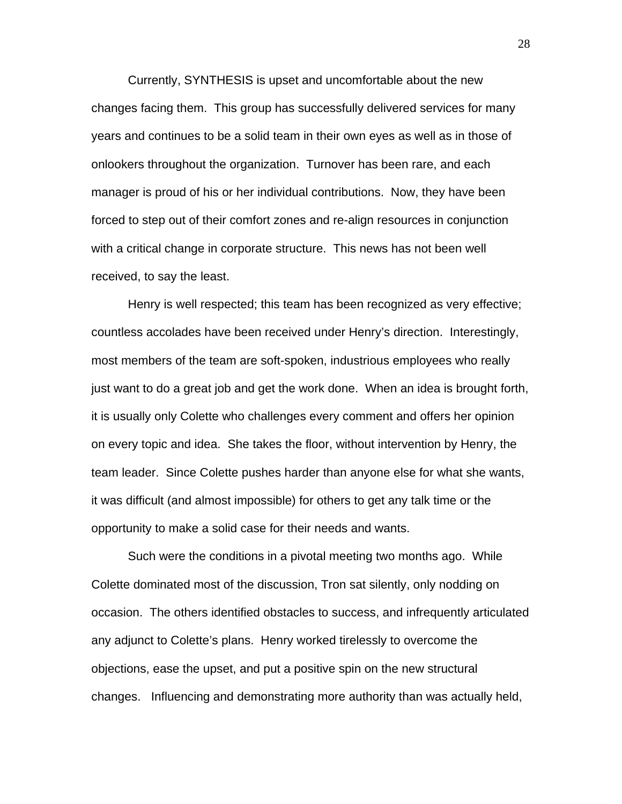Currently, SYNTHESIS is upset and uncomfortable about the new changes facing them. This group has successfully delivered services for many years and continues to be a solid team in their own eyes as well as in those of onlookers throughout the organization. Turnover has been rare, and each manager is proud of his or her individual contributions. Now, they have been forced to step out of their comfort zones and re-align resources in conjunction with a critical change in corporate structure. This news has not been well received, to say the least.

Henry is well respected; this team has been recognized as very effective; countless accolades have been received under Henry's direction. Interestingly, most members of the team are soft-spoken, industrious employees who really just want to do a great job and get the work done. When an idea is brought forth, it is usually only Colette who challenges every comment and offers her opinion on every topic and idea. She takes the floor, without intervention by Henry, the team leader. Since Colette pushes harder than anyone else for what she wants, it was difficult (and almost impossible) for others to get any talk time or the opportunity to make a solid case for their needs and wants.

Such were the conditions in a pivotal meeting two months ago. While Colette dominated most of the discussion, Tron sat silently, only nodding on occasion. The others identified obstacles to success, and infrequently articulated any adjunct to Colette's plans. Henry worked tirelessly to overcome the objections, ease the upset, and put a positive spin on the new structural changes. Influencing and demonstrating more authority than was actually held,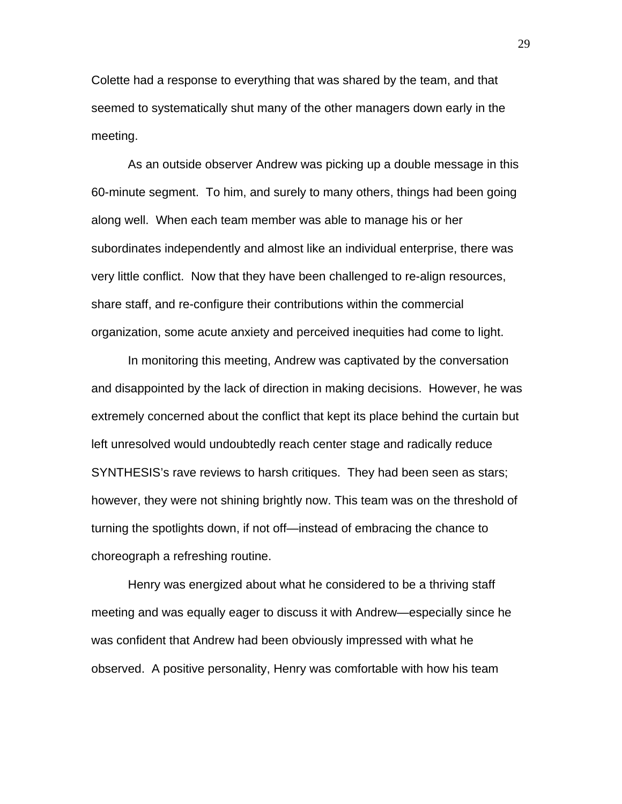Colette had a response to everything that was shared by the team, and that seemed to systematically shut many of the other managers down early in the meeting.

As an outside observer Andrew was picking up a double message in this 60-minute segment. To him, and surely to many others, things had been going along well. When each team member was able to manage his or her subordinates independently and almost like an individual enterprise, there was very little conflict. Now that they have been challenged to re-align resources, share staff, and re-configure their contributions within the commercial organization, some acute anxiety and perceived inequities had come to light.

In monitoring this meeting, Andrew was captivated by the conversation and disappointed by the lack of direction in making decisions. However, he was extremely concerned about the conflict that kept its place behind the curtain but left unresolved would undoubtedly reach center stage and radically reduce SYNTHESIS's rave reviews to harsh critiques. They had been seen as stars; however, they were not shining brightly now. This team was on the threshold of turning the spotlights down, if not off—instead of embracing the chance to choreograph a refreshing routine.

Henry was energized about what he considered to be a thriving staff meeting and was equally eager to discuss it with Andrew—especially since he was confident that Andrew had been obviously impressed with what he observed. A positive personality, Henry was comfortable with how his team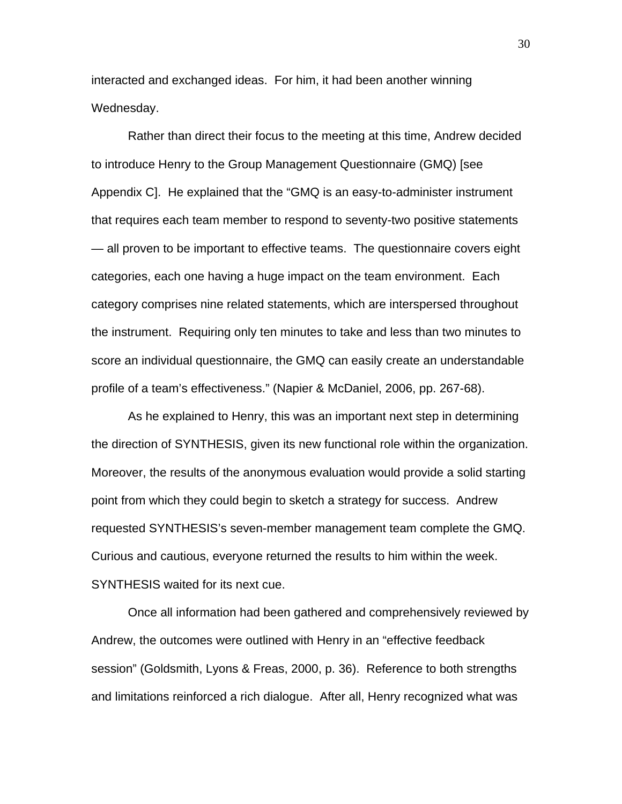interacted and exchanged ideas. For him, it had been another winning Wednesday.

Rather than direct their focus to the meeting at this time, Andrew decided to introduce Henry to the Group Management Questionnaire (GMQ) [see Appendix C]. He explained that the "GMQ is an easy-to-administer instrument that requires each team member to respond to seventy-two positive statements — all proven to be important to effective teams. The questionnaire covers eight categories, each one having a huge impact on the team environment. Each category comprises nine related statements, which are interspersed throughout the instrument. Requiring only ten minutes to take and less than two minutes to score an individual questionnaire, the GMQ can easily create an understandable profile of a team's effectiveness." (Napier & McDaniel, 2006, pp. 267-68).

As he explained to Henry, this was an important next step in determining the direction of SYNTHESIS, given its new functional role within the organization. Moreover, the results of the anonymous evaluation would provide a solid starting point from which they could begin to sketch a strategy for success. Andrew requested SYNTHESIS's seven-member management team complete the GMQ. Curious and cautious, everyone returned the results to him within the week. SYNTHESIS waited for its next cue.

Once all information had been gathered and comprehensively reviewed by Andrew, the outcomes were outlined with Henry in an "effective feedback session" (Goldsmith, Lyons & Freas, 2000, p. 36). Reference to both strengths and limitations reinforced a rich dialogue. After all, Henry recognized what was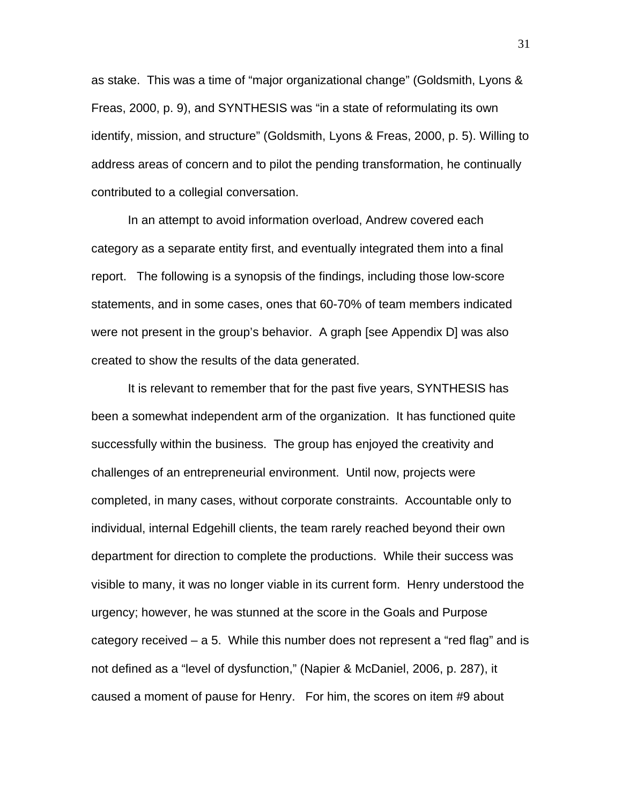as stake. This was a time of "major organizational change" (Goldsmith, Lyons & Freas, 2000, p. 9), and SYNTHESIS was "in a state of reformulating its own identify, mission, and structure" (Goldsmith, Lyons & Freas, 2000, p. 5). Willing to address areas of concern and to pilot the pending transformation, he continually contributed to a collegial conversation.

In an attempt to avoid information overload, Andrew covered each category as a separate entity first, and eventually integrated them into a final report. The following is a synopsis of the findings, including those low-score statements, and in some cases, ones that 60-70% of team members indicated were not present in the group's behavior. A graph [see Appendix D] was also created to show the results of the data generated.

It is relevant to remember that for the past five years, SYNTHESIS has been a somewhat independent arm of the organization. It has functioned quite successfully within the business. The group has enjoyed the creativity and challenges of an entrepreneurial environment. Until now, projects were completed, in many cases, without corporate constraints. Accountable only to individual, internal Edgehill clients, the team rarely reached beyond their own department for direction to complete the productions. While their success was visible to many, it was no longer viable in its current form. Henry understood the urgency; however, he was stunned at the score in the Goals and Purpose category received – a 5. While this number does not represent a "red flag" and is not defined as a "level of dysfunction," (Napier & McDaniel, 2006, p. 287), it caused a moment of pause for Henry. For him, the scores on item #9 about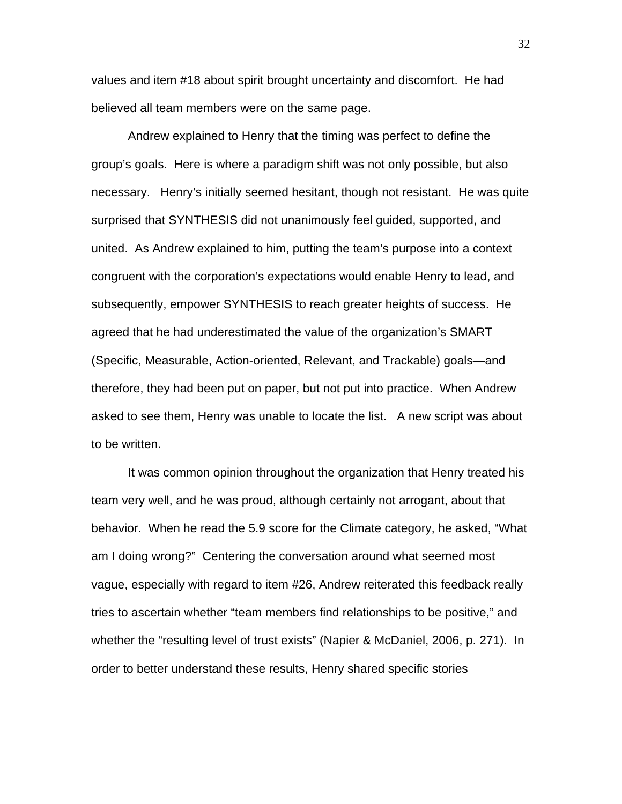values and item #18 about spirit brought uncertainty and discomfort. He had believed all team members were on the same page.

Andrew explained to Henry that the timing was perfect to define the group's goals. Here is where a paradigm shift was not only possible, but also necessary. Henry's initially seemed hesitant, though not resistant. He was quite surprised that SYNTHESIS did not unanimously feel guided, supported, and united. As Andrew explained to him, putting the team's purpose into a context congruent with the corporation's expectations would enable Henry to lead, and subsequently, empower SYNTHESIS to reach greater heights of success. He agreed that he had underestimated the value of the organization's SMART (Specific, Measurable, Action-oriented, Relevant, and Trackable) goals—and therefore, they had been put on paper, but not put into practice. When Andrew asked to see them, Henry was unable to locate the list. A new script was about to be written.

It was common opinion throughout the organization that Henry treated his team very well, and he was proud, although certainly not arrogant, about that behavior. When he read the 5.9 score for the Climate category, he asked, "What am I doing wrong?" Centering the conversation around what seemed most vague, especially with regard to item #26, Andrew reiterated this feedback really tries to ascertain whether "team members find relationships to be positive," and whether the "resulting level of trust exists" (Napier & McDaniel, 2006, p. 271). In order to better understand these results, Henry shared specific stories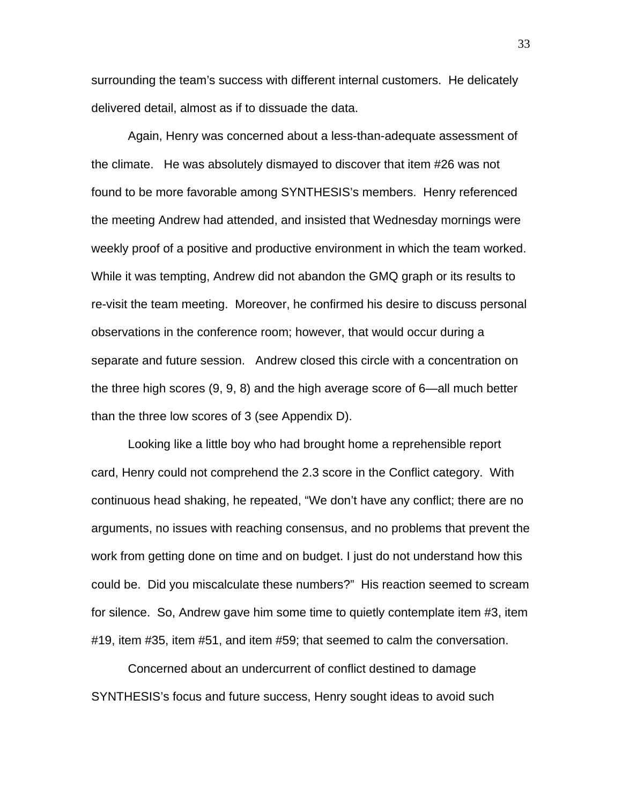surrounding the team's success with different internal customers. He delicately delivered detail, almost as if to dissuade the data.

Again, Henry was concerned about a less-than-adequate assessment of the climate. He was absolutely dismayed to discover that item #26 was not found to be more favorable among SYNTHESIS's members. Henry referenced the meeting Andrew had attended, and insisted that Wednesday mornings were weekly proof of a positive and productive environment in which the team worked. While it was tempting, Andrew did not abandon the GMQ graph or its results to re-visit the team meeting. Moreover, he confirmed his desire to discuss personal observations in the conference room; however, that would occur during a separate and future session. Andrew closed this circle with a concentration on the three high scores (9, 9, 8) and the high average score of 6—all much better than the three low scores of 3 (see Appendix D).

Looking like a little boy who had brought home a reprehensible report card, Henry could not comprehend the 2.3 score in the Conflict category. With continuous head shaking, he repeated, "We don't have any conflict; there are no arguments, no issues with reaching consensus, and no problems that prevent the work from getting done on time and on budget. I just do not understand how this could be. Did you miscalculate these numbers?" His reaction seemed to scream for silence. So, Andrew gave him some time to quietly contemplate item #3, item #19, item #35, item #51, and item #59; that seemed to calm the conversation.

Concerned about an undercurrent of conflict destined to damage SYNTHESIS's focus and future success, Henry sought ideas to avoid such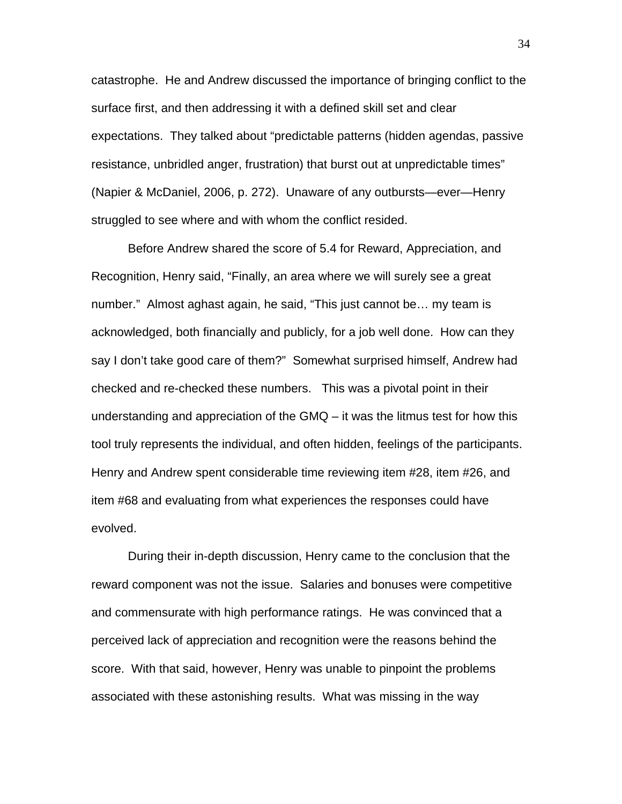catastrophe. He and Andrew discussed the importance of bringing conflict to the surface first, and then addressing it with a defined skill set and clear expectations. They talked about "predictable patterns (hidden agendas, passive resistance, unbridled anger, frustration) that burst out at unpredictable times" (Napier & McDaniel, 2006, p. 272). Unaware of any outbursts—ever—Henry struggled to see where and with whom the conflict resided.

Before Andrew shared the score of 5.4 for Reward, Appreciation, and Recognition, Henry said, "Finally, an area where we will surely see a great number." Almost aghast again, he said, "This just cannot be… my team is acknowledged, both financially and publicly, for a job well done. How can they say I don't take good care of them?" Somewhat surprised himself, Andrew had checked and re-checked these numbers. This was a pivotal point in their understanding and appreciation of the GMQ – it was the litmus test for how this tool truly represents the individual, and often hidden, feelings of the participants. Henry and Andrew spent considerable time reviewing item #28, item #26, and item #68 and evaluating from what experiences the responses could have evolved.

During their in-depth discussion, Henry came to the conclusion that the reward component was not the issue. Salaries and bonuses were competitive and commensurate with high performance ratings. He was convinced that a perceived lack of appreciation and recognition were the reasons behind the score. With that said, however, Henry was unable to pinpoint the problems associated with these astonishing results. What was missing in the way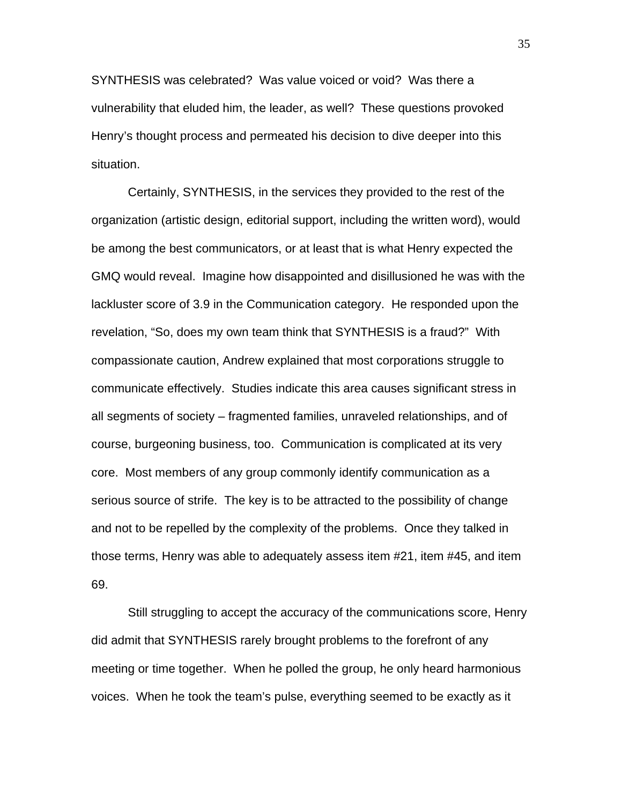SYNTHESIS was celebrated? Was value voiced or void? Was there a vulnerability that eluded him, the leader, as well? These questions provoked Henry's thought process and permeated his decision to dive deeper into this situation.

Certainly, SYNTHESIS, in the services they provided to the rest of the organization (artistic design, editorial support, including the written word), would be among the best communicators, or at least that is what Henry expected the GMQ would reveal. Imagine how disappointed and disillusioned he was with the lackluster score of 3.9 in the Communication category. He responded upon the revelation, "So, does my own team think that SYNTHESIS is a fraud?" With compassionate caution, Andrew explained that most corporations struggle to communicate effectively. Studies indicate this area causes significant stress in all segments of society – fragmented families, unraveled relationships, and of course, burgeoning business, too. Communication is complicated at its very core. Most members of any group commonly identify communication as a serious source of strife. The key is to be attracted to the possibility of change and not to be repelled by the complexity of the problems. Once they talked in those terms, Henry was able to adequately assess item #21, item #45, and item 69.

Still struggling to accept the accuracy of the communications score, Henry did admit that SYNTHESIS rarely brought problems to the forefront of any meeting or time together. When he polled the group, he only heard harmonious voices. When he took the team's pulse, everything seemed to be exactly as it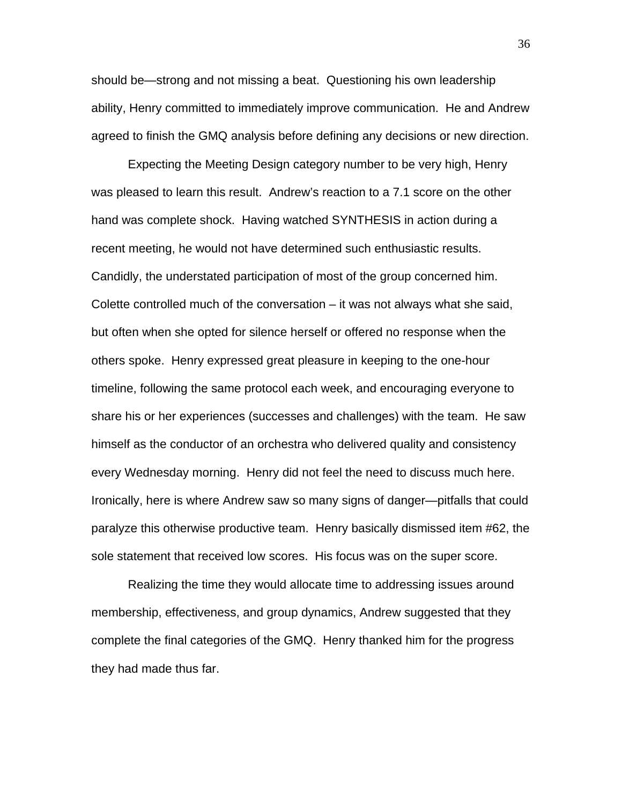should be—strong and not missing a beat. Questioning his own leadership ability, Henry committed to immediately improve communication. He and Andrew agreed to finish the GMQ analysis before defining any decisions or new direction.

Expecting the Meeting Design category number to be very high, Henry was pleased to learn this result. Andrew's reaction to a 7.1 score on the other hand was complete shock. Having watched SYNTHESIS in action during a recent meeting, he would not have determined such enthusiastic results. Candidly, the understated participation of most of the group concerned him. Colette controlled much of the conversation – it was not always what she said, but often when she opted for silence herself or offered no response when the others spoke. Henry expressed great pleasure in keeping to the one-hour timeline, following the same protocol each week, and encouraging everyone to share his or her experiences (successes and challenges) with the team. He saw himself as the conductor of an orchestra who delivered quality and consistency every Wednesday morning. Henry did not feel the need to discuss much here. Ironically, here is where Andrew saw so many signs of danger—pitfalls that could paralyze this otherwise productive team. Henry basically dismissed item #62, the sole statement that received low scores. His focus was on the super score.

Realizing the time they would allocate time to addressing issues around membership, effectiveness, and group dynamics, Andrew suggested that they complete the final categories of the GMQ. Henry thanked him for the progress they had made thus far.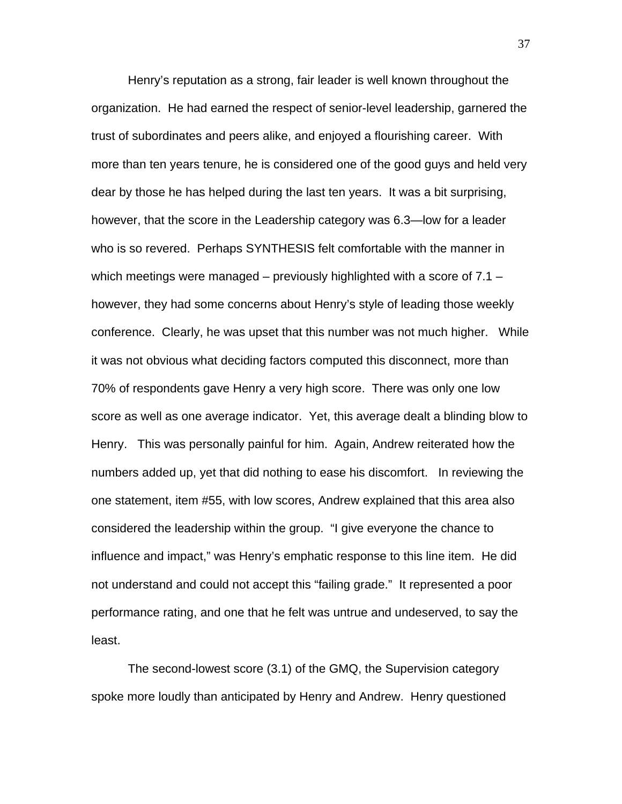Henry's reputation as a strong, fair leader is well known throughout the organization. He had earned the respect of senior-level leadership, garnered the trust of subordinates and peers alike, and enjoyed a flourishing career. With more than ten years tenure, he is considered one of the good guys and held very dear by those he has helped during the last ten years. It was a bit surprising, however, that the score in the Leadership category was 6.3—low for a leader who is so revered. Perhaps SYNTHESIS felt comfortable with the manner in which meetings were managed – previously highlighted with a score of  $7.1$ however, they had some concerns about Henry's style of leading those weekly conference. Clearly, he was upset that this number was not much higher. While it was not obvious what deciding factors computed this disconnect, more than 70% of respondents gave Henry a very high score. There was only one low score as well as one average indicator. Yet, this average dealt a blinding blow to Henry. This was personally painful for him. Again, Andrew reiterated how the numbers added up, yet that did nothing to ease his discomfort. In reviewing the one statement, item #55, with low scores, Andrew explained that this area also considered the leadership within the group. "I give everyone the chance to influence and impact," was Henry's emphatic response to this line item. He did not understand and could not accept this "failing grade." It represented a poor performance rating, and one that he felt was untrue and undeserved, to say the least.

The second-lowest score (3.1) of the GMQ, the Supervision category spoke more loudly than anticipated by Henry and Andrew. Henry questioned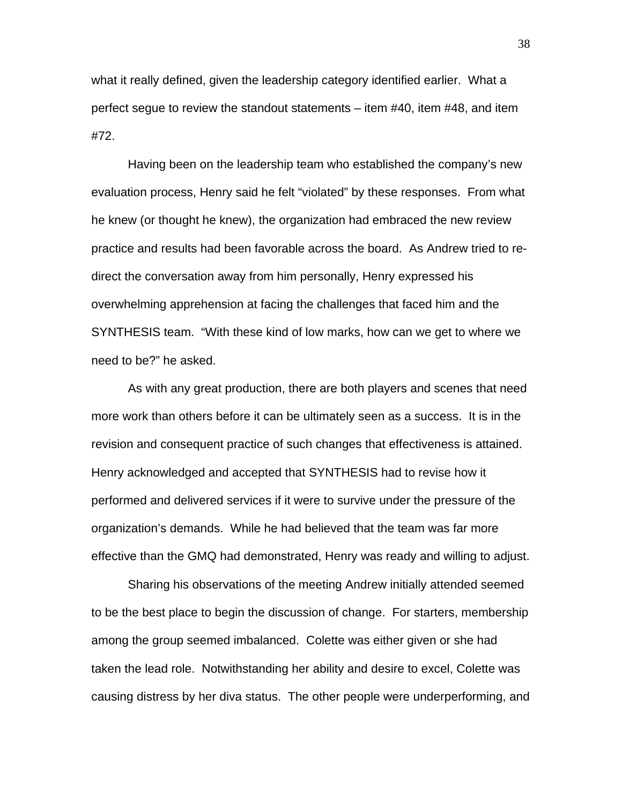what it really defined, given the leadership category identified earlier. What a perfect segue to review the standout statements – item #40, item #48, and item #72.

Having been on the leadership team who established the company's new evaluation process, Henry said he felt "violated" by these responses. From what he knew (or thought he knew), the organization had embraced the new review practice and results had been favorable across the board. As Andrew tried to redirect the conversation away from him personally, Henry expressed his overwhelming apprehension at facing the challenges that faced him and the SYNTHESIS team. "With these kind of low marks, how can we get to where we need to be?" he asked.

As with any great production, there are both players and scenes that need more work than others before it can be ultimately seen as a success. It is in the revision and consequent practice of such changes that effectiveness is attained. Henry acknowledged and accepted that SYNTHESIS had to revise how it performed and delivered services if it were to survive under the pressure of the organization's demands. While he had believed that the team was far more effective than the GMQ had demonstrated, Henry was ready and willing to adjust.

Sharing his observations of the meeting Andrew initially attended seemed to be the best place to begin the discussion of change. For starters, membership among the group seemed imbalanced. Colette was either given or she had taken the lead role. Notwithstanding her ability and desire to excel, Colette was causing distress by her diva status. The other people were underperforming, and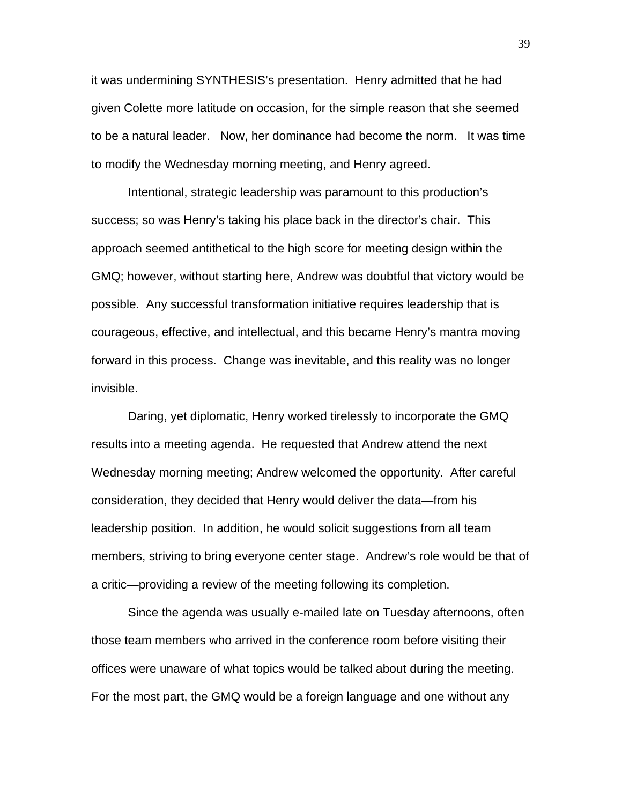it was undermining SYNTHESIS's presentation. Henry admitted that he had given Colette more latitude on occasion, for the simple reason that she seemed to be a natural leader. Now, her dominance had become the norm. It was time to modify the Wednesday morning meeting, and Henry agreed.

Intentional, strategic leadership was paramount to this production's success; so was Henry's taking his place back in the director's chair. This approach seemed antithetical to the high score for meeting design within the GMQ; however, without starting here, Andrew was doubtful that victory would be possible. Any successful transformation initiative requires leadership that is courageous, effective, and intellectual, and this became Henry's mantra moving forward in this process. Change was inevitable, and this reality was no longer invisible.

Daring, yet diplomatic, Henry worked tirelessly to incorporate the GMQ results into a meeting agenda. He requested that Andrew attend the next Wednesday morning meeting; Andrew welcomed the opportunity. After careful consideration, they decided that Henry would deliver the data—from his leadership position. In addition, he would solicit suggestions from all team members, striving to bring everyone center stage. Andrew's role would be that of a critic—providing a review of the meeting following its completion.

Since the agenda was usually e-mailed late on Tuesday afternoons, often those team members who arrived in the conference room before visiting their offices were unaware of what topics would be talked about during the meeting. For the most part, the GMQ would be a foreign language and one without any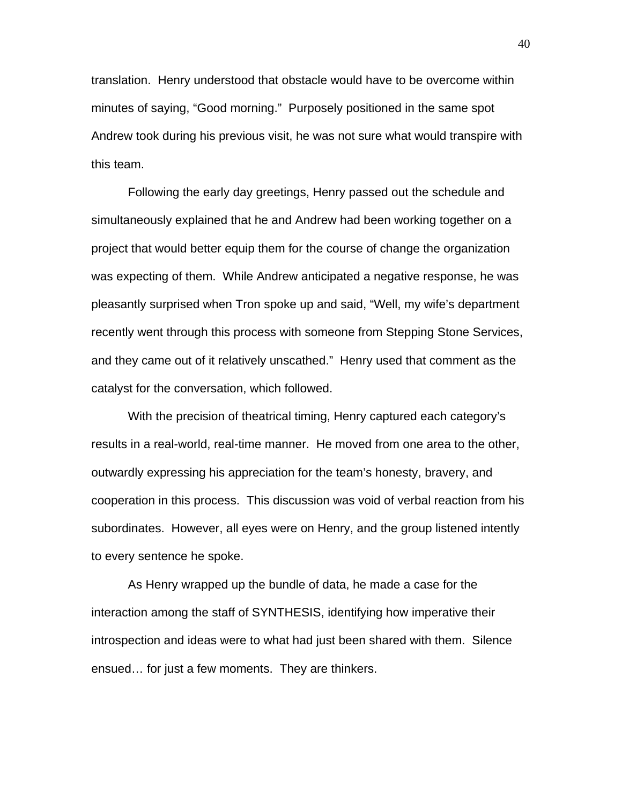translation. Henry understood that obstacle would have to be overcome within minutes of saying, "Good morning." Purposely positioned in the same spot Andrew took during his previous visit, he was not sure what would transpire with this team.

Following the early day greetings, Henry passed out the schedule and simultaneously explained that he and Andrew had been working together on a project that would better equip them for the course of change the organization was expecting of them. While Andrew anticipated a negative response, he was pleasantly surprised when Tron spoke up and said, "Well, my wife's department recently went through this process with someone from Stepping Stone Services, and they came out of it relatively unscathed." Henry used that comment as the catalyst for the conversation, which followed.

With the precision of theatrical timing, Henry captured each category's results in a real-world, real-time manner. He moved from one area to the other, outwardly expressing his appreciation for the team's honesty, bravery, and cooperation in this process. This discussion was void of verbal reaction from his subordinates. However, all eyes were on Henry, and the group listened intently to every sentence he spoke.

As Henry wrapped up the bundle of data, he made a case for the interaction among the staff of SYNTHESIS, identifying how imperative their introspection and ideas were to what had just been shared with them. Silence ensued… for just a few moments. They are thinkers.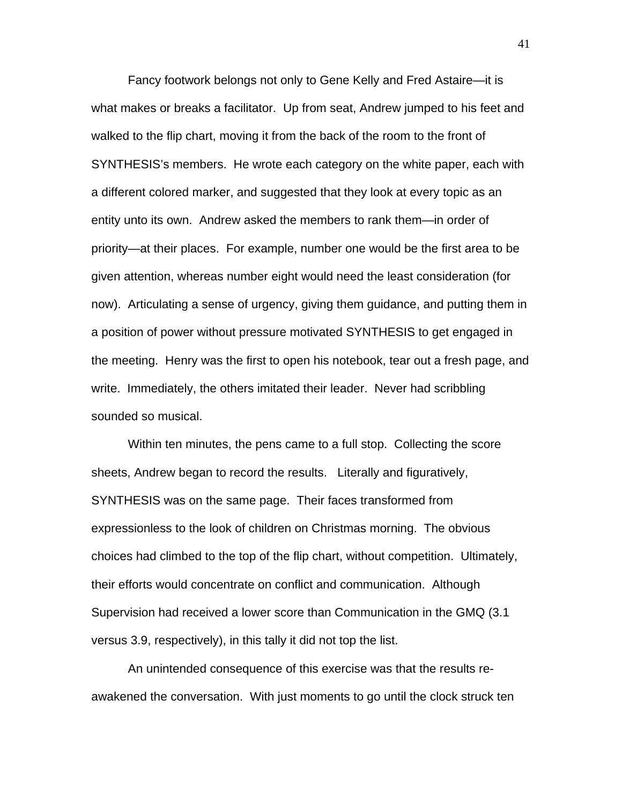Fancy footwork belongs not only to Gene Kelly and Fred Astaire—it is what makes or breaks a facilitator. Up from seat, Andrew jumped to his feet and walked to the flip chart, moving it from the back of the room to the front of SYNTHESIS's members. He wrote each category on the white paper, each with a different colored marker, and suggested that they look at every topic as an entity unto its own. Andrew asked the members to rank them—in order of priority—at their places. For example, number one would be the first area to be given attention, whereas number eight would need the least consideration (for now). Articulating a sense of urgency, giving them guidance, and putting them in a position of power without pressure motivated SYNTHESIS to get engaged in the meeting. Henry was the first to open his notebook, tear out a fresh page, and write. Immediately, the others imitated their leader. Never had scribbling sounded so musical.

Within ten minutes, the pens came to a full stop. Collecting the score sheets, Andrew began to record the results. Literally and figuratively, SYNTHESIS was on the same page. Their faces transformed from expressionless to the look of children on Christmas morning. The obvious choices had climbed to the top of the flip chart, without competition. Ultimately, their efforts would concentrate on conflict and communication. Although Supervision had received a lower score than Communication in the GMQ (3.1 versus 3.9, respectively), in this tally it did not top the list.

An unintended consequence of this exercise was that the results reawakened the conversation. With just moments to go until the clock struck ten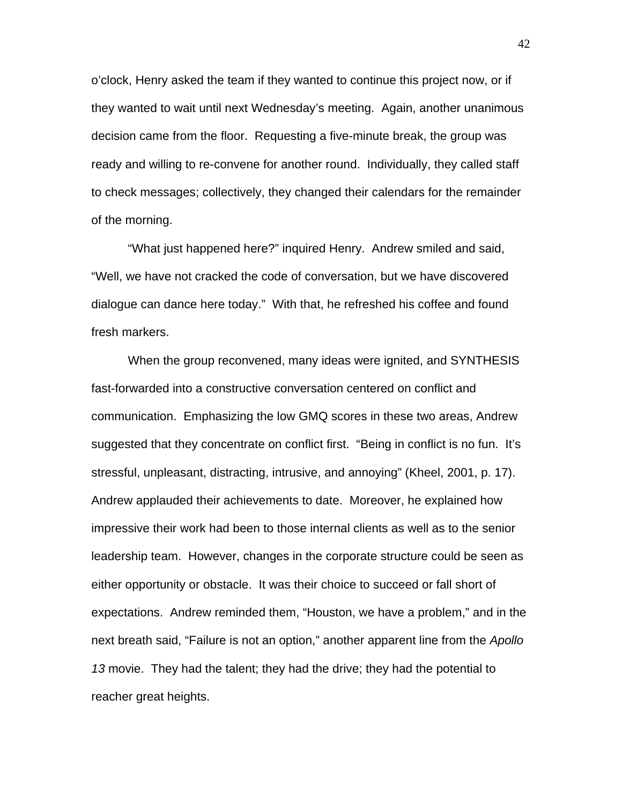o'clock, Henry asked the team if they wanted to continue this project now, or if they wanted to wait until next Wednesday's meeting. Again, another unanimous decision came from the floor. Requesting a five-minute break, the group was ready and willing to re-convene for another round. Individually, they called staff to check messages; collectively, they changed their calendars for the remainder of the morning.

"What just happened here?" inquired Henry. Andrew smiled and said, "Well, we have not cracked the code of conversation, but we have discovered dialogue can dance here today." With that, he refreshed his coffee and found fresh markers.

When the group reconvened, many ideas were ignited, and SYNTHESIS fast-forwarded into a constructive conversation centered on conflict and communication. Emphasizing the low GMQ scores in these two areas, Andrew suggested that they concentrate on conflict first. "Being in conflict is no fun. It's stressful, unpleasant, distracting, intrusive, and annoying" (Kheel, 2001, p. 17). Andrew applauded their achievements to date. Moreover, he explained how impressive their work had been to those internal clients as well as to the senior leadership team. However, changes in the corporate structure could be seen as either opportunity or obstacle. It was their choice to succeed or fall short of expectations. Andrew reminded them, "Houston, we have a problem," and in the next breath said, "Failure is not an option," another apparent line from the *Apollo 13* movie. They had the talent; they had the drive; they had the potential to reacher great heights.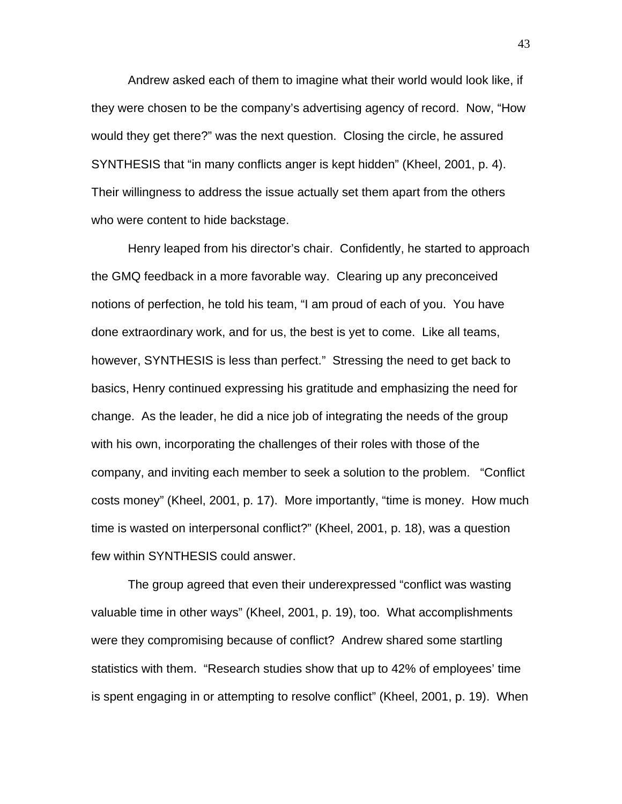Andrew asked each of them to imagine what their world would look like, if they were chosen to be the company's advertising agency of record. Now, "How would they get there?" was the next question. Closing the circle, he assured SYNTHESIS that "in many conflicts anger is kept hidden" (Kheel, 2001, p. 4). Their willingness to address the issue actually set them apart from the others who were content to hide backstage.

Henry leaped from his director's chair. Confidently, he started to approach the GMQ feedback in a more favorable way. Clearing up any preconceived notions of perfection, he told his team, "I am proud of each of you. You have done extraordinary work, and for us, the best is yet to come. Like all teams, however, SYNTHESIS is less than perfect." Stressing the need to get back to basics, Henry continued expressing his gratitude and emphasizing the need for change. As the leader, he did a nice job of integrating the needs of the group with his own, incorporating the challenges of their roles with those of the company, and inviting each member to seek a solution to the problem. "Conflict costs money" (Kheel, 2001, p. 17). More importantly, "time is money. How much time is wasted on interpersonal conflict?" (Kheel, 2001, p. 18), was a question few within SYNTHESIS could answer.

The group agreed that even their underexpressed "conflict was wasting valuable time in other ways" (Kheel, 2001, p. 19), too. What accomplishments were they compromising because of conflict? Andrew shared some startling statistics with them. "Research studies show that up to 42% of employees' time is spent engaging in or attempting to resolve conflict" (Kheel, 2001, p. 19). When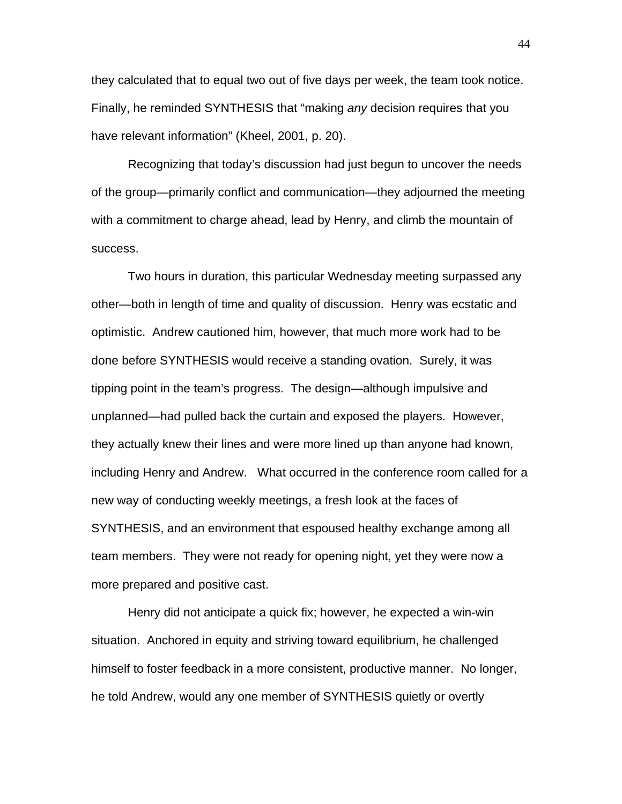they calculated that to equal two out of five days per week, the team took notice. Finally, he reminded SYNTHESIS that "making *any* decision requires that you have relevant information" (Kheel, 2001, p. 20).

 Recognizing that today's discussion had just begun to uncover the needs of the group—primarily conflict and communication—they adjourned the meeting with a commitment to charge ahead, lead by Henry, and climb the mountain of success.

Two hours in duration, this particular Wednesday meeting surpassed any other—both in length of time and quality of discussion. Henry was ecstatic and optimistic. Andrew cautioned him, however, that much more work had to be done before SYNTHESIS would receive a standing ovation. Surely, it was tipping point in the team's progress. The design—although impulsive and unplanned—had pulled back the curtain and exposed the players. However, they actually knew their lines and were more lined up than anyone had known, including Henry and Andrew. What occurred in the conference room called for a new way of conducting weekly meetings, a fresh look at the faces of SYNTHESIS, and an environment that espoused healthy exchange among all team members. They were not ready for opening night, yet they were now a more prepared and positive cast.

Henry did not anticipate a quick fix; however, he expected a win-win situation. Anchored in equity and striving toward equilibrium, he challenged himself to foster feedback in a more consistent, productive manner. No longer, he told Andrew, would any one member of SYNTHESIS quietly or overtly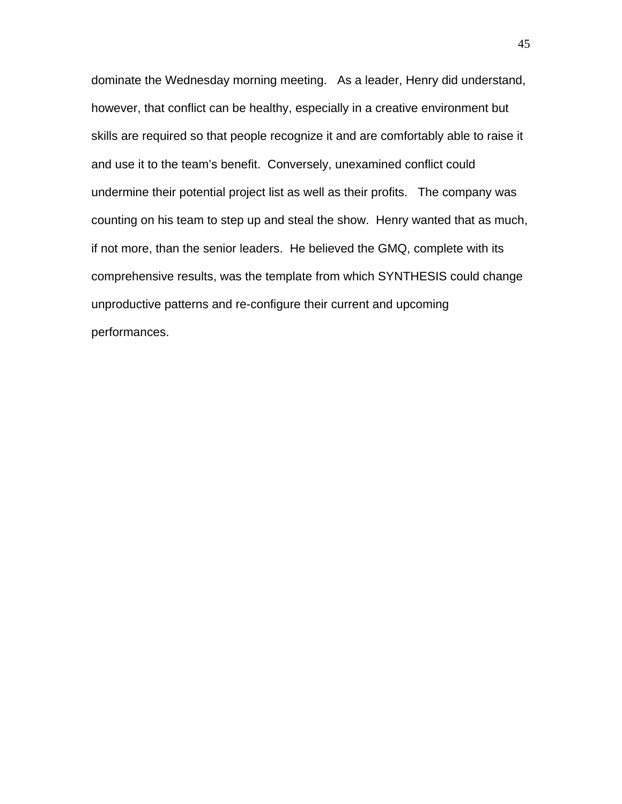dominate the Wednesday morning meeting. As a leader, Henry did understand, however, that conflict can be healthy, especially in a creative environment but skills are required so that people recognize it and are comfortably able to raise it and use it to the team's benefit. Conversely, unexamined conflict could undermine their potential project list as well as their profits. The company was counting on his team to step up and steal the show. Henry wanted that as much, if not more, than the senior leaders. He believed the GMQ, complete with its comprehensive results, was the template from which SYNTHESIS could change unproductive patterns and re-configure their current and upcoming performances.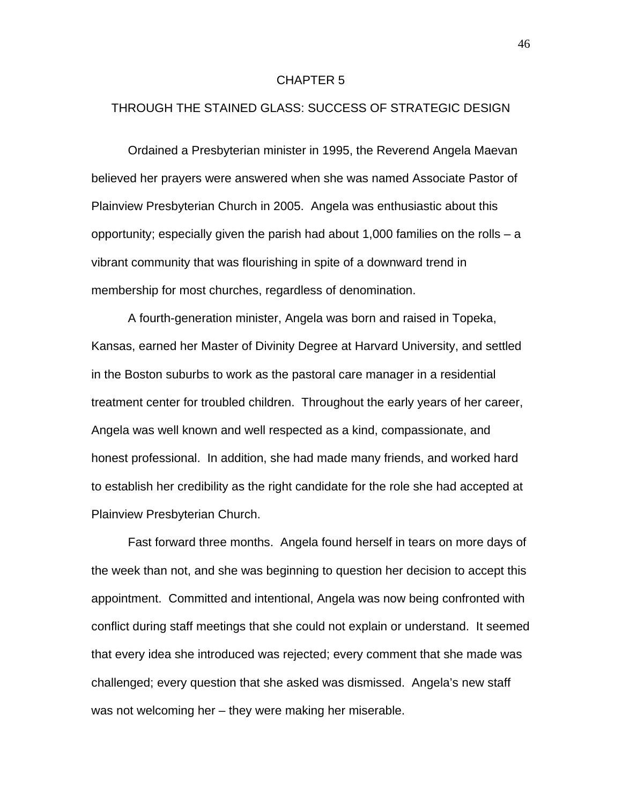#### CHAPTER 5

# THROUGH THE STAINED GLASS: SUCCESS OF STRATEGIC DESIGN

Ordained a Presbyterian minister in 1995, the Reverend Angela Maevan believed her prayers were answered when she was named Associate Pastor of Plainview Presbyterian Church in 2005. Angela was enthusiastic about this opportunity; especially given the parish had about 1,000 families on the rolls – a vibrant community that was flourishing in spite of a downward trend in membership for most churches, regardless of denomination.

A fourth-generation minister, Angela was born and raised in Topeka, Kansas, earned her Master of Divinity Degree at Harvard University, and settled in the Boston suburbs to work as the pastoral care manager in a residential treatment center for troubled children. Throughout the early years of her career, Angela was well known and well respected as a kind, compassionate, and honest professional. In addition, she had made many friends, and worked hard to establish her credibility as the right candidate for the role she had accepted at Plainview Presbyterian Church.

Fast forward three months. Angela found herself in tears on more days of the week than not, and she was beginning to question her decision to accept this appointment. Committed and intentional, Angela was now being confronted with conflict during staff meetings that she could not explain or understand. It seemed that every idea she introduced was rejected; every comment that she made was challenged; every question that she asked was dismissed. Angela's new staff was not welcoming her – they were making her miserable.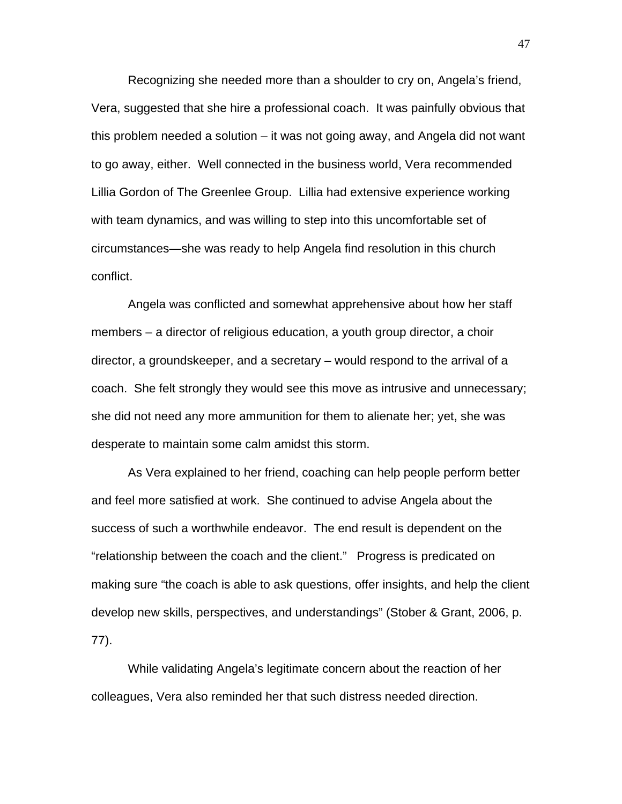Recognizing she needed more than a shoulder to cry on, Angela's friend, Vera, suggested that she hire a professional coach. It was painfully obvious that this problem needed a solution – it was not going away, and Angela did not want to go away, either. Well connected in the business world, Vera recommended Lillia Gordon of The Greenlee Group. Lillia had extensive experience working with team dynamics, and was willing to step into this uncomfortable set of circumstances—she was ready to help Angela find resolution in this church conflict.

Angela was conflicted and somewhat apprehensive about how her staff members – a director of religious education, a youth group director, a choir director, a groundskeeper, and a secretary – would respond to the arrival of a coach. She felt strongly they would see this move as intrusive and unnecessary; she did not need any more ammunition for them to alienate her; yet, she was desperate to maintain some calm amidst this storm.

As Vera explained to her friend, coaching can help people perform better and feel more satisfied at work. She continued to advise Angela about the success of such a worthwhile endeavor. The end result is dependent on the "relationship between the coach and the client." Progress is predicated on making sure "the coach is able to ask questions, offer insights, and help the client develop new skills, perspectives, and understandings" (Stober & Grant, 2006, p. 77).

While validating Angela's legitimate concern about the reaction of her colleagues, Vera also reminded her that such distress needed direction.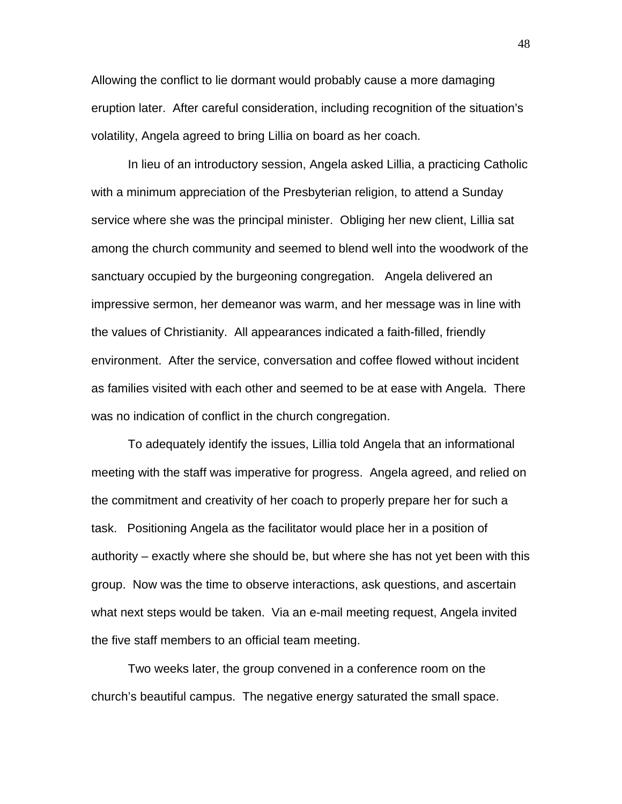Allowing the conflict to lie dormant would probably cause a more damaging eruption later. After careful consideration, including recognition of the situation's volatility, Angela agreed to bring Lillia on board as her coach.

In lieu of an introductory session, Angela asked Lillia, a practicing Catholic with a minimum appreciation of the Presbyterian religion, to attend a Sunday service where she was the principal minister. Obliging her new client, Lillia sat among the church community and seemed to blend well into the woodwork of the sanctuary occupied by the burgeoning congregation. Angela delivered an impressive sermon, her demeanor was warm, and her message was in line with the values of Christianity. All appearances indicated a faith-filled, friendly environment. After the service, conversation and coffee flowed without incident as families visited with each other and seemed to be at ease with Angela. There was no indication of conflict in the church congregation.

To adequately identify the issues, Lillia told Angela that an informational meeting with the staff was imperative for progress. Angela agreed, and relied on the commitment and creativity of her coach to properly prepare her for such a task. Positioning Angela as the facilitator would place her in a position of authority – exactly where she should be, but where she has not yet been with this group. Now was the time to observe interactions, ask questions, and ascertain what next steps would be taken. Via an e-mail meeting request, Angela invited the five staff members to an official team meeting.

Two weeks later, the group convened in a conference room on the church's beautiful campus. The negative energy saturated the small space.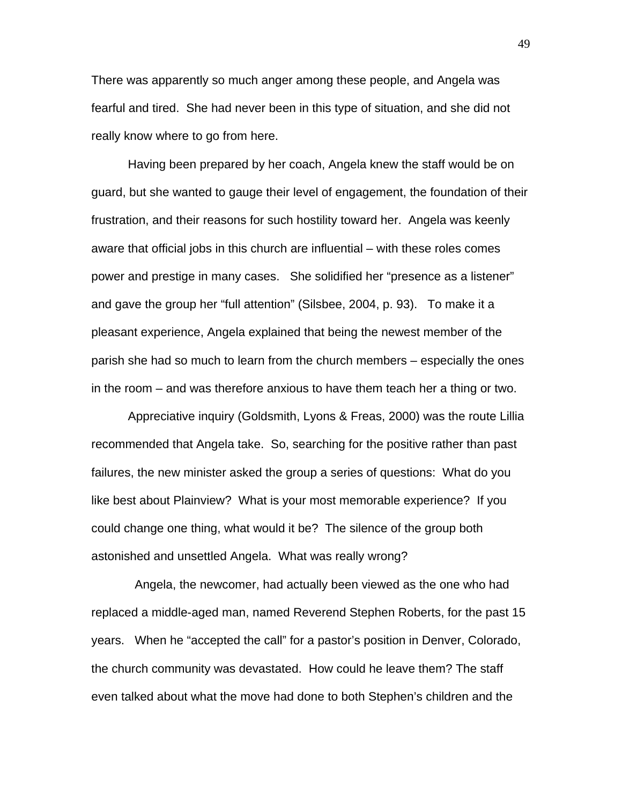There was apparently so much anger among these people, and Angela was fearful and tired. She had never been in this type of situation, and she did not really know where to go from here.

Having been prepared by her coach, Angela knew the staff would be on guard, but she wanted to gauge their level of engagement, the foundation of their frustration, and their reasons for such hostility toward her. Angela was keenly aware that official jobs in this church are influential – with these roles comes power and prestige in many cases. She solidified her "presence as a listener" and gave the group her "full attention" (Silsbee, 2004, p. 93). To make it a pleasant experience, Angela explained that being the newest member of the parish she had so much to learn from the church members – especially the ones in the room – and was therefore anxious to have them teach her a thing or two.

Appreciative inquiry (Goldsmith, Lyons & Freas, 2000) was the route Lillia recommended that Angela take. So, searching for the positive rather than past failures, the new minister asked the group a series of questions: What do you like best about Plainview? What is your most memorable experience? If you could change one thing, what would it be? The silence of the group both astonished and unsettled Angela. What was really wrong?

 Angela, the newcomer, had actually been viewed as the one who had replaced a middle-aged man, named Reverend Stephen Roberts, for the past 15 years. When he "accepted the call" for a pastor's position in Denver, Colorado, the church community was devastated. How could he leave them? The staff even talked about what the move had done to both Stephen's children and the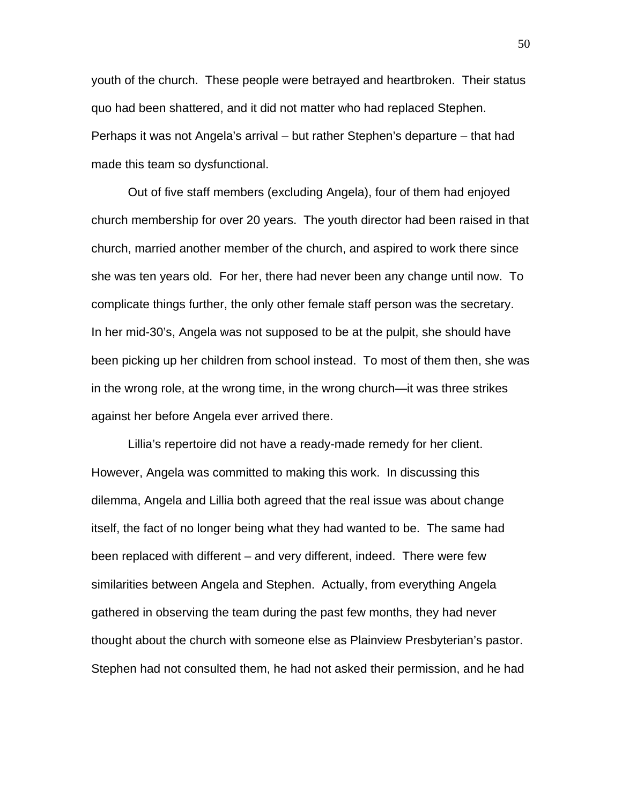youth of the church. These people were betrayed and heartbroken. Their status quo had been shattered, and it did not matter who had replaced Stephen. Perhaps it was not Angela's arrival – but rather Stephen's departure – that had made this team so dysfunctional.

Out of five staff members (excluding Angela), four of them had enjoyed church membership for over 20 years. The youth director had been raised in that church, married another member of the church, and aspired to work there since she was ten years old. For her, there had never been any change until now. To complicate things further, the only other female staff person was the secretary. In her mid-30's, Angela was not supposed to be at the pulpit, she should have been picking up her children from school instead. To most of them then, she was in the wrong role, at the wrong time, in the wrong church—it was three strikes against her before Angela ever arrived there.

Lillia's repertoire did not have a ready-made remedy for her client. However, Angela was committed to making this work. In discussing this dilemma, Angela and Lillia both agreed that the real issue was about change itself, the fact of no longer being what they had wanted to be. The same had been replaced with different – and very different, indeed. There were few similarities between Angela and Stephen. Actually, from everything Angela gathered in observing the team during the past few months, they had never thought about the church with someone else as Plainview Presbyterian's pastor. Stephen had not consulted them, he had not asked their permission, and he had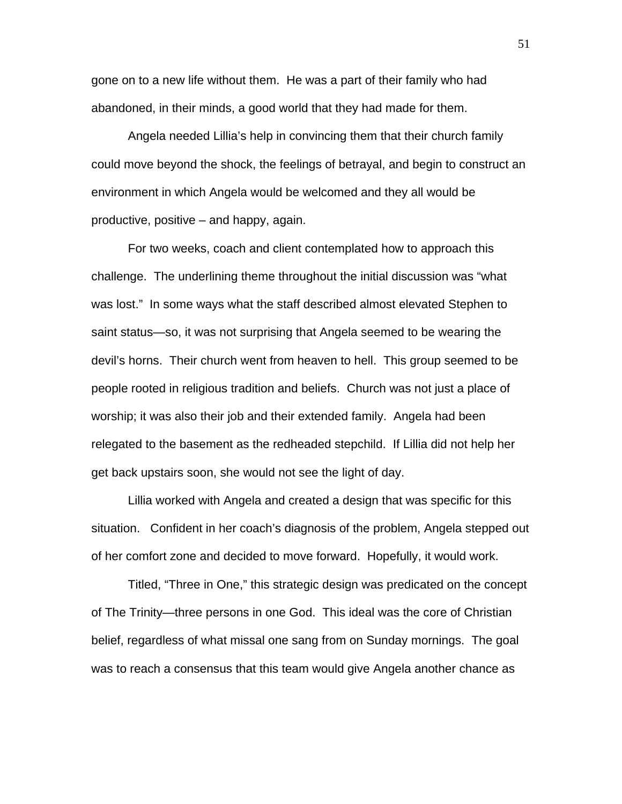gone on to a new life without them. He was a part of their family who had abandoned, in their minds, a good world that they had made for them.

Angela needed Lillia's help in convincing them that their church family could move beyond the shock, the feelings of betrayal, and begin to construct an environment in which Angela would be welcomed and they all would be productive, positive – and happy, again.

For two weeks, coach and client contemplated how to approach this challenge. The underlining theme throughout the initial discussion was "what was lost." In some ways what the staff described almost elevated Stephen to saint status—so, it was not surprising that Angela seemed to be wearing the devil's horns. Their church went from heaven to hell. This group seemed to be people rooted in religious tradition and beliefs. Church was not just a place of worship; it was also their job and their extended family. Angela had been relegated to the basement as the redheaded stepchild. If Lillia did not help her get back upstairs soon, she would not see the light of day.

Lillia worked with Angela and created a design that was specific for this situation. Confident in her coach's diagnosis of the problem, Angela stepped out of her comfort zone and decided to move forward. Hopefully, it would work.

Titled, "Three in One," this strategic design was predicated on the concept of The Trinity—three persons in one God. This ideal was the core of Christian belief, regardless of what missal one sang from on Sunday mornings. The goal was to reach a consensus that this team would give Angela another chance as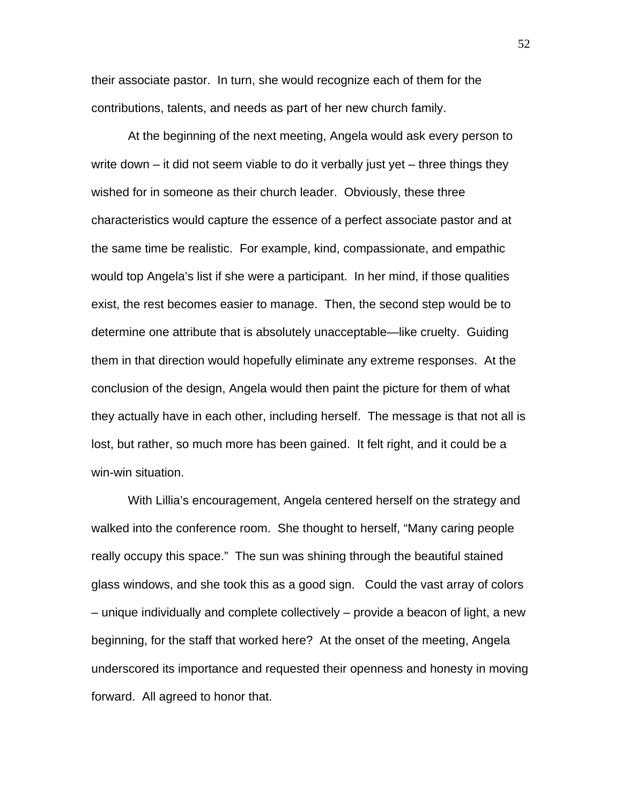their associate pastor. In turn, she would recognize each of them for the contributions, talents, and needs as part of her new church family.

At the beginning of the next meeting, Angela would ask every person to write down – it did not seem viable to do it verbally just yet – three things they wished for in someone as their church leader. Obviously, these three characteristics would capture the essence of a perfect associate pastor and at the same time be realistic. For example, kind, compassionate, and empathic would top Angela's list if she were a participant. In her mind, if those qualities exist, the rest becomes easier to manage. Then, the second step would be to determine one attribute that is absolutely unacceptable—like cruelty. Guiding them in that direction would hopefully eliminate any extreme responses. At the conclusion of the design, Angela would then paint the picture for them of what they actually have in each other, including herself. The message is that not all is lost, but rather, so much more has been gained. It felt right, and it could be a win-win situation.

With Lillia's encouragement, Angela centered herself on the strategy and walked into the conference room. She thought to herself, "Many caring people really occupy this space." The sun was shining through the beautiful stained glass windows, and she took this as a good sign. Could the vast array of colors – unique individually and complete collectively – provide a beacon of light, a new beginning, for the staff that worked here? At the onset of the meeting, Angela underscored its importance and requested their openness and honesty in moving forward. All agreed to honor that.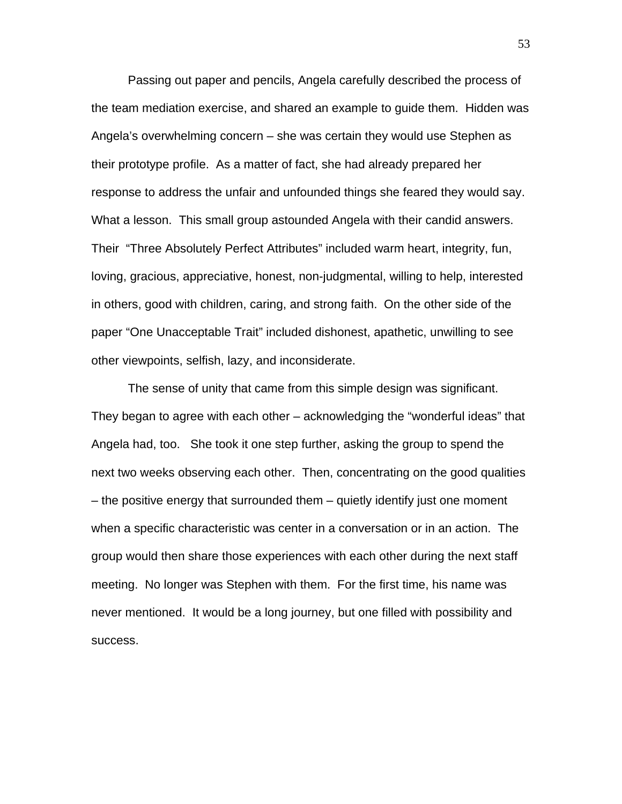Passing out paper and pencils, Angela carefully described the process of the team mediation exercise, and shared an example to guide them. Hidden was Angela's overwhelming concern – she was certain they would use Stephen as their prototype profile. As a matter of fact, she had already prepared her response to address the unfair and unfounded things she feared they would say. What a lesson. This small group astounded Angela with their candid answers. Their "Three Absolutely Perfect Attributes" included warm heart, integrity, fun, loving, gracious, appreciative, honest, non-judgmental, willing to help, interested in others, good with children, caring, and strong faith. On the other side of the paper "One Unacceptable Trait" included dishonest, apathetic, unwilling to see other viewpoints, selfish, lazy, and inconsiderate.

The sense of unity that came from this simple design was significant. They began to agree with each other – acknowledging the "wonderful ideas" that Angela had, too. She took it one step further, asking the group to spend the next two weeks observing each other. Then, concentrating on the good qualities – the positive energy that surrounded them – quietly identify just one moment when a specific characteristic was center in a conversation or in an action. The group would then share those experiences with each other during the next staff meeting. No longer was Stephen with them. For the first time, his name was never mentioned. It would be a long journey, but one filled with possibility and success.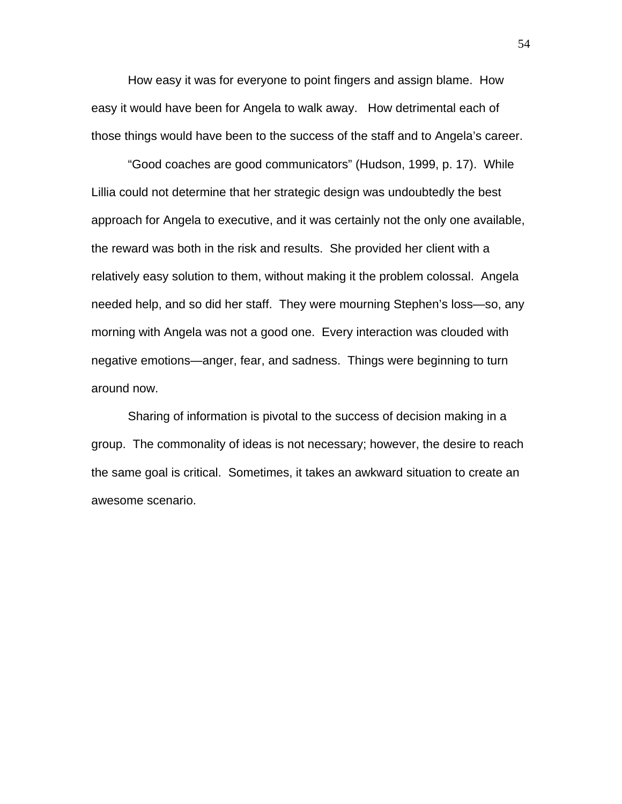How easy it was for everyone to point fingers and assign blame. How easy it would have been for Angela to walk away. How detrimental each of those things would have been to the success of the staff and to Angela's career.

"Good coaches are good communicators" (Hudson, 1999, p. 17). While Lillia could not determine that her strategic design was undoubtedly the best approach for Angela to executive, and it was certainly not the only one available, the reward was both in the risk and results. She provided her client with a relatively easy solution to them, without making it the problem colossal. Angela needed help, and so did her staff. They were mourning Stephen's loss—so, any morning with Angela was not a good one. Every interaction was clouded with negative emotions—anger, fear, and sadness. Things were beginning to turn around now.

Sharing of information is pivotal to the success of decision making in a group. The commonality of ideas is not necessary; however, the desire to reach the same goal is critical. Sometimes, it takes an awkward situation to create an awesome scenario.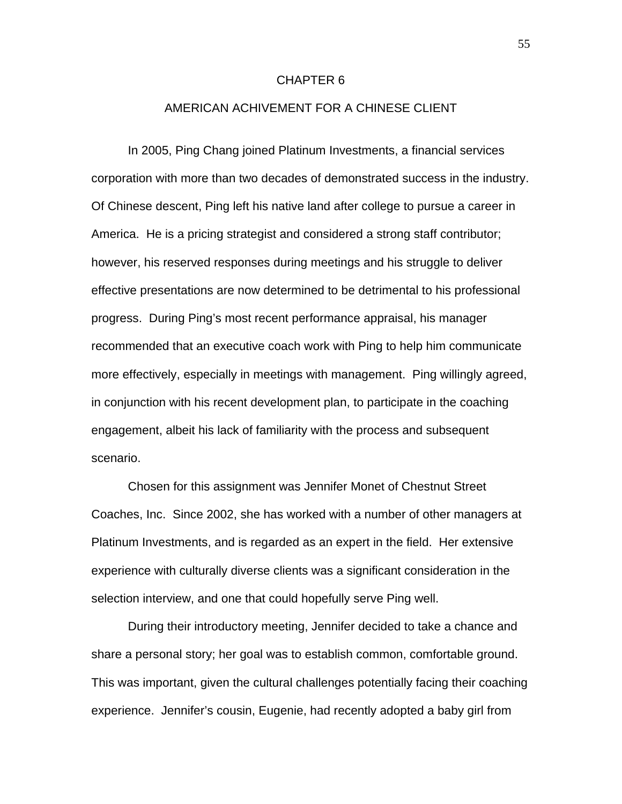### CHAPTER 6

## AMERICAN ACHIVEMENT FOR A CHINESE CLIENT

In 2005, Ping Chang joined Platinum Investments, a financial services corporation with more than two decades of demonstrated success in the industry. Of Chinese descent, Ping left his native land after college to pursue a career in America. He is a pricing strategist and considered a strong staff contributor; however, his reserved responses during meetings and his struggle to deliver effective presentations are now determined to be detrimental to his professional progress. During Ping's most recent performance appraisal, his manager recommended that an executive coach work with Ping to help him communicate more effectively, especially in meetings with management. Ping willingly agreed, in conjunction with his recent development plan, to participate in the coaching engagement, albeit his lack of familiarity with the process and subsequent scenario.

Chosen for this assignment was Jennifer Monet of Chestnut Street Coaches, Inc. Since 2002, she has worked with a number of other managers at Platinum Investments, and is regarded as an expert in the field. Her extensive experience with culturally diverse clients was a significant consideration in the selection interview, and one that could hopefully serve Ping well.

During their introductory meeting, Jennifer decided to take a chance and share a personal story; her goal was to establish common, comfortable ground. This was important, given the cultural challenges potentially facing their coaching experience. Jennifer's cousin, Eugenie, had recently adopted a baby girl from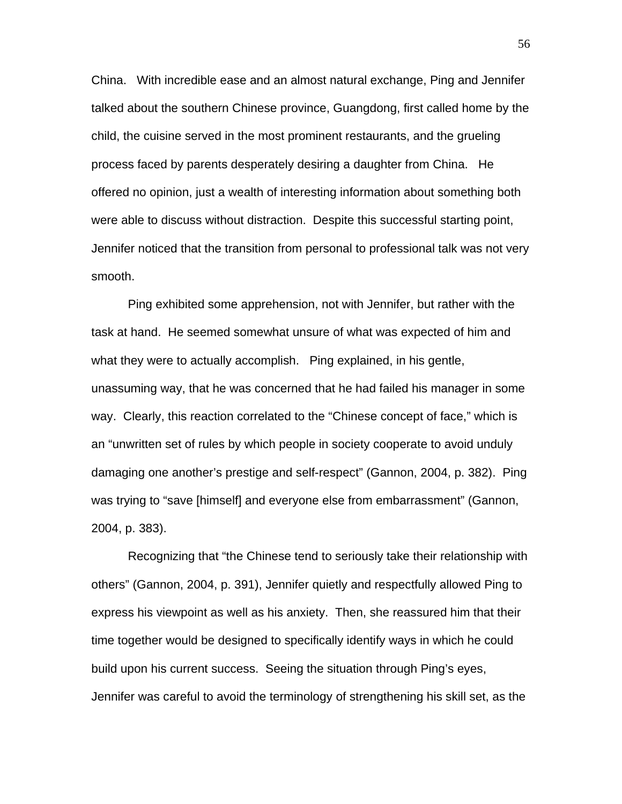China. With incredible ease and an almost natural exchange, Ping and Jennifer talked about the southern Chinese province, Guangdong, first called home by the child, the cuisine served in the most prominent restaurants, and the grueling process faced by parents desperately desiring a daughter from China. He offered no opinion, just a wealth of interesting information about something both were able to discuss without distraction. Despite this successful starting point, Jennifer noticed that the transition from personal to professional talk was not very smooth.

Ping exhibited some apprehension, not with Jennifer, but rather with the task at hand. He seemed somewhat unsure of what was expected of him and what they were to actually accomplish. Ping explained, in his gentle, unassuming way, that he was concerned that he had failed his manager in some way. Clearly, this reaction correlated to the "Chinese concept of face," which is an "unwritten set of rules by which people in society cooperate to avoid unduly damaging one another's prestige and self-respect" (Gannon, 2004, p. 382). Ping was trying to "save [himself] and everyone else from embarrassment" (Gannon, 2004, p. 383).

Recognizing that "the Chinese tend to seriously take their relationship with others" (Gannon, 2004, p. 391), Jennifer quietly and respectfully allowed Ping to express his viewpoint as well as his anxiety. Then, she reassured him that their time together would be designed to specifically identify ways in which he could build upon his current success. Seeing the situation through Ping's eyes, Jennifer was careful to avoid the terminology of strengthening his skill set, as the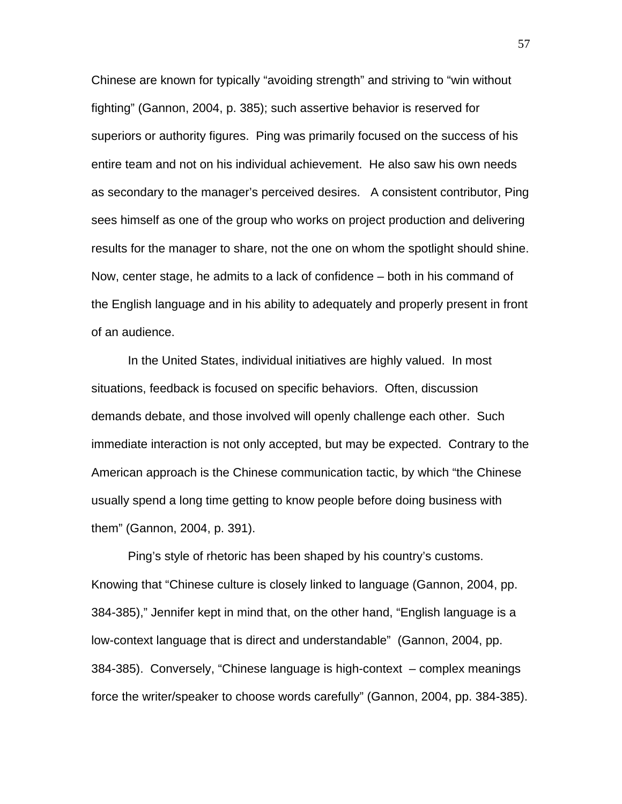Chinese are known for typically "avoiding strength" and striving to "win without fighting" (Gannon, 2004, p. 385); such assertive behavior is reserved for superiors or authority figures. Ping was primarily focused on the success of his entire team and not on his individual achievement. He also saw his own needs as secondary to the manager's perceived desires. A consistent contributor, Ping sees himself as one of the group who works on project production and delivering results for the manager to share, not the one on whom the spotlight should shine. Now, center stage, he admits to a lack of confidence – both in his command of the English language and in his ability to adequately and properly present in front of an audience.

In the United States, individual initiatives are highly valued. In most situations, feedback is focused on specific behaviors. Often, discussion demands debate, and those involved will openly challenge each other. Such immediate interaction is not only accepted, but may be expected. Contrary to the American approach is the Chinese communication tactic, by which "the Chinese usually spend a long time getting to know people before doing business with them" (Gannon, 2004, p. 391).

Ping's style of rhetoric has been shaped by his country's customs. Knowing that "Chinese culture is closely linked to language (Gannon, 2004, pp. 384-385)," Jennifer kept in mind that, on the other hand, "English language is a low-context language that is direct and understandable" (Gannon, 2004, pp. 384-385). Conversely, "Chinese language is high-context – complex meanings force the writer/speaker to choose words carefully" (Gannon, 2004, pp. 384-385).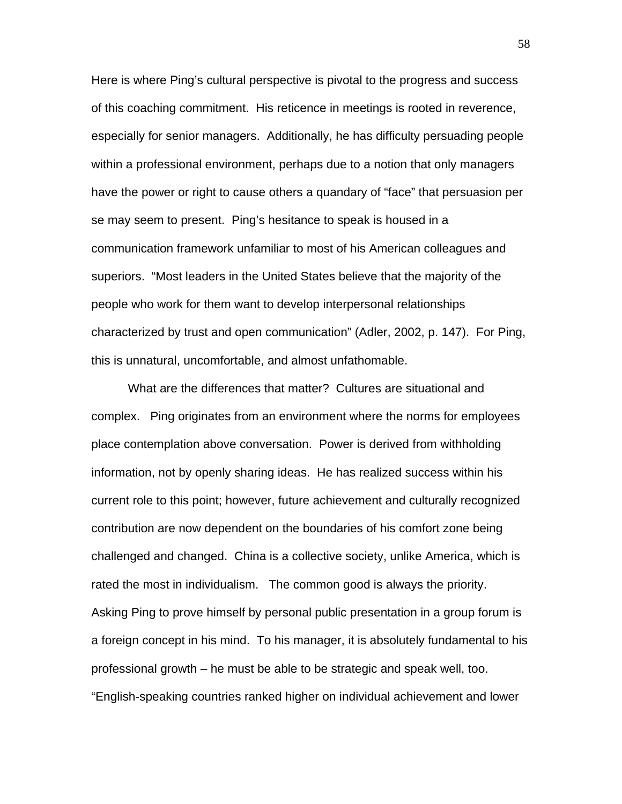Here is where Ping's cultural perspective is pivotal to the progress and success of this coaching commitment. His reticence in meetings is rooted in reverence, especially for senior managers. Additionally, he has difficulty persuading people within a professional environment, perhaps due to a notion that only managers have the power or right to cause others a quandary of "face" that persuasion per se may seem to present. Ping's hesitance to speak is housed in a communication framework unfamiliar to most of his American colleagues and superiors. "Most leaders in the United States believe that the majority of the people who work for them want to develop interpersonal relationships characterized by trust and open communication" (Adler, 2002, p. 147). For Ping, this is unnatural, uncomfortable, and almost unfathomable.

What are the differences that matter? Cultures are situational and complex. Ping originates from an environment where the norms for employees place contemplation above conversation. Power is derived from withholding information, not by openly sharing ideas. He has realized success within his current role to this point; however, future achievement and culturally recognized contribution are now dependent on the boundaries of his comfort zone being challenged and changed. China is a collective society, unlike America, which is rated the most in individualism. The common good is always the priority. Asking Ping to prove himself by personal public presentation in a group forum is a foreign concept in his mind. To his manager, it is absolutely fundamental to his professional growth – he must be able to be strategic and speak well, too. "English-speaking countries ranked higher on individual achievement and lower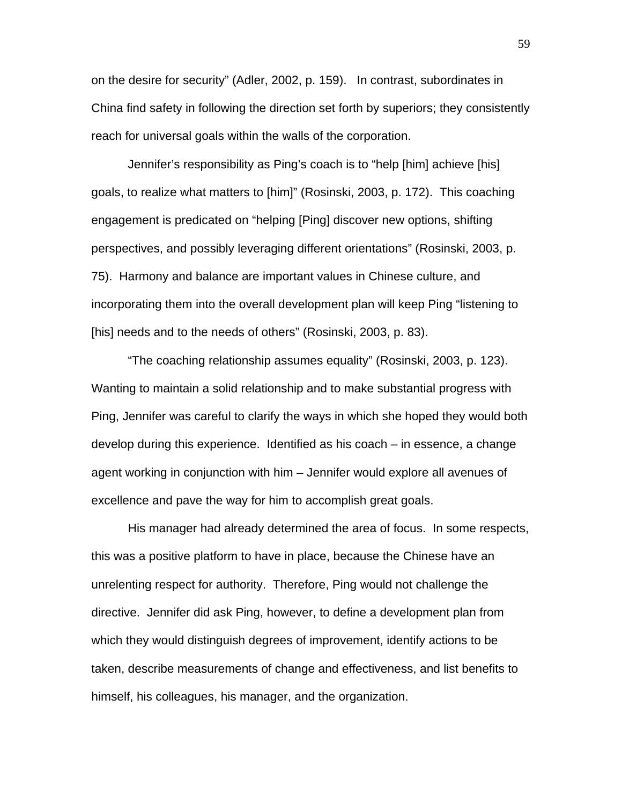on the desire for security" (Adler, 2002, p. 159). In contrast, subordinates in China find safety in following the direction set forth by superiors; they consistently reach for universal goals within the walls of the corporation.

Jennifer's responsibility as Ping's coach is to "help [him] achieve [his] goals, to realize what matters to [him]" (Rosinski, 2003, p. 172). This coaching engagement is predicated on "helping [Ping] discover new options, shifting perspectives, and possibly leveraging different orientations" (Rosinski, 2003, p. 75). Harmony and balance are important values in Chinese culture, and incorporating them into the overall development plan will keep Ping "listening to [his] needs and to the needs of others" (Rosinski, 2003, p. 83).

"The coaching relationship assumes equality" (Rosinski, 2003, p. 123). Wanting to maintain a solid relationship and to make substantial progress with Ping, Jennifer was careful to clarify the ways in which she hoped they would both develop during this experience. Identified as his coach – in essence, a change agent working in conjunction with him – Jennifer would explore all avenues of excellence and pave the way for him to accomplish great goals.

His manager had already determined the area of focus. In some respects, this was a positive platform to have in place, because the Chinese have an unrelenting respect for authority. Therefore, Ping would not challenge the directive. Jennifer did ask Ping, however, to define a development plan from which they would distinguish degrees of improvement, identify actions to be taken, describe measurements of change and effectiveness, and list benefits to himself, his colleagues, his manager, and the organization.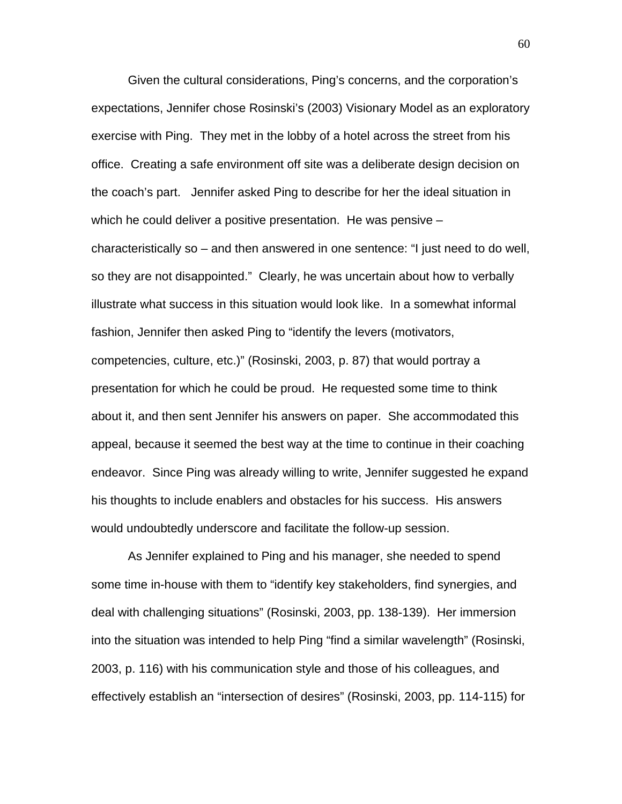Given the cultural considerations, Ping's concerns, and the corporation's expectations, Jennifer chose Rosinski's (2003) Visionary Model as an exploratory exercise with Ping. They met in the lobby of a hotel across the street from his office. Creating a safe environment off site was a deliberate design decision on the coach's part. Jennifer asked Ping to describe for her the ideal situation in which he could deliver a positive presentation. He was pensive – characteristically so – and then answered in one sentence: "I just need to do well, so they are not disappointed." Clearly, he was uncertain about how to verbally illustrate what success in this situation would look like. In a somewhat informal fashion, Jennifer then asked Ping to "identify the levers (motivators, competencies, culture, etc.)" (Rosinski, 2003, p. 87) that would portray a presentation for which he could be proud. He requested some time to think about it, and then sent Jennifer his answers on paper. She accommodated this appeal, because it seemed the best way at the time to continue in their coaching endeavor. Since Ping was already willing to write, Jennifer suggested he expand his thoughts to include enablers and obstacles for his success. His answers would undoubtedly underscore and facilitate the follow-up session.

As Jennifer explained to Ping and his manager, she needed to spend some time in-house with them to "identify key stakeholders, find synergies, and deal with challenging situations" (Rosinski, 2003, pp. 138-139). Her immersion into the situation was intended to help Ping "find a similar wavelength" (Rosinski, 2003, p. 116) with his communication style and those of his colleagues, and effectively establish an "intersection of desires" (Rosinski, 2003, pp. 114-115) for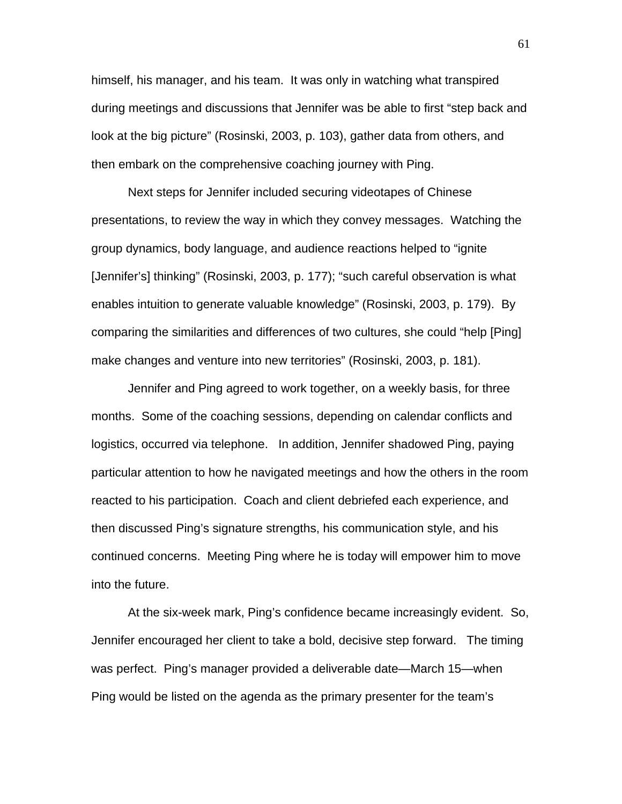himself, his manager, and his team. It was only in watching what transpired during meetings and discussions that Jennifer was be able to first "step back and look at the big picture" (Rosinski, 2003, p. 103), gather data from others, and then embark on the comprehensive coaching journey with Ping.

Next steps for Jennifer included securing videotapes of Chinese presentations, to review the way in which they convey messages. Watching the group dynamics, body language, and audience reactions helped to "ignite [Jennifer's] thinking" (Rosinski, 2003, p. 177); "such careful observation is what enables intuition to generate valuable knowledge" (Rosinski, 2003, p. 179). By comparing the similarities and differences of two cultures, she could "help [Ping] make changes and venture into new territories" (Rosinski, 2003, p. 181).

Jennifer and Ping agreed to work together, on a weekly basis, for three months. Some of the coaching sessions, depending on calendar conflicts and logistics, occurred via telephone. In addition, Jennifer shadowed Ping, paying particular attention to how he navigated meetings and how the others in the room reacted to his participation. Coach and client debriefed each experience, and then discussed Ping's signature strengths, his communication style, and his continued concerns. Meeting Ping where he is today will empower him to move into the future.

At the six-week mark, Ping's confidence became increasingly evident. So, Jennifer encouraged her client to take a bold, decisive step forward. The timing was perfect. Ping's manager provided a deliverable date—March 15—when Ping would be listed on the agenda as the primary presenter for the team's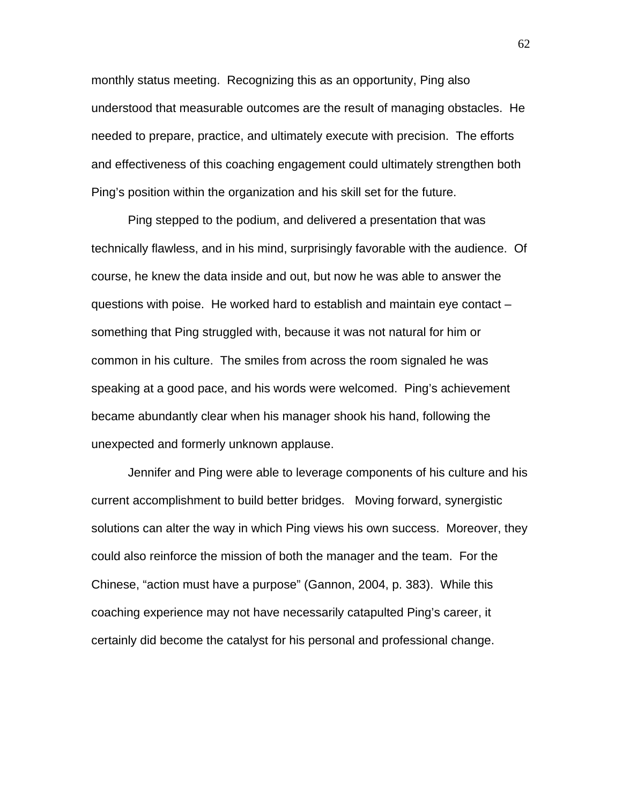monthly status meeting. Recognizing this as an opportunity, Ping also understood that measurable outcomes are the result of managing obstacles. He needed to prepare, practice, and ultimately execute with precision. The efforts and effectiveness of this coaching engagement could ultimately strengthen both Ping's position within the organization and his skill set for the future.

Ping stepped to the podium, and delivered a presentation that was technically flawless, and in his mind, surprisingly favorable with the audience. Of course, he knew the data inside and out, but now he was able to answer the questions with poise. He worked hard to establish and maintain eye contact – something that Ping struggled with, because it was not natural for him or common in his culture. The smiles from across the room signaled he was speaking at a good pace, and his words were welcomed. Ping's achievement became abundantly clear when his manager shook his hand, following the unexpected and formerly unknown applause.

Jennifer and Ping were able to leverage components of his culture and his current accomplishment to build better bridges. Moving forward, synergistic solutions can alter the way in which Ping views his own success. Moreover, they could also reinforce the mission of both the manager and the team. For the Chinese, "action must have a purpose" (Gannon, 2004, p. 383). While this coaching experience may not have necessarily catapulted Ping's career, it certainly did become the catalyst for his personal and professional change.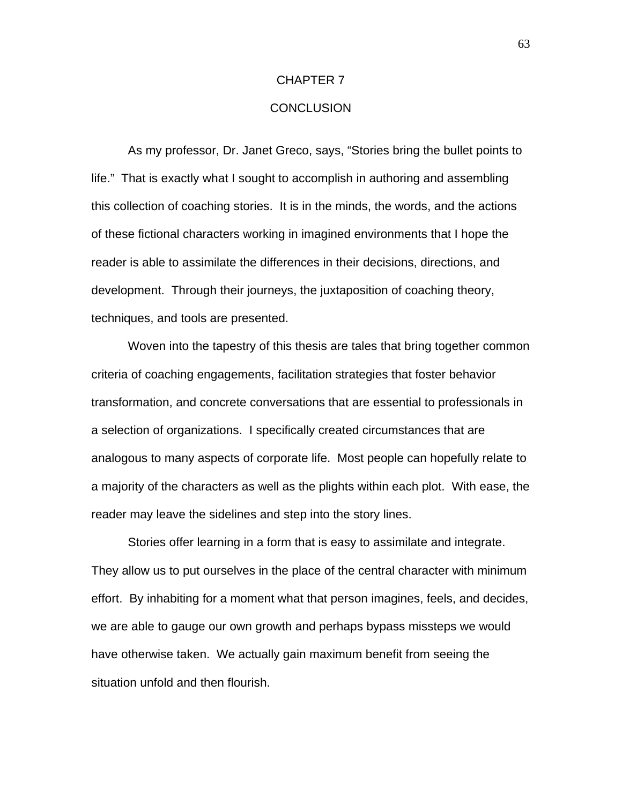#### CHAPTER 7

# **CONCLUSION**

As my professor, Dr. Janet Greco, says, "Stories bring the bullet points to life." That is exactly what I sought to accomplish in authoring and assembling this collection of coaching stories. It is in the minds, the words, and the actions of these fictional characters working in imagined environments that I hope the reader is able to assimilate the differences in their decisions, directions, and development. Through their journeys, the juxtaposition of coaching theory, techniques, and tools are presented.

Woven into the tapestry of this thesis are tales that bring together common criteria of coaching engagements, facilitation strategies that foster behavior transformation, and concrete conversations that are essential to professionals in a selection of organizations. I specifically created circumstances that are analogous to many aspects of corporate life. Most people can hopefully relate to a majority of the characters as well as the plights within each plot. With ease, the reader may leave the sidelines and step into the story lines.

Stories offer learning in a form that is easy to assimilate and integrate. They allow us to put ourselves in the place of the central character with minimum effort. By inhabiting for a moment what that person imagines, feels, and decides, we are able to gauge our own growth and perhaps bypass missteps we would have otherwise taken. We actually gain maximum benefit from seeing the situation unfold and then flourish.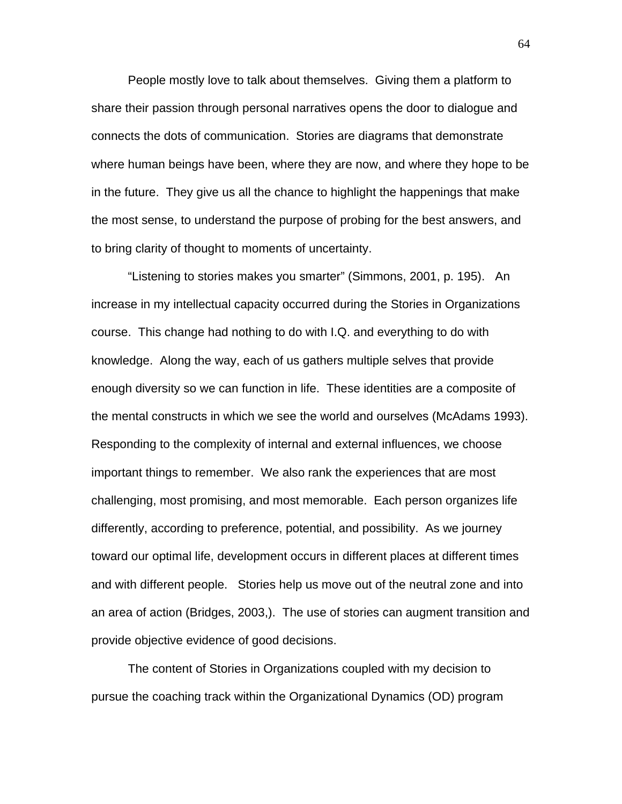People mostly love to talk about themselves. Giving them a platform to share their passion through personal narratives opens the door to dialogue and connects the dots of communication. Stories are diagrams that demonstrate where human beings have been, where they are now, and where they hope to be in the future. They give us all the chance to highlight the happenings that make the most sense, to understand the purpose of probing for the best answers, and to bring clarity of thought to moments of uncertainty.

"Listening to stories makes you smarter" (Simmons, 2001, p. 195). An increase in my intellectual capacity occurred during the Stories in Organizations course. This change had nothing to do with I.Q. and everything to do with knowledge. Along the way, each of us gathers multiple selves that provide enough diversity so we can function in life. These identities are a composite of the mental constructs in which we see the world and ourselves (McAdams 1993). Responding to the complexity of internal and external influences, we choose important things to remember. We also rank the experiences that are most challenging, most promising, and most memorable. Each person organizes life differently, according to preference, potential, and possibility. As we journey toward our optimal life, development occurs in different places at different times and with different people. Stories help us move out of the neutral zone and into an area of action (Bridges, 2003,). The use of stories can augment transition and provide objective evidence of good decisions.

The content of Stories in Organizations coupled with my decision to pursue the coaching track within the Organizational Dynamics (OD) program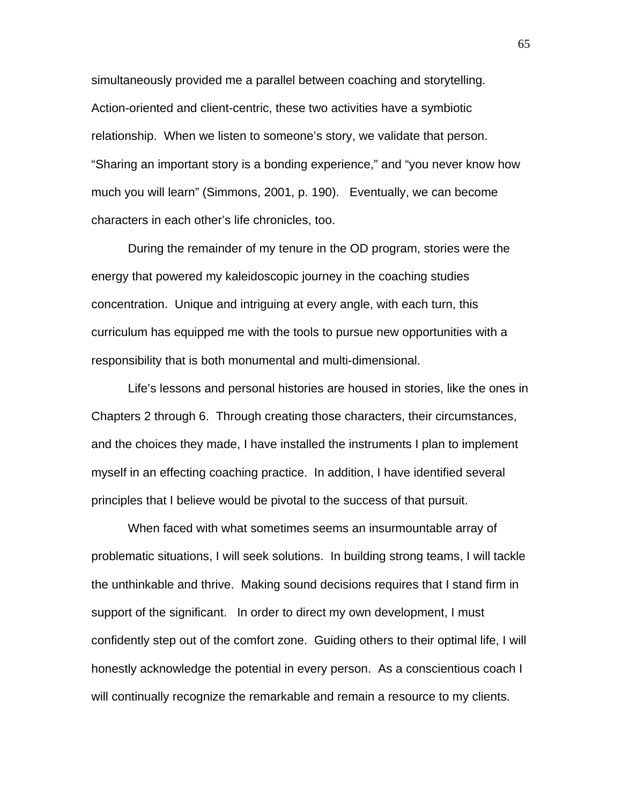simultaneously provided me a parallel between coaching and storytelling. Action-oriented and client-centric, these two activities have a symbiotic relationship. When we listen to someone's story, we validate that person. "Sharing an important story is a bonding experience," and "you never know how much you will learn" (Simmons, 2001, p. 190). Eventually, we can become characters in each other's life chronicles, too.

During the remainder of my tenure in the OD program, stories were the energy that powered my kaleidoscopic journey in the coaching studies concentration. Unique and intriguing at every angle, with each turn, this curriculum has equipped me with the tools to pursue new opportunities with a responsibility that is both monumental and multi-dimensional.

Life's lessons and personal histories are housed in stories, like the ones in Chapters 2 through 6. Through creating those characters, their circumstances, and the choices they made, I have installed the instruments I plan to implement myself in an effecting coaching practice. In addition, I have identified several principles that I believe would be pivotal to the success of that pursuit.

When faced with what sometimes seems an insurmountable array of problematic situations, I will seek solutions. In building strong teams, I will tackle the unthinkable and thrive. Making sound decisions requires that I stand firm in support of the significant. In order to direct my own development, I must confidently step out of the comfort zone. Guiding others to their optimal life, I will honestly acknowledge the potential in every person. As a conscientious coach I will continually recognize the remarkable and remain a resource to my clients.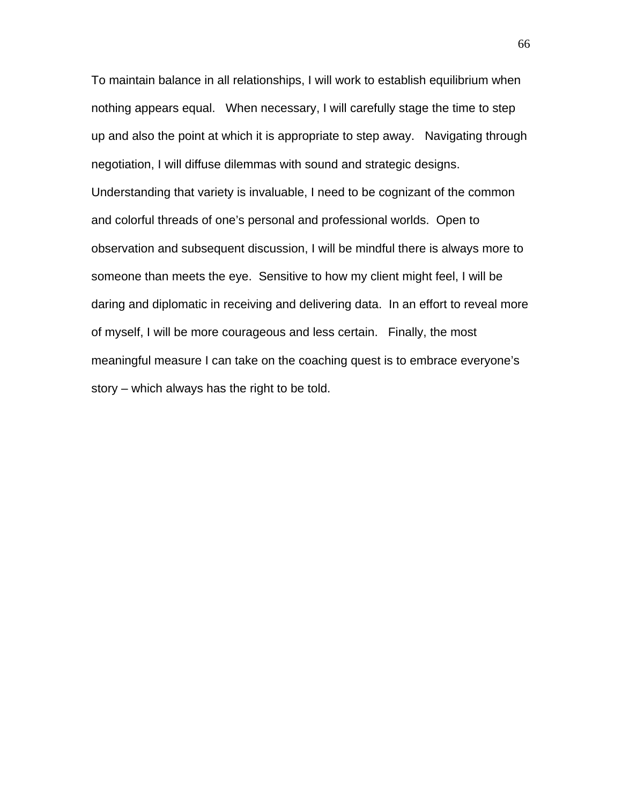To maintain balance in all relationships, I will work to establish equilibrium when nothing appears equal. When necessary, I will carefully stage the time to step up and also the point at which it is appropriate to step away. Navigating through negotiation, I will diffuse dilemmas with sound and strategic designs. Understanding that variety is invaluable, I need to be cognizant of the common and colorful threads of one's personal and professional worlds. Open to observation and subsequent discussion, I will be mindful there is always more to someone than meets the eye. Sensitive to how my client might feel, I will be daring and diplomatic in receiving and delivering data. In an effort to reveal more of myself, I will be more courageous and less certain. Finally, the most meaningful measure I can take on the coaching quest is to embrace everyone's story – which always has the right to be told.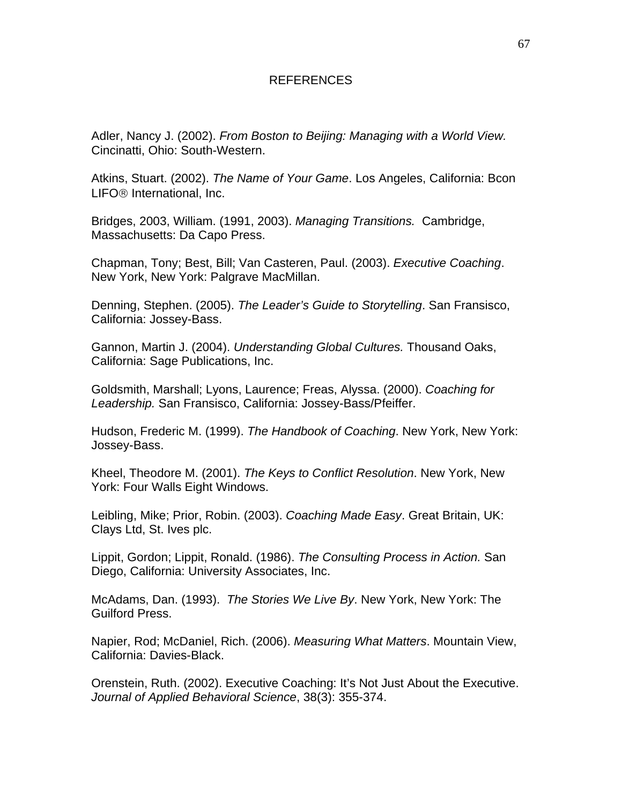#### REFERENCES

Adler, Nancy J. (2002). *From Boston to Beijing: Managing with a World View.* Cincinatti, Ohio: South-Western.

Atkins, Stuart. (2002). *The Name of Your Game*. Los Angeles, California: Bcon LIFO® International, Inc.

Bridges, 2003, William. (1991, 2003). *Managing Transitions.* Cambridge, Massachusetts: Da Capo Press.

Chapman, Tony; Best, Bill; Van Casteren, Paul. (2003). *Executive Coaching*. New York, New York: Palgrave MacMillan.

Denning, Stephen. (2005). *The Leader's Guide to Storytelling*. San Fransisco, California: Jossey-Bass.

Gannon, Martin J. (2004). *Understanding Global Cultures.* Thousand Oaks, California: Sage Publications, Inc.

Goldsmith, Marshall; Lyons, Laurence; Freas, Alyssa. (2000). *Coaching for Leadership.* San Fransisco, California: Jossey-Bass/Pfeiffer.

Hudson, Frederic M. (1999). *The Handbook of Coaching*. New York, New York: Jossey-Bass.

Kheel, Theodore M. (2001). *The Keys to Conflict Resolution*. New York, New York: Four Walls Eight Windows.

Leibling, Mike; Prior, Robin. (2003). *Coaching Made Easy*. Great Britain, UK: Clays Ltd, St. Ives plc.

Lippit, Gordon; Lippit, Ronald. (1986). *The Consulting Process in Action.* San Diego, California: University Associates, Inc.

McAdams, Dan. (1993). *The Stories We Live By*. New York, New York: The Guilford Press.

Napier, Rod; McDaniel, Rich. (2006). *Measuring What Matters*. Mountain View, California: Davies-Black.

Orenstein, Ruth. (2002). Executive Coaching: It's Not Just About the Executive. *Journal of Applied Behavioral Science*, 38(3): 355-374.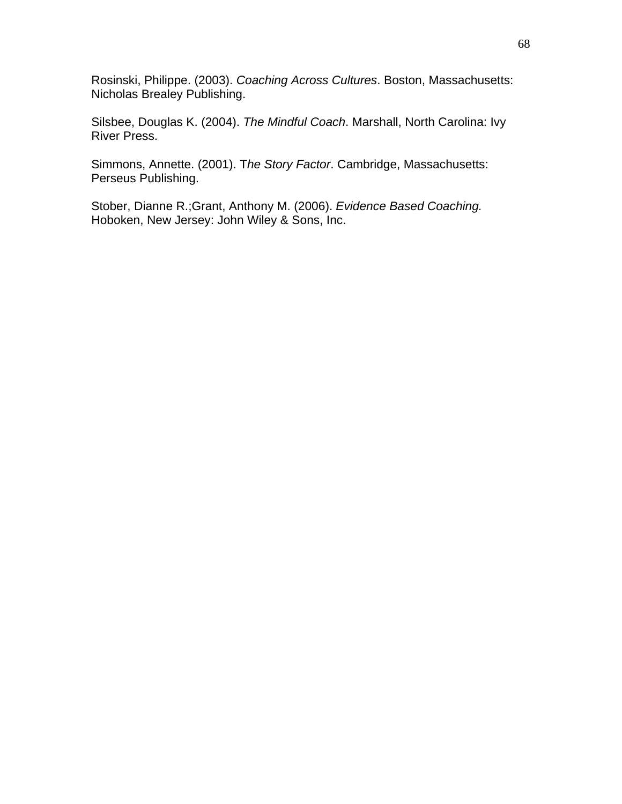Rosinski, Philippe. (2003). *Coaching Across Cultures*. Boston, Massachusetts: Nicholas Brealey Publishing.

Silsbee, Douglas K. (2004). *The Mindful Coach*. Marshall, North Carolina: Ivy River Press.

Simmons, Annette. (2001). T*he Story Factor*. Cambridge, Massachusetts: Perseus Publishing.

Stober, Dianne R.;Grant, Anthony M. (2006). *Evidence Based Coaching.*  Hoboken, New Jersey: John Wiley & Sons, Inc.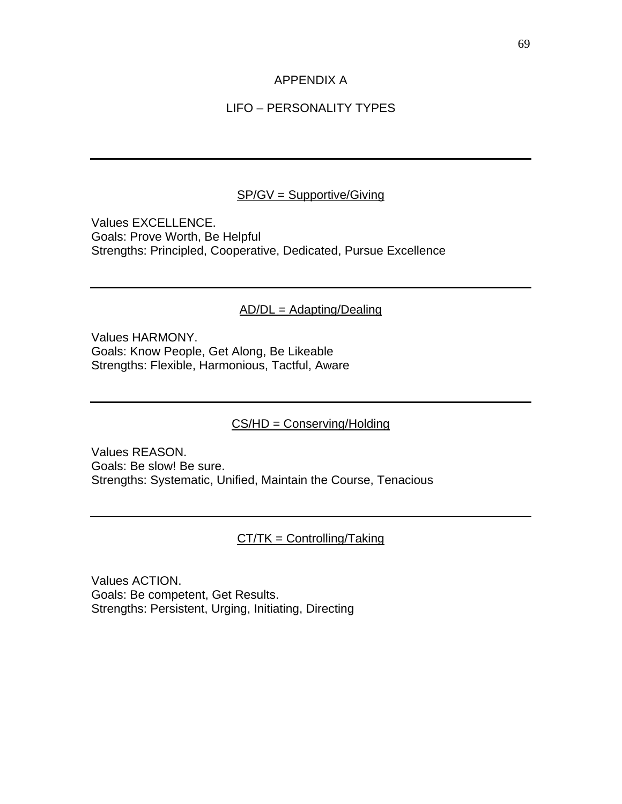#### APPENDIX A

### LIFO – PERSONALITY TYPES

#### SP/GV = Supportive/Giving

Values EXCELLENCE. Goals: Prove Worth, Be Helpful Strengths: Principled, Cooperative, Dedicated, Pursue Excellence

#### AD/DL = Adapting/Dealing

Values HARMONY. Goals: Know People, Get Along, Be Likeable Strengths: Flexible, Harmonious, Tactful, Aware

#### CS/HD = Conserving/Holding

Values REASON. Goals: Be slow! Be sure. Strengths: Systematic, Unified, Maintain the Course, Tenacious

#### CT/TK = Controlling/Taking

Values ACTION. Goals: Be competent, Get Results. Strengths: Persistent, Urging, Initiating, Directing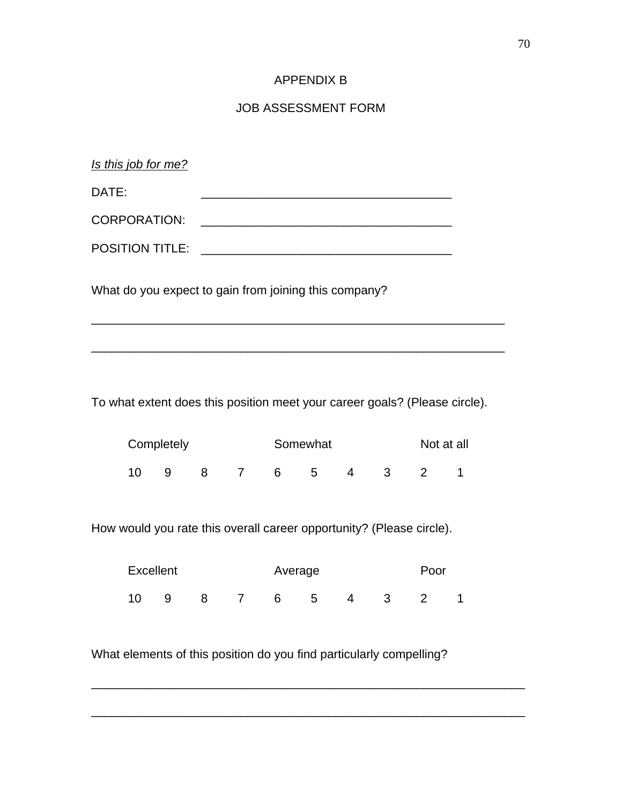#### APPENDIX B

#### JOB ASSESSMENT FORM

| Is this job for me?    |                                                       |  |
|------------------------|-------------------------------------------------------|--|
| DATE:                  |                                                       |  |
| <b>CORPORATION:</b>    |                                                       |  |
| <b>POSITION TITLE:</b> |                                                       |  |
|                        | What do you expect to gain from joining this company? |  |

To what extent does this position meet your career goals? (Please circle).

\_\_\_\_\_\_\_\_\_\_\_\_\_\_\_\_\_\_\_\_\_\_\_\_\_\_\_\_\_\_\_\_\_\_\_\_\_\_\_\_\_\_\_\_\_\_\_\_\_\_\_\_\_\_\_\_\_\_\_\_\_

| Completely |    |  |  |    | Somewhat | Not at all |              |  |
|------------|----|--|--|----|----------|------------|--------------|--|
| 10         | -9 |  |  | 6. | 5        | $\sim$ 4   | $\mathbf{3}$ |  |

How would you rate this overall career opportunity? (Please circle).

| Excellent |    |  |  |    | Average |   |    |  |  |  |
|-----------|----|--|--|----|---------|---|----|--|--|--|
| 10        | -9 |  |  | 6. | 5       | 4 | -3 |  |  |  |

\_\_\_\_\_\_\_\_\_\_\_\_\_\_\_\_\_\_\_\_\_\_\_\_\_\_\_\_\_\_\_\_\_\_\_\_\_\_\_\_\_\_\_\_\_\_\_\_\_\_\_\_\_\_\_\_\_\_\_\_\_\_\_\_

\_\_\_\_\_\_\_\_\_\_\_\_\_\_\_\_\_\_\_\_\_\_\_\_\_\_\_\_\_\_\_\_\_\_\_\_\_\_\_\_\_\_\_\_\_\_\_\_\_\_\_\_\_\_\_\_\_\_\_\_\_\_\_\_

What elements of this position do you find particularly compelling?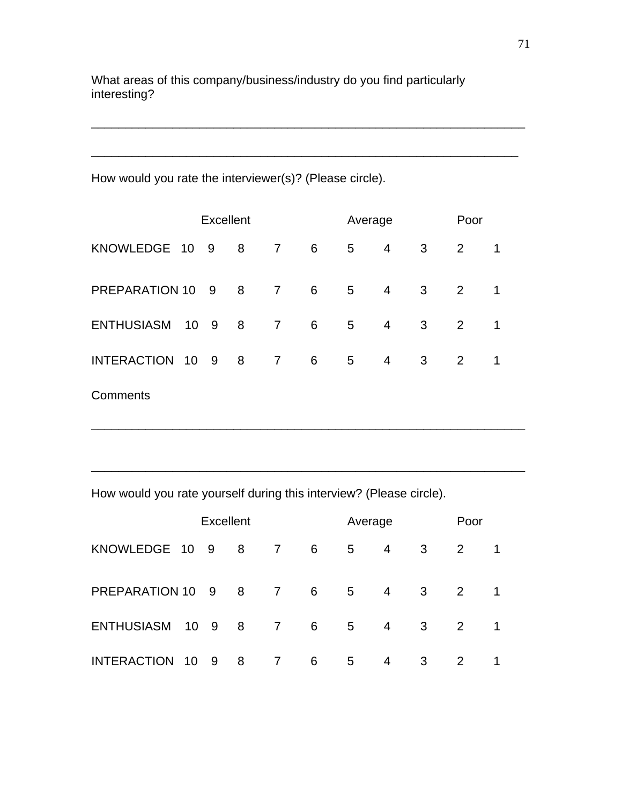What areas of this company/business/industry do you find particularly interesting?

\_\_\_\_\_\_\_\_\_\_\_\_\_\_\_\_\_\_\_\_\_\_\_\_\_\_\_\_\_\_\_\_\_\_\_\_\_\_\_\_\_\_\_\_\_\_\_\_\_\_\_\_\_\_\_\_\_\_\_\_\_\_\_\_

\_\_\_\_\_\_\_\_\_\_\_\_\_\_\_\_\_\_\_\_\_\_\_\_\_\_\_\_\_\_\_\_\_\_\_\_\_\_\_\_\_\_\_\_\_\_\_\_\_\_\_\_\_\_\_\_\_\_\_\_\_\_\_

How would you rate the interviewer(s)? (Please circle).

| <b>Excellent</b>  |  |        |   |                |   |                | Average        |   | Poor |   |
|-------------------|--|--------|---|----------------|---|----------------|----------------|---|------|---|
| KNOWLEDGE 10      |  | 9      | 8 | $\overline{7}$ | 6 | 5              | 4              | 3 | 2    | 1 |
| PREPARATION 10    |  | 9 8    |   | $\overline{7}$ | 6 | 5 <sub>5</sub> | $\overline{4}$ | 3 | 2    |   |
| <b>ENTHUSIASM</b> |  | 10 9 8 |   | $\overline{7}$ | 6 | 5 <sup>5</sup> | $\overline{4}$ | 3 | 2    | 1 |
| INTERACTION 10    |  | 98     |   | $\overline{7}$ | 6 | 5              | 4              | 3 | 2    | 1 |
| Comments          |  |        |   |                |   |                |                |   |      |   |

\_\_\_\_\_\_\_\_\_\_\_\_\_\_\_\_\_\_\_\_\_\_\_\_\_\_\_\_\_\_\_\_\_\_\_\_\_\_\_\_\_\_\_\_\_\_\_\_\_\_\_\_\_\_\_\_\_\_\_\_\_\_\_\_

\_\_\_\_\_\_\_\_\_\_\_\_\_\_\_\_\_\_\_\_\_\_\_\_\_\_\_\_\_\_\_\_\_\_\_\_\_\_\_\_\_\_\_\_\_\_\_\_\_\_\_\_\_\_\_\_\_\_\_\_\_\_\_\_

How would you rate yourself during this interview? (Please circle).

| <b>Excellent</b>   |     |                      |   |                |   |                | Average |   |   |              |
|--------------------|-----|----------------------|---|----------------|---|----------------|---------|---|---|--------------|
| KNOWLEDGE 10 9     |     |                      | 8 | $\overline{7}$ | 6 | 5              | 4       | 3 | 2 |              |
| PREPARATION 10     |     | 9 8                  |   | $\overline{7}$ | 6 | 5 <sup>5</sup> | 4       | 3 | 2 | $\mathbf{1}$ |
| <b>ENTHUSIASM</b>  |     | $10 \quad 9 \quad 8$ |   | $\overline{7}$ | 6 | 5              | 4       | 3 | 2 |              |
| <b>INTERACTION</b> | -10 | - 9                  | 8 | $\overline{7}$ | 6 | 5              | 4       | 3 | 2 | 1            |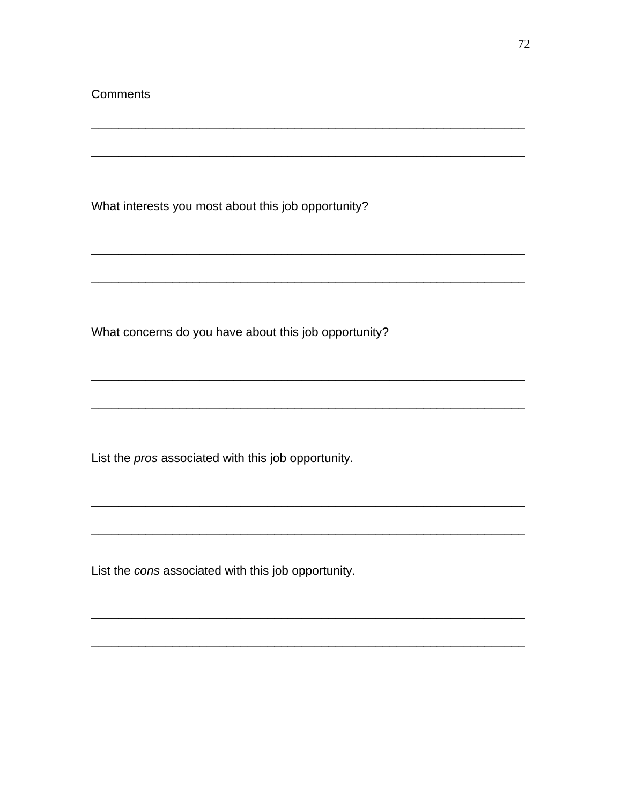What interests you most about this job opportunity?

What concerns do you have about this job opportunity?

List the pros associated with this job opportunity.

List the cons associated with this job opportunity.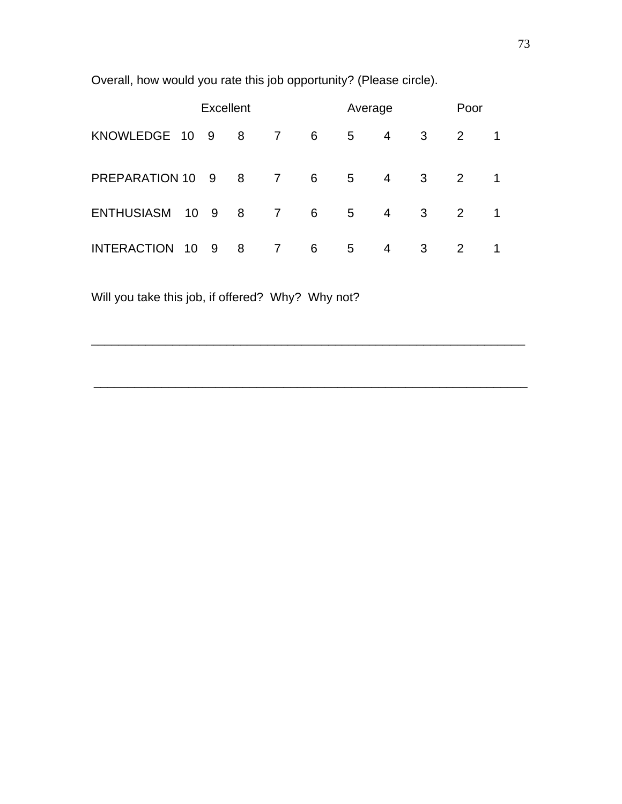| <b>Excellent</b>   |    |        |   |                |     | Average        |                |   |   | Poor |  |
|--------------------|----|--------|---|----------------|-----|----------------|----------------|---|---|------|--|
| KNOWLEDGE 10 9     |    |        | 8 | $\overline{7}$ | 6   | 5              | $\overline{4}$ | 3 | 2 |      |  |
| PREPARATION 10     |    | 98     |   | $\overline{7}$ | - 6 | 5 <sup>5</sup> | $\overline{4}$ | 3 | 2 | 1.   |  |
| <b>ENTHUSIASM</b>  |    | 10 9 8 |   | 7              | 6   | 5 <sup>5</sup> | $\overline{4}$ | 3 | 2 | 1    |  |
| <b>INTERACTION</b> | 10 | - 9    | 8 | $\overline{7}$ | 6   | 5              | 4              | 3 | 2 |      |  |

\_\_\_\_\_\_\_\_\_\_\_\_\_\_\_\_\_\_\_\_\_\_\_\_\_\_\_\_\_\_\_\_\_\_\_\_\_\_\_\_\_\_\_\_\_\_\_\_\_\_\_\_\_\_\_\_\_\_\_\_\_\_\_\_

\_\_\_\_\_\_\_\_\_\_\_\_\_\_\_\_\_\_\_\_\_\_\_\_\_\_\_\_\_\_\_\_\_\_\_\_\_\_\_\_\_\_\_\_\_\_\_\_\_\_\_\_\_\_\_\_\_\_\_\_\_\_\_\_

Overall, how would you rate this job opportunity? (Please circle).

Will you take this job, if offered? Why? Why not?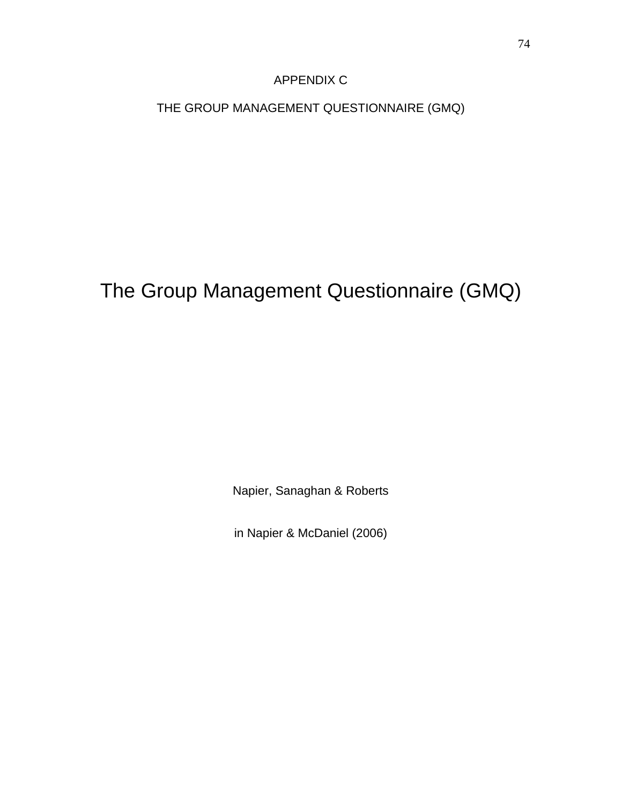## APPENDIX C

THE GROUP MANAGEMENT QUESTIONNAIRE (GMQ)

# The Group Management Questionnaire (GMQ)

Napier, Sanaghan & Roberts

in Napier & McDaniel (2006)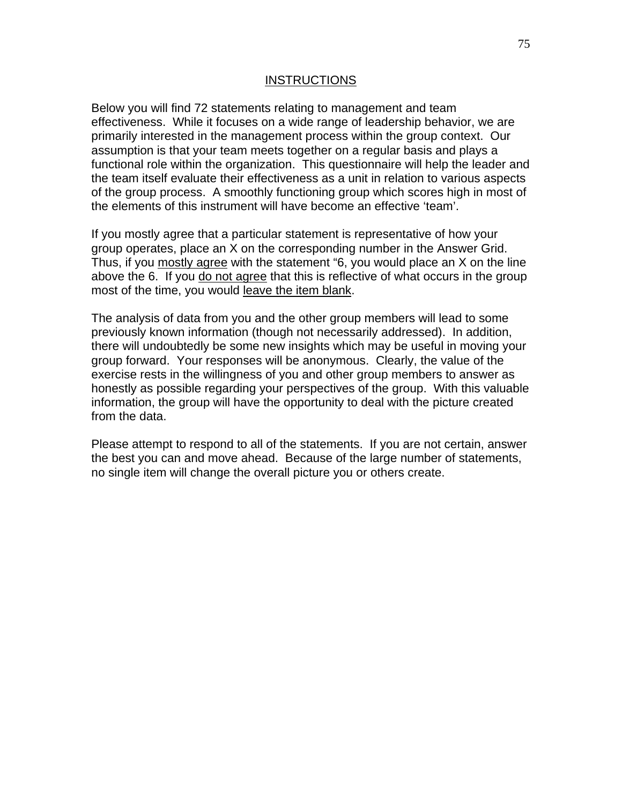#### INSTRUCTIONS

Below you will find 72 statements relating to management and team effectiveness. While it focuses on a wide range of leadership behavior, we are primarily interested in the management process within the group context. Our assumption is that your team meets together on a regular basis and plays a functional role within the organization. This questionnaire will help the leader and the team itself evaluate their effectiveness as a unit in relation to various aspects of the group process. A smoothly functioning group which scores high in most of the elements of this instrument will have become an effective 'team'.

If you mostly agree that a particular statement is representative of how your group operates, place an X on the corresponding number in the Answer Grid. Thus, if you mostly agree with the statement "6, you would place an X on the line above the 6. If you do not agree that this is reflective of what occurs in the group most of the time, you would leave the item blank.

The analysis of data from you and the other group members will lead to some previously known information (though not necessarily addressed). In addition, there will undoubtedly be some new insights which may be useful in moving your group forward. Your responses will be anonymous. Clearly, the value of the exercise rests in the willingness of you and other group members to answer as honestly as possible regarding your perspectives of the group. With this valuable information, the group will have the opportunity to deal with the picture created from the data.

Please attempt to respond to all of the statements. If you are not certain, answer the best you can and move ahead. Because of the large number of statements, no single item will change the overall picture you or others create.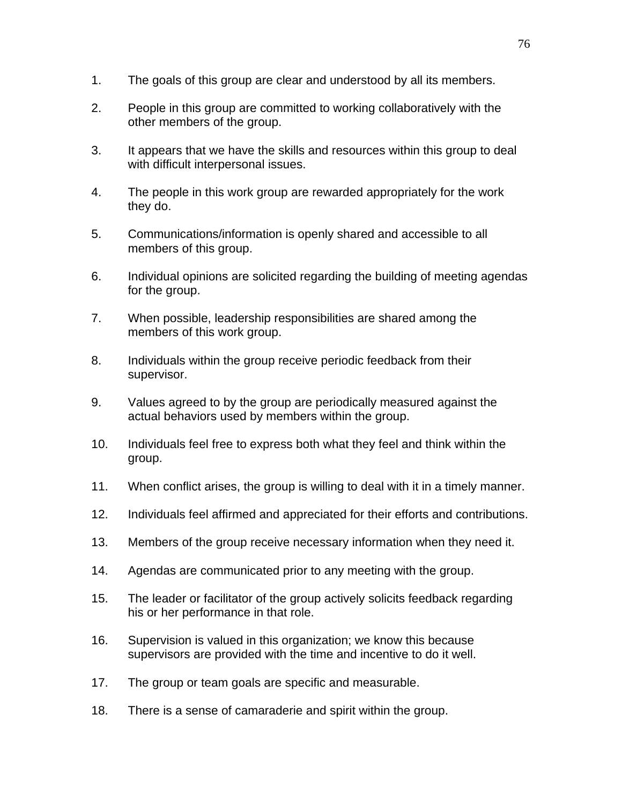- 1. The goals of this group are clear and understood by all its members.
- 2. People in this group are committed to working collaboratively with the other members of the group.
- 3. It appears that we have the skills and resources within this group to deal with difficult interpersonal issues.
- 4. The people in this work group are rewarded appropriately for the work they do.
- 5. Communications/information is openly shared and accessible to all members of this group.
- 6. Individual opinions are solicited regarding the building of meeting agendas for the group.
- 7. When possible, leadership responsibilities are shared among the members of this work group.
- 8. Individuals within the group receive periodic feedback from their supervisor.
- 9. Values agreed to by the group are periodically measured against the actual behaviors used by members within the group.
- 10. Individuals feel free to express both what they feel and think within the group.
- 11. When conflict arises, the group is willing to deal with it in a timely manner.
- 12. Individuals feel affirmed and appreciated for their efforts and contributions.
- 13. Members of the group receive necessary information when they need it.
- 14. Agendas are communicated prior to any meeting with the group.
- 15. The leader or facilitator of the group actively solicits feedback regarding his or her performance in that role.
- 16. Supervision is valued in this organization; we know this because supervisors are provided with the time and incentive to do it well.
- 17. The group or team goals are specific and measurable.
- 18. There is a sense of camaraderie and spirit within the group.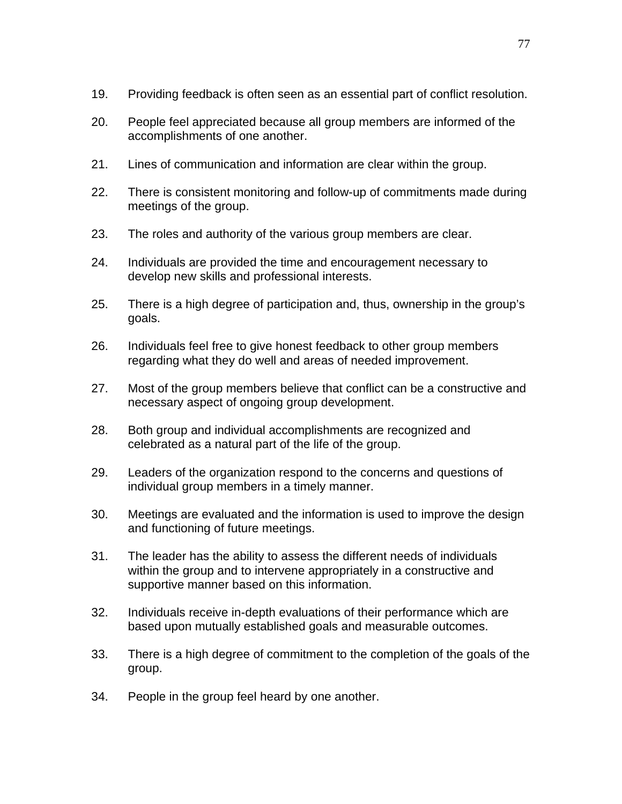- 19. Providing feedback is often seen as an essential part of conflict resolution.
- 20. People feel appreciated because all group members are informed of the accomplishments of one another.
- 21. Lines of communication and information are clear within the group.
- 22. There is consistent monitoring and follow-up of commitments made during meetings of the group.
- 23. The roles and authority of the various group members are clear.
- 24. Individuals are provided the time and encouragement necessary to develop new skills and professional interests.
- 25. There is a high degree of participation and, thus, ownership in the group's goals.
- 26. Individuals feel free to give honest feedback to other group members regarding what they do well and areas of needed improvement.
- 27. Most of the group members believe that conflict can be a constructive and necessary aspect of ongoing group development.
- 28. Both group and individual accomplishments are recognized and celebrated as a natural part of the life of the group.
- 29. Leaders of the organization respond to the concerns and questions of individual group members in a timely manner.
- 30. Meetings are evaluated and the information is used to improve the design and functioning of future meetings.
- 31. The leader has the ability to assess the different needs of individuals within the group and to intervene appropriately in a constructive and supportive manner based on this information.
- 32. Individuals receive in-depth evaluations of their performance which are based upon mutually established goals and measurable outcomes.
- 33. There is a high degree of commitment to the completion of the goals of the group.
- 34. People in the group feel heard by one another.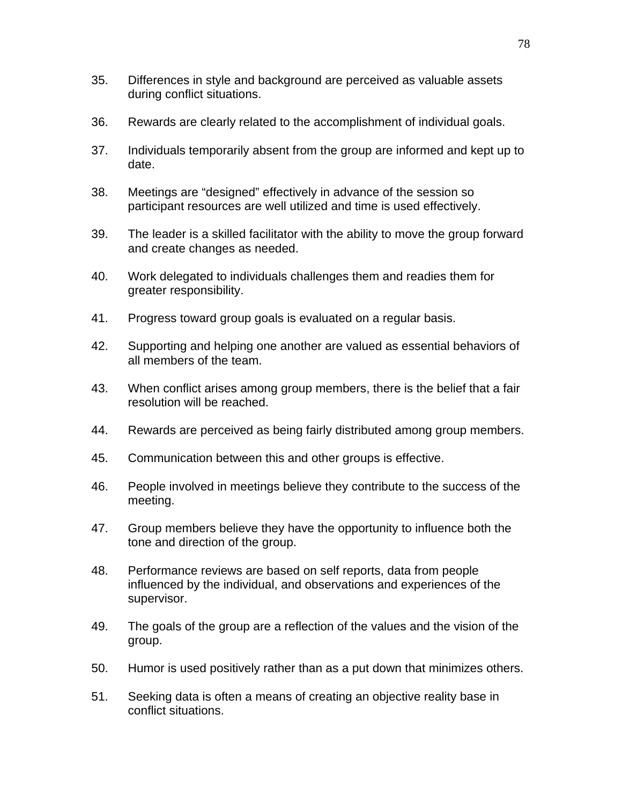- 35. Differences in style and background are perceived as valuable assets during conflict situations.
- 36. Rewards are clearly related to the accomplishment of individual goals.
- 37. Individuals temporarily absent from the group are informed and kept up to date.
- 38. Meetings are "designed" effectively in advance of the session so participant resources are well utilized and time is used effectively.
- 39. The leader is a skilled facilitator with the ability to move the group forward and create changes as needed.
- 40. Work delegated to individuals challenges them and readies them for greater responsibility.
- 41. Progress toward group goals is evaluated on a regular basis.
- 42. Supporting and helping one another are valued as essential behaviors of all members of the team.
- 43. When conflict arises among group members, there is the belief that a fair resolution will be reached.
- 44. Rewards are perceived as being fairly distributed among group members.
- 45. Communication between this and other groups is effective.
- 46. People involved in meetings believe they contribute to the success of the meeting.
- 47. Group members believe they have the opportunity to influence both the tone and direction of the group.
- 48. Performance reviews are based on self reports, data from people influenced by the individual, and observations and experiences of the supervisor.
- 49. The goals of the group are a reflection of the values and the vision of the group.
- 50. Humor is used positively rather than as a put down that minimizes others.
- 51. Seeking data is often a means of creating an objective reality base in conflict situations.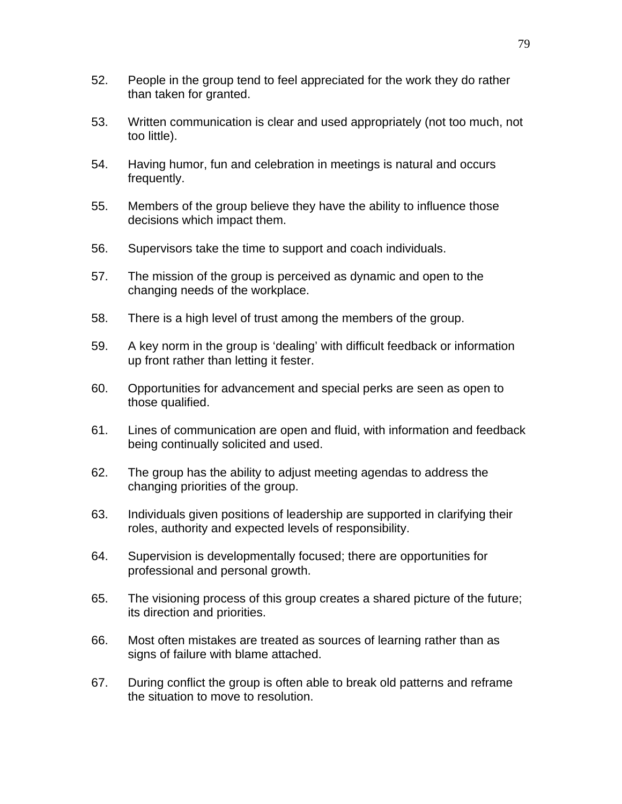- 52. People in the group tend to feel appreciated for the work they do rather than taken for granted.
- 53. Written communication is clear and used appropriately (not too much, not too little).
- 54. Having humor, fun and celebration in meetings is natural and occurs frequently.
- 55. Members of the group believe they have the ability to influence those decisions which impact them.
- 56. Supervisors take the time to support and coach individuals.
- 57. The mission of the group is perceived as dynamic and open to the changing needs of the workplace.
- 58. There is a high level of trust among the members of the group.
- 59. A key norm in the group is 'dealing' with difficult feedback or information up front rather than letting it fester.
- 60. Opportunities for advancement and special perks are seen as open to those qualified.
- 61. Lines of communication are open and fluid, with information and feedback being continually solicited and used.
- 62. The group has the ability to adjust meeting agendas to address the changing priorities of the group.
- 63. Individuals given positions of leadership are supported in clarifying their roles, authority and expected levels of responsibility.
- 64. Supervision is developmentally focused; there are opportunities for professional and personal growth.
- 65. The visioning process of this group creates a shared picture of the future; its direction and priorities.
- 66. Most often mistakes are treated as sources of learning rather than as signs of failure with blame attached.
- 67. During conflict the group is often able to break old patterns and reframe the situation to move to resolution.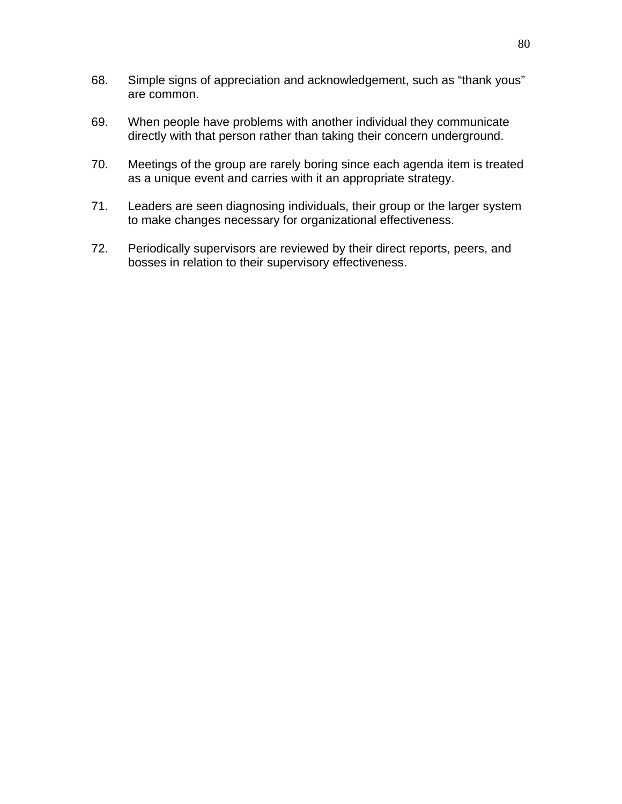- 68. Simple signs of appreciation and acknowledgement, such as "thank yous" are common.
- 69. When people have problems with another individual they communicate directly with that person rather than taking their concern underground.
- 70. Meetings of the group are rarely boring since each agenda item is treated as a unique event and carries with it an appropriate strategy.
- 71. Leaders are seen diagnosing individuals, their group or the larger system to make changes necessary for organizational effectiveness.
- 72. Periodically supervisors are reviewed by their direct reports, peers, and bosses in relation to their supervisory effectiveness.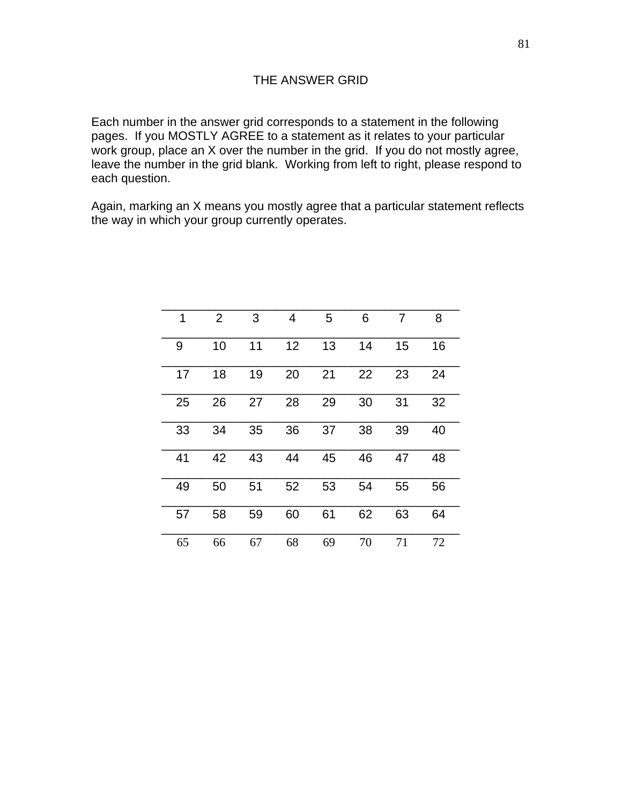Each number in the answer grid corresponds to a statement in the following pages. If you MOSTLY AGREE to a statement as it relates to your particular work group, place an X over the number in the grid. If you do not mostly agree, leave the number in the grid blank. Working from left to right, please respond to each question.

Again, marking an X means you mostly agree that a particular statement reflects the way in which your group currently operates.

| 1  | $\overline{2}$ | 3  | 4  | 5  | 6  | 7  | 8  |
|----|----------------|----|----|----|----|----|----|
| 9  | 10             | 11 | 12 | 13 | 14 | 15 | 16 |
| 17 | 18             | 19 | 20 | 21 | 22 | 23 | 24 |
| 25 | 26             | 27 | 28 | 29 | 30 | 31 | 32 |
| 33 | 34             | 35 | 36 | 37 | 38 | 39 | 40 |
| 41 | 42             | 43 | 44 | 45 | 46 | 47 | 48 |
| 49 | 50             | 51 | 52 | 53 | 54 | 55 | 56 |
| 57 | 58             | 59 | 60 | 61 | 62 | 63 | 64 |
| 65 | 66             | 67 | 68 | 69 | 70 | 71 | 72 |